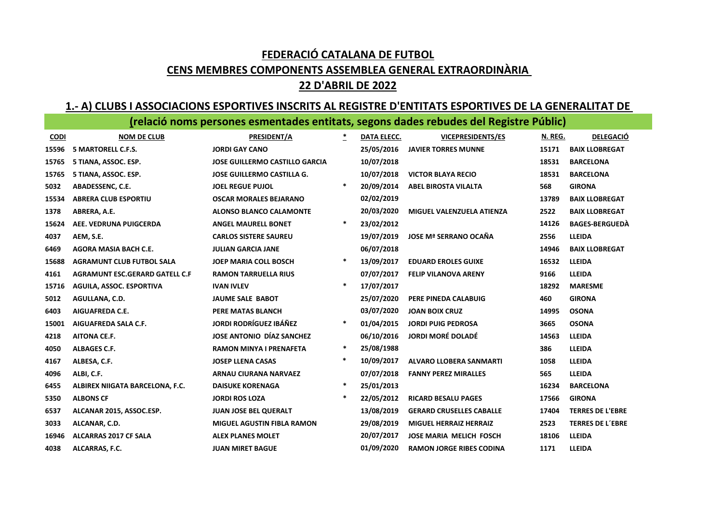# FEDERACIÓ CATALANA DE FUTBOL

### CENS MEMBRES COMPONENTS ASSEMBLEA GENERAL EXTRAORDINÀRIA

### 22 D'ABRIL DE 2022

### 1.- A) CLUBS I ASSOCIACIONS ESPORTIVES INSCRITS AL REGISTRE D'ENTITATS ESPORTIVES DE LA GENERALITAT DE

## (relació noms persones esmentades entitats, segons dades rebudes del Registre Públic)

| <b>CODI</b> | <b>NOM DE CLUB</b>               | PRESIDENT/A                           | $\ast$ | <b>DATA ELECC.</b> | <b>VICEPRESIDENTS/ES</b>        | N. REG. | <b>DELEGACIÓ</b>        |
|-------------|----------------------------------|---------------------------------------|--------|--------------------|---------------------------------|---------|-------------------------|
| 15596       | 5 MARTORELL C.F.S.               | <b>JORDI GAY CANO</b>                 |        | 25/05/2016         | <b>JAVIER TORRES MUNNE</b>      | 15171   | <b>BAIX LLOBREGAT</b>   |
| 15765       | 5 TIANA, ASSOC. ESP.             | <b>JOSE GUILLERMO CASTILLO GARCIA</b> |        | 10/07/2018         |                                 | 18531   | <b>BARCELONA</b>        |
| 15765       | 5 TIANA, ASSOC. ESP.             | <b>JOSE GUILLERMO CASTILLA G.</b>     |        | 10/07/2018         | <b>VICTOR BLAYA RECIO</b>       | 18531   | <b>BARCELONA</b>        |
| 5032        | ABADESSENC, C.E.                 | <b>JOEL REGUE PUJOL</b>               |        | 20/09/2014         | <b>ABEL BIROSTA VILALTA</b>     | 568     | <b>GIRONA</b>           |
| 15534       | <b>ABRERA CLUB ESPORTIU</b>      | <b>OSCAR MORALES BEJARANO</b>         |        | 02/02/2019         |                                 | 13789   | <b>BAIX LLOBREGAT</b>   |
| 1378        | ABRERA, A.E.                     | <b>ALONSO BLANCO CALAMONTE</b>        |        | 20/03/2020         | MIGUEL VALENZUELA ATIENZA       | 2522    | <b>BAIX LLOBREGAT</b>   |
| 15624       | AEE. VEDRUNA PUIGCERDA           | <b>ANGEL MAURELL BONET</b>            | $\ast$ | 23/02/2012         |                                 | 14126   | <b>BAGES-BERGUEDA</b>   |
| 4037        | AEM, S.E.                        | <b>CARLOS SISTERE SAUREU</b>          |        | 19/07/2019         | <b>JOSE Mª SERRANO OCAÑA</b>    | 2556    | <b>LLEIDA</b>           |
| 6469        | <b>AGORA MASIA BACH C.E.</b>     | <b>JULIAN GARCIA JANE</b>             |        | 06/07/2018         |                                 | 14946   | <b>BAIX LLOBREGAT</b>   |
| 15688       | <b>AGRAMUNT CLUB FUTBOL SALA</b> | <b>JOEP MARIA COLL BOSCH</b>          | $\ast$ | 13/09/2017         | <b>EDUARD EROLES GUIXE</b>      | 16532   | <b>LLEIDA</b>           |
| 4161        | AGRAMUNT ESC.GERARD GATELL C.F   | <b>RAMON TARRUELLA RIUS</b>           |        | 07/07/2017         | <b>FELIP VILANOVA ARENY</b>     | 9166    | <b>LLEIDA</b>           |
| 15716       | AGUILA, ASSOC. ESPORTIVA         | <b>IVAN IVLEV</b>                     | $\ast$ | 17/07/2017         |                                 | 18292   | <b>MARESME</b>          |
| 5012        | AGULLANA, C.D.                   | JAUME SALE BABOT                      |        | 25/07/2020         | PERE PINEDA CALABUIG            | 460     | <b>GIRONA</b>           |
| 6403        | <b>AIGUAFREDA C.E.</b>           | <b>PERE MATAS BLANCH</b>              |        | 03/07/2020         | <b>JOAN BOIX CRUZ</b>           | 14995   | <b>OSONA</b>            |
| 15001       | AIGUAFREDA SALA C.F.             | <b>JORDI RODRÍGUEZ IBÁÑEZ</b>         | $\ast$ | 01/04/2015         | <b>JORDI PUIG PEDROSA</b>       | 3665    | <b>OSONA</b>            |
| 4218        | <b>AITONA CE.F.</b>              | JOSE ANTONIO DÍAZ SANCHEZ             |        | 06/10/2016         | <b>JORDI MORÉ DOLADÉ</b>        | 14563   | <b>LLEIDA</b>           |
| 4050        | <b>ALBAGES C.F.</b>              | <b>RAMON MINYA I PRENAFETA</b>        | *      | 25/08/1988         |                                 | 386     | <b>LLEIDA</b>           |
| 4167        | ALBESA, C.F.                     | <b>JOSEP LLENA CASAS</b>              | $\ast$ | 10/09/2017         | <b>ALVARO LLOBERA SANMARTI</b>  | 1058    | <b>LLEIDA</b>           |
| 4096        | ALBI, C.F.                       | <b>ARNAU CIURANA NARVAEZ</b>          |        | 07/07/2018         | <b>FANNY PEREZ MIRALLES</b>     | 565     | <b>LLEIDA</b>           |
| 6455        | ALBIREX NIIGATA BARCELONA, F.C.  | <b>DAISUKE KORENAGA</b>               | $\ast$ | 25/01/2013         |                                 | 16234   | <b>BARCELONA</b>        |
| 5350        | <b>ALBONS CF</b>                 | <b>JORDI ROS LOZA</b>                 | $\ast$ | 22/05/2012         | <b>RICARD BESALU PAGES</b>      | 17566   | <b>GIRONA</b>           |
| 6537        | ALCANAR 2015, ASSOC.ESP.         | <b>JUAN JOSE BEL QUERALT</b>          |        | 13/08/2019         | <b>GERARD CRUSELLES CABALLE</b> | 17404   | <b>TERRES DE L'EBRE</b> |
| 3033        | ALCANAR, C.D.                    | <b>MIGUEL AGUSTIN FIBLA RAMON</b>     |        | 29/08/2019         | <b>MIGUEL HERRAIZ HERRAIZ</b>   | 2523    | <b>TERRES DE L'EBRE</b> |
| 16946       | ALCARRAS 2017 CF SALA            | <b>ALEX PLANES MOLET</b>              |        | 20/07/2017         | <b>JOSE MARIA MELICH FOSCH</b>  | 18106   | <b>LLEIDA</b>           |
| 4038        | ALCARRAS, F.C.                   | <b>JUAN MIRET BAGUE</b>               |        | 01/09/2020         | <b>RAMON JORGE RIBES CODINA</b> | 1171    | <b>LLEIDA</b>           |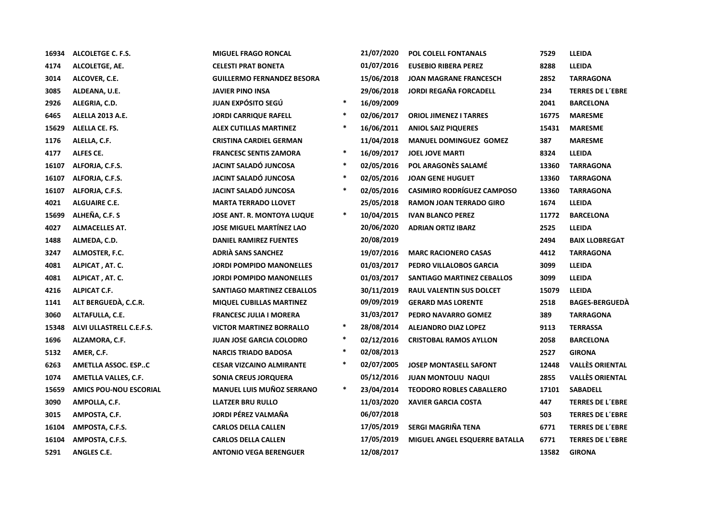| 16934 | ALCOLETGE C. F.S.             | <b>MIGUEL FRAGO RONCAL</b>        |        | 21/07/2020 | <b>POL COLELL FONTANALS</b>       | 7529  | <b>LLEIDA</b>           |
|-------|-------------------------------|-----------------------------------|--------|------------|-----------------------------------|-------|-------------------------|
| 4174  | ALCOLETGE, AE.                | <b>CELESTI PRAT BONETA</b>        |        | 01/07/2016 | <b>EUSEBIO RIBERA PEREZ</b>       | 8288  | <b>LLEIDA</b>           |
| 3014  | ALCOVER, C.E.                 | <b>GUILLERMO FERNANDEZ BESORA</b> |        | 15/06/2018 | <b>JOAN MAGRANE FRANCESCH</b>     | 2852  | <b>TARRAGONA</b>        |
| 3085  | ALDEANA, U.E.                 | <b>JAVIER PINO INSA</b>           |        | 29/06/2018 | <b>JORDI REGAÑA FORCADELL</b>     | 234   | <b>TERRES DE L'EBRE</b> |
| 2926  | ALEGRIA, C.D.                 | JUAN EXPÓSITO SEGÚ                | $\ast$ | 16/09/2009 |                                   | 2041  | <b>BARCELONA</b>        |
| 6465  | ALELLA 2013 A.E.              | <b>JORDI CARRIQUE RAFELL</b>      | $\ast$ | 02/06/2017 | <b>ORIOL JIMENEZ I TARRES</b>     | 16775 | <b>MARESME</b>          |
| 15629 | ALELLA CE. FS.                | <b>ALEX CUTILLAS MARTINEZ</b>     | $\ast$ | 16/06/2011 | <b>ANIOL SAIZ PIQUERES</b>        | 15431 | <b>MARESME</b>          |
| 1176  | ALELLA, C.F.                  | <b>CRISTINA CARDIEL GERMAN</b>    |        | 11/04/2018 | <b>MANUEL DOMINGUEZ GOMEZ</b>     | 387   | <b>MARESME</b>          |
| 4177  | ALFES CE.                     | <b>FRANCESC SENTIS ZAMORA</b>     | $\ast$ | 16/09/2017 | <b>JOEL JOVE MARTI</b>            | 8324  | <b>LLEIDA</b>           |
| 16107 | ALFORJA, C.F.S.               | JACINT SALADÓ JUNCOSA             | $\ast$ | 02/05/2016 | POL ARAGONÈS SALAMÉ               | 13360 | <b>TARRAGONA</b>        |
| 16107 | ALFORJA, C.F.S.               | JACINT SALADÓ JUNCOSA             | $\ast$ | 02/05/2016 | <b>JOAN GENE HUGUET</b>           | 13360 | <b>TARRAGONA</b>        |
| 16107 | ALFORJA, C.F.S.               | JACINT SALADÓ JUNCOSA             | $\ast$ | 02/05/2016 | <b>CASIMIRO RODRÍGUEZ CAMPOSO</b> | 13360 | <b>TARRAGONA</b>        |
| 4021  | <b>ALGUAIRE C.E.</b>          | <b>MARTA TERRADO LLOVET</b>       |        | 25/05/2018 | <b>RAMON JOAN TERRADO GIRO</b>    | 1674  | LLEIDA                  |
| 15699 | ALHEÑA, C.F. S                | <b>JOSE ANT. R. MONTOYA LUQUE</b> | $\ast$ | 10/04/2015 | <b>IVAN BLANCO PEREZ</b>          | 11772 | <b>BARCELONA</b>        |
| 4027  | <b>ALMACELLES AT.</b>         | <b>JOSE MIGUEL MARTÍNEZ LAO</b>   |        | 20/06/2020 | <b>ADRIAN ORTIZ IBARZ</b>         | 2525  | <b>LLEIDA</b>           |
| 1488  | ALMEDA, C.D.                  | <b>DANIEL RAMIREZ FUENTES</b>     |        | 20/08/2019 |                                   | 2494  | <b>BAIX LLOBREGAT</b>   |
| 3247  | ALMOSTER, F.C.                | <b>ADRIÀ SANS SANCHEZ</b>         |        | 19/07/2016 | <b>MARC RACIONERO CASAS</b>       | 4412  | <b>TARRAGONA</b>        |
| 4081  | ALPICAT, AT. C.               | <b>JORDI POMPIDO MANONELLES</b>   |        | 01/03/2017 | PEDRO VILLALOBOS GARCIA           | 3099  | <b>LLEIDA</b>           |
| 4081  | ALPICAT, AT. C.               | <b>JORDI POMPIDO MANONELLES</b>   |        | 01/03/2017 | SANTIAGO MARTINEZ CEBALLOS        | 3099  | <b>LLEIDA</b>           |
| 4216  | <b>ALPICAT C.F.</b>           | SANTIAGO MARTINEZ CEBALLOS        |        | 30/11/2019 | <b>RAUL VALENTIN SUS DOLCET</b>   | 15079 | <b>LLEIDA</b>           |
| 1141  | ALT BERGUEDÀ, C.C.R.          | <b>MIQUEL CUBILLAS MARTINEZ</b>   |        | 09/09/2019 | <b>GERARD MAS LORENTE</b>         | 2518  | <b>BAGES-BERGUEDA</b>   |
| 3060  | ALTAFULLA, C.E.               | <b>FRANCESC JULIA I MORERA</b>    |        | 31/03/2017 | PEDRO NAVARRO GOMEZ               | 389   | <b>TARRAGONA</b>        |
| 15348 | ALVI ULLASTRELL C.E.F.S.      | <b>VICTOR MARTINEZ BORRALLO</b>   | $\ast$ | 28/08/2014 | <b>ALEJANDRO DIAZ LOPEZ</b>       | 9113  | <b>TERRASSA</b>         |
| 1696  | ALZAMORA, C.F.                | <b>JUAN JOSE GARCIA COLODRO</b>   | $\ast$ | 02/12/2016 | <b>CRISTOBAL RAMOS AYLLON</b>     | 2058  | <b>BARCELONA</b>        |
| 5132  | AMER, C.F.                    | <b>NARCIS TRIADO BADOSA</b>       | $\ast$ | 02/08/2013 |                                   | 2527  | <b>GIRONA</b>           |
| 6263  | AMETLLA ASSOC. ESPC           | <b>CESAR VIZCAINO ALMIRANTE</b>   | $\ast$ | 02/07/2005 | <b>JOSEP MONTASELL SAFONT</b>     | 12448 | <b>VALLÈS ORIENTAL</b>  |
| 1074  | AMETLLA VALLES, C.F.          | SONIA CREUS JORQUERA              |        | 05/12/2016 | <b>JUAN MONTOLIU NAQUI</b>        | 2855  | <b>VALLÈS ORIENTAL</b>  |
| 15659 | <b>AMICS POU-NOU ESCORIAL</b> | <b>MANUEL LUIS MUÑOZ SERRANO</b>  | $\ast$ | 23/04/2014 | <b>TEODORO ROBLES CABALLERO</b>   | 17101 | <b>SABADELL</b>         |
| 3090  | AMPOLLA, C.F.                 | <b>LLATZER BRU RULLO</b>          |        | 11/03/2020 | <b>XAVIER GARCIA COSTA</b>        | 447   | <b>TERRES DE L'EBRE</b> |
| 3015  | AMPOSTA, C.F.                 | JORDI PÉREZ VALMAÑA               |        | 06/07/2018 |                                   | 503   | <b>TERRES DE L'EBRE</b> |
| 16104 | AMPOSTA, C.F.S.               | <b>CARLOS DELLA CALLEN</b>        |        | 17/05/2019 | SERGI MAGRIÑA TENA                | 6771  | <b>TERRES DE L'EBRE</b> |
| 16104 | AMPOSTA, C.F.S.               | <b>CARLOS DELLA CALLEN</b>        |        | 17/05/2019 | MIGUEL ANGEL ESQUERRE BATALLA     | 6771  | <b>TERRES DE L'EBRE</b> |
| 5291  | ANGLES C.E.                   | <b>ANTONIO VEGA BERENGUER</b>     |        | 12/08/2017 |                                   | 13582 | <b>GIRONA</b>           |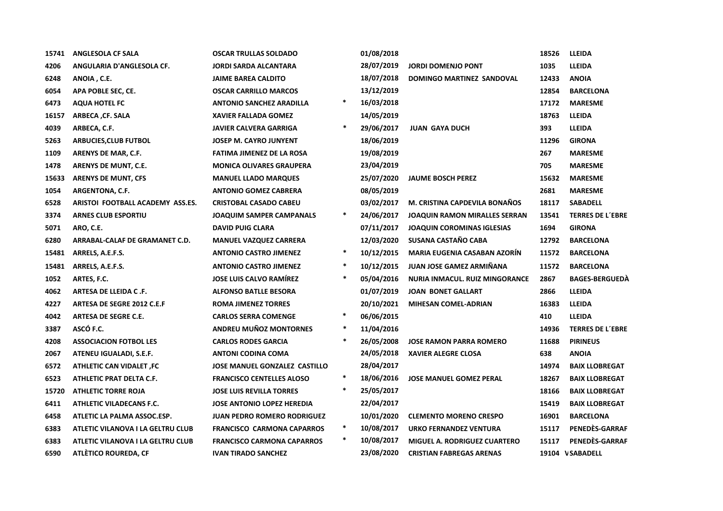| 15741 | <b>ANGLESOLA CF SALA</b>          | <b>OSCAR TRULLAS SOLDADO</b>         |        | 01/08/2018 |                                       | 18526 | <b>LLEIDA</b>           |
|-------|-----------------------------------|--------------------------------------|--------|------------|---------------------------------------|-------|-------------------------|
| 4206  | ANGULARIA D'ANGLESOLA CF.         | <b>JORDI SARDA ALCANTARA</b>         |        | 28/07/2019 | <b>JORDI DOMENJO PONT</b>             | 1035  | <b>LLEIDA</b>           |
| 6248  | ANOIA, C.E.                       | <b>JAIME BAREA CALDITO</b>           |        | 18/07/2018 | DOMINGO MARTINEZ SANDOVAL             | 12433 | <b>ANOIA</b>            |
| 6054  | APA POBLE SEC, CE.                | <b>OSCAR CARRILLO MARCOS</b>         |        | 13/12/2019 |                                       | 12854 | <b>BARCELONA</b>        |
| 6473  | <b>AQUA HOTEL FC</b>              | <b>ANTONIO SANCHEZ ARADILLA</b>      | $\ast$ | 16/03/2018 |                                       | 17172 | <b>MARESME</b>          |
| 16157 | ARBECA, CF. SALA                  | <b>XAVIER FALLADA GOMEZ</b>          |        | 14/05/2019 |                                       | 18763 | <b>LLEIDA</b>           |
| 4039  | ARBECA, C.F.                      | <b>JAVIER CALVERA GARRIGA</b>        | $\ast$ | 29/06/2017 | <b>JUAN GAYA DUCH</b>                 | 393   | <b>LLEIDA</b>           |
| 5263  | <b>ARBUCIES, CLUB FUTBOL</b>      | <b>JOSEP M. CAYRO JUNYENT</b>        |        | 18/06/2019 |                                       | 11296 | <b>GIRONA</b>           |
| 1109  | ARENYS DE MAR, C.F.               | <b>FATIMA JIMENEZ DE LA ROSA</b>     |        | 19/08/2019 |                                       | 267   | <b>MARESME</b>          |
| 1478  | ARENYS DE MUNT, C.E.              | <b>MONICA OLIVARES GRAUPERA</b>      |        | 23/04/2019 |                                       | 705   | <b>MARESME</b>          |
| 15633 | <b>ARENYS DE MUNT, CFS</b>        | <b>MANUEL LLADO MARQUES</b>          |        | 25/07/2020 | <b>JAUME BOSCH PEREZ</b>              | 15632 | <b>MARESME</b>          |
| 1054  | ARGENTONA, C.F.                   | <b>ANTONIO GOMEZ CABRERA</b>         |        | 08/05/2019 |                                       | 2681  | <b>MARESME</b>          |
| 6528  | ARISTOI FOOTBALL ACADEMY ASS.ES.  | <b>CRISTOBAL CASADO CABEU</b>        |        | 03/02/2017 | M. CRISTINA CAPDEVILA BONAÑOS         | 18117 | <b>SABADELL</b>         |
| 3374  | <b>ARNES CLUB ESPORTIU</b>        | <b>JOAQUIM SAMPER CAMPANALS</b>      | $\ast$ | 24/06/2017 | <b>JOAQUIN RAMON MIRALLES SERRAN</b>  | 13541 | <b>TERRES DE L'EBRE</b> |
| 5071  | ARO, C.E.                         | <b>DAVID PUIG CLARA</b>              |        | 07/11/2017 | <b>JOAQUIN COROMINAS IGLESIAS</b>     | 1694  | <b>GIRONA</b>           |
| 6280  | ARRABAL-CALAF DE GRAMANET C.D.    | <b>MANUEL VAZQUEZ CARRERA</b>        |        | 12/03/2020 | SUSANA CASTAÑO CABA                   | 12792 | <b>BARCELONA</b>        |
| 15481 | ARRELS, A.E.F.S.                  | <b>ANTONIO CASTRO JIMENEZ</b>        | $\ast$ | 10/12/2015 | <b>MARIA EUGENIA CASABAN AZORÍN</b>   | 11572 | <b>BARCELONA</b>        |
| 15481 | ARRELS, A.E.F.S.                  | <b>ANTONIO CASTRO JIMENEZ</b>        | $\ast$ | 10/12/2015 | <b>JUAN JOSE GAMEZ ARMIÑANA</b>       | 11572 | <b>BARCELONA</b>        |
| 1052  | ARTES, F.C.                       | <b>JOSE LUIS CALVO RAMIREZ</b>       | $\ast$ | 05/04/2016 | <b>NURIA INMACUL. RUIZ MINGORANCE</b> | 2867  | <b>BAGES-BERGUEDA</b>   |
| 4062  | ARTESA DE LLEIDA C.F.             | <b>ALFONSO BATLLE BESORA</b>         |        | 01/07/2019 | <b>JOAN BONET GALLART</b>             | 2866  | <b>LLEIDA</b>           |
| 4227  | ARTESA DE SEGRE 2012 C.E.F        | <b>ROMA JIMENEZ TORRES</b>           |        | 20/10/2021 | MIHESAN COMEL-ADRIAN                  | 16383 | <b>LLEIDA</b>           |
| 4042  | <b>ARTESA DE SEGRE C.E.</b>       | <b>CARLOS SERRA COMENGE</b>          | $\ast$ | 06/06/2015 |                                       | 410   | <b>LLEIDA</b>           |
| 3387  | ASCÓ F.C.                         | ANDREU MUÑOZ MONTORNES               | $\ast$ | 11/04/2016 |                                       | 14936 | <b>TERRES DE L'EBRE</b> |
| 4208  | <b>ASSOCIACION FOTBOL LES</b>     | <b>CARLOS RODES GARCIA</b>           | $\ast$ | 26/05/2008 | <b>JOSE RAMON PARRA ROMERO</b>        | 11688 | <b>PIRINEUS</b>         |
| 2067  | ATENEU IGUALADI, S.E.F.           | <b>ANTONI CODINA COMA</b>            |        | 24/05/2018 | <b>XAVIER ALEGRE CLOSA</b>            | 638   | <b>ANOIA</b>            |
| 6572  | <b>ATHLETIC CAN VIDALET, FC</b>   | <b>JOSE MANUEL GONZALEZ CASTILLO</b> |        | 28/04/2017 |                                       | 14974 | <b>BAIX LLOBREGAT</b>   |
| 6523  | ATHLETIC PRAT DELTA C.F.          | <b>FRANCISCO CENTELLES ALOSO</b>     | $\ast$ | 18/06/2016 | <b>JOSE MANUEL GOMEZ PERAL</b>        | 18267 | <b>BAIX LLOBREGAT</b>   |
| 15720 | <b>ATHLETIC TORRE ROJA</b>        | <b>JOSE LUIS REVILLA TORRES</b>      | $\ast$ | 25/05/2017 |                                       | 18166 | <b>BAIX LLOBREGAT</b>   |
| 6411  | ATHLETIC VILADECANS F.C.          | <b>JOSE ANTONIO LOPEZ HEREDIA</b>    |        | 22/04/2017 |                                       | 15419 | <b>BAIX LLOBREGAT</b>   |
| 6458  | ATLETIC LA PALMA ASSOC.ESP.       | <b>JUAN PEDRO ROMERO RODRIGUEZ</b>   |        | 10/01/2020 | <b>CLEMENTO MORENO CRESPO</b>         | 16901 | <b>BARCELONA</b>        |
| 6383  | ATLETIC VILANOVA I LA GELTRU CLUB | <b>FRANCISCO CARMONA CAPARROS</b>    | $\ast$ | 10/08/2017 | URKO FERNANDEZ VENTURA                | 15117 | PENEDES-GARRAF          |
| 6383  | ATLETIC VILANOVA I LA GELTRU CLUB | <b>FRANCISCO CARMONA CAPARROS</b>    | $\ast$ | 10/08/2017 | <b>MIGUEL A. RODRIGUEZ CUARTERO</b>   | 15117 | PENEDES-GARRAF          |
| 6590  | ATLÈTICO ROUREDA, CF              | <b>IVAN TIRADO SANCHEZ</b>           |        | 23/08/2020 | <b>CRISTIAN FABREGAS ARENAS</b>       |       | 19104 VSABADELL         |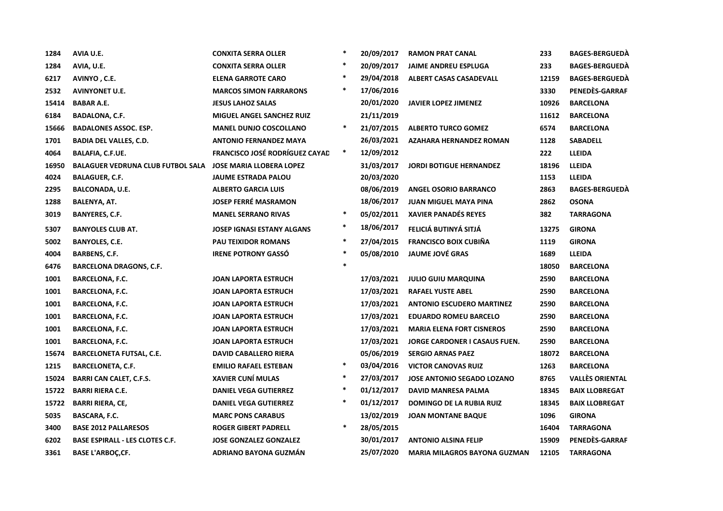| 1284  | AVIA U.E.                                | <b>CONXITA SERRA OLLER</b>        | $\ast$ | 20/09/2017 | <b>RAMON PRAT CANAL</b>             | 233   | <b>BAGES-BERGUEDA</b>  |
|-------|------------------------------------------|-----------------------------------|--------|------------|-------------------------------------|-------|------------------------|
| 1284  | AVIA, U.E.                               | <b>CONXITA SERRA OLLER</b>        | $\ast$ | 20/09/2017 | <b>JAIME ANDREU ESPLUGA</b>         | 233   | <b>BAGES-BERGUEDA</b>  |
| 6217  | AVINYO, C.E.                             | <b>ELENA GARROTE CARO</b>         | $\ast$ | 29/04/2018 | <b>ALBERT CASAS CASADEVALL</b>      | 12159 | <b>BAGES-BERGUEDA</b>  |
| 2532  | <b>AVINYONET U.E.</b>                    | <b>MARCOS SIMON FARRARONS</b>     | $\ast$ | 17/06/2016 |                                     | 3330  | PENEDÈS-GARRAF         |
| 15414 | <b>BABAR A.E.</b>                        | <b>JESUS LAHOZ SALAS</b>          |        | 20/01/2020 | <b>JAVIER LOPEZ JIMENEZ</b>         | 10926 | <b>BARCELONA</b>       |
| 6184  | <b>BADALONA, C.F.</b>                    | <b>MIGUEL ANGEL SANCHEZ RUIZ</b>  |        | 21/11/2019 |                                     | 11612 | <b>BARCELONA</b>       |
| 15666 | <b>BADALONES ASSOC. ESP.</b>             | <b>MANEL DUNJO COSCOLLANO</b>     | $\ast$ | 21/07/2015 | <b>ALBERTO TURCO GOMEZ</b>          | 6574  | <b>BARCELONA</b>       |
| 1701  | <b>BADIA DEL VALLES, C.D.</b>            | <b>ANTONIO FERNANDEZ MAYA</b>     |        | 26/03/2021 | AZAHARA HERNANDEZ ROMAN             | 1128  | <b>SABADELL</b>        |
| 4064  | <b>BALAFIA, C.F.UE.</b>                  | FRANCISCO JOSÉ RODRÍGUEZ CAYAD    | $\ast$ | 12/09/2012 |                                     | 222   | <b>LLEIDA</b>          |
| 16950 | <b>BALAGUER VEDRUNA CLUB FUTBOL SALA</b> | <b>JOSE MARIA LLOBERA LOPEZ</b>   |        | 31/03/2017 | <b>JORDI BOTIGUE HERNANDEZ</b>      | 18196 | <b>LLEIDA</b>          |
| 4024  | <b>BALAGUER, C.F.</b>                    | <b>JAUME ESTRADA PALOU</b>        |        | 20/03/2020 |                                     | 1153  | <b>LLEIDA</b>          |
| 2295  | <b>BALCONADA, U.E.</b>                   | <b>ALBERTO GARCIA LUIS</b>        |        | 08/06/2019 | <b>ANGEL OSORIO BARRANCO</b>        | 2863  | <b>BAGES-BERGUEDA</b>  |
| 1288  | <b>BALENYA, AT.</b>                      | <b>JOSEP FERRÉ MASRAMON</b>       |        | 18/06/2017 | <b>JUAN MIGUEL MAYA PINA</b>        | 2862  | <b>OSONA</b>           |
| 3019  | <b>BANYERES, C.F.</b>                    | <b>MANEL SERRANO RIVAS</b>        | $\ast$ | 05/02/2011 | <b>XAVIER PANADÉS REYES</b>         | 382   | <b>TARRAGONA</b>       |
| 5307  | <b>BANYOLES CLUB AT.</b>                 | <b>JOSEP IGNASI ESTANY ALGANS</b> | ∗      | 18/06/2017 | FELICIÁ BUTINYÁ SITJÁ               | 13275 | <b>GIRONA</b>          |
| 5002  | <b>BANYOLES, C.E.</b>                    | <b>PAU TEIXIDOR ROMANS</b>        | $\ast$ | 27/04/2015 | <b>FRANCISCO BOIX CUBIÑA</b>        | 1119  | <b>GIRONA</b>          |
| 4004  | <b>BARBENS, C.F.</b>                     | <b>IRENE POTRONY GASSÓ</b>        | $\ast$ | 05/08/2010 | <b>JAUME JOVÉ GRAS</b>              | 1689  | <b>LLEIDA</b>          |
| 6476  | <b>BARCELONA DRAGONS, C.F.</b>           |                                   | $\ast$ |            |                                     | 18050 | <b>BARCELONA</b>       |
| 1001  | <b>BARCELONA, F.C.</b>                   | <b>JOAN LAPORTA ESTRUCH</b>       |        | 17/03/2021 | <b>JULIO GUIU MARQUINA</b>          | 2590  | <b>BARCELONA</b>       |
| 1001  | <b>BARCELONA, F.C.</b>                   | <b>JOAN LAPORTA ESTRUCH</b>       |        | 17/03/2021 | <b>RAFAEL YUSTE ABEL</b>            | 2590  | <b>BARCELONA</b>       |
| 1001  | <b>BARCELONA, F.C.</b>                   | <b>JOAN LAPORTA ESTRUCH</b>       |        | 17/03/2021 | <b>ANTONIO ESCUDERO MARTINEZ</b>    | 2590  | <b>BARCELONA</b>       |
| 1001  | <b>BARCELONA, F.C.</b>                   | <b>JOAN LAPORTA ESTRUCH</b>       |        | 17/03/2021 | <b>EDUARDO ROMEU BARCELO</b>        | 2590  | <b>BARCELONA</b>       |
| 1001  | <b>BARCELONA, F.C.</b>                   | <b>JOAN LAPORTA ESTRUCH</b>       |        | 17/03/2021 | <b>MARIA ELENA FORT CISNEROS</b>    | 2590  | <b>BARCELONA</b>       |
| 1001  | <b>BARCELONA, F.C.</b>                   | <b>JOAN LAPORTA ESTRUCH</b>       |        | 17/03/2021 | JORGE CARDONER I CASAUS FUEN.       | 2590  | <b>BARCELONA</b>       |
| 15674 | <b>BARCELONETA FUTSAL, C.E.</b>          | <b>DAVID CABALLERO RIERA</b>      |        | 05/06/2019 | <b>SERGIO ARNAS PAEZ</b>            | 18072 | <b>BARCELONA</b>       |
| 1215  | <b>BARCELONETA, C.F.</b>                 | <b>EMILIO RAFAEL ESTEBAN</b>      | $\ast$ | 03/04/2016 | <b>VICTOR CANOVAS RUIZ</b>          | 1263  | <b>BARCELONA</b>       |
| 15024 | <b>BARRI CAN CALET, C.F.S.</b>           | <b>XAVIER CUNÍ MULAS</b>          | $\ast$ | 27/03/2017 | <b>JOSE ANTONIO SEGADO LOZANO</b>   | 8765  | <b>VALLÈS ORIENTAL</b> |
| 15722 | <b>BARRI RIERA C.E.</b>                  | <b>DANIEL VEGA GUTIERREZ</b>      | $\ast$ | 01/12/2017 | DAVID MANRESA PALMA                 | 18345 | <b>BAIX LLOBREGAT</b>  |
| 15722 | <b>BARRI RIERA, CE,</b>                  | <b>DANIEL VEGA GUTIERREZ</b>      | $\ast$ | 01/12/2017 | <b>DOMINGO DE LA RUBIA RUIZ</b>     | 18345 | <b>BAIX LLOBREGAT</b>  |
| 5035  | <b>BASCARA, F.C.</b>                     | <b>MARC PONS CARABUS</b>          |        | 13/02/2019 | <b>JOAN MONTANE BAQUE</b>           | 1096  | <b>GIRONA</b>          |
| 3400  | <b>BASE 2012 PALLARESOS</b>              | <b>ROGER GIBERT PADRELL</b>       | $\ast$ | 28/05/2015 |                                     | 16404 | <b>TARRAGONA</b>       |
| 6202  | <b>BASE ESPIRALL - LES CLOTES C.F.</b>   | <b>JOSE GONZALEZ GONZALEZ</b>     |        | 30/01/2017 | <b>ANTONIO ALSINA FELIP</b>         | 15909 | PENEDÈS-GARRAF         |
| 3361  | <b>BASE L'ARBOC,CF.</b>                  | ADRIANO BAYONA GUZMÁN             |        | 25/07/2020 | <b>MARIA MILAGROS BAYONA GUZMAN</b> | 12105 | <b>TARRAGONA</b>       |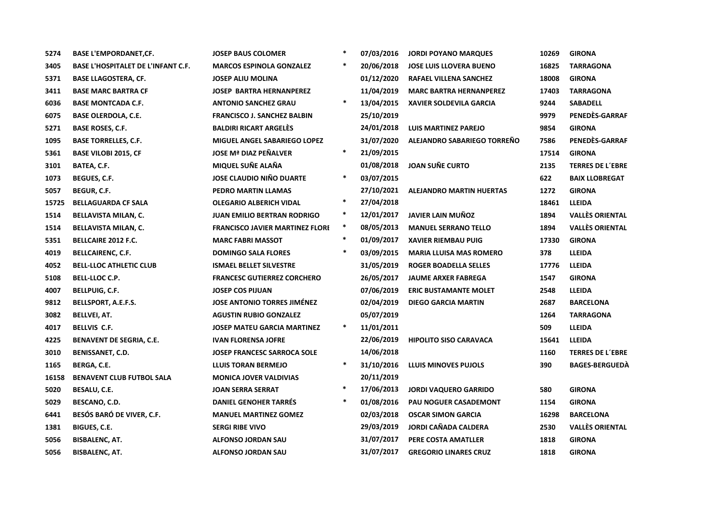| 5274  | <b>BASE L'EMPORDANET, CF.</b>             | <b>JOSEP BAUS COLOMER</b>              | $\ast$ | 07/03/2016 | <b>JORDI POYANO MARQUES</b>     | 10269 | <b>GIRONA</b>           |
|-------|-------------------------------------------|----------------------------------------|--------|------------|---------------------------------|-------|-------------------------|
| 3405  | <b>BASE L'HOSPITALET DE L'INFANT C.F.</b> | <b>MARCOS ESPINOLA GONZALEZ</b>        | *      | 20/06/2018 | <b>JOSE LUIS LLOVERA BUENO</b>  | 16825 | <b>TARRAGONA</b>        |
| 5371  | <b>BASE LLAGOSTERA, CF.</b>               | <b>JOSEP ALIU MOLINA</b>               |        | 01/12/2020 | RAFAEL VILLENA SANCHEZ          | 18008 | <b>GIRONA</b>           |
| 3411  | <b>BASE MARC BARTRA CF</b>                | <b>JOSEP BARTRA HERNANPEREZ</b>        |        | 11/04/2019 | <b>MARC BARTRA HERNANPEREZ</b>  | 17403 | <b>TARRAGONA</b>        |
| 6036  | <b>BASE MONTCADA C.F.</b>                 | <b>ANTONIO SANCHEZ GRAU</b>            | $\ast$ | 13/04/2015 | <b>XAVIER SOLDEVILA GARCIA</b>  | 9244  | <b>SABADELL</b>         |
| 6075  | <b>BASE OLERDOLA, C.E.</b>                | <b>FRANCISCO J. SANCHEZ BALBIN</b>     |        | 25/10/2019 |                                 | 9979  | PENEDÈS-GARRAF          |
| 5271  | <b>BASE ROSES, C.F.</b>                   | <b>BALDIRI RICART ARGELÈS</b>          |        | 24/01/2018 | <b>LUIS MARTINEZ PAREJO</b>     | 9854  | <b>GIRONA</b>           |
| 1095  | <b>BASE TORRELLES, C.F.</b>               | <b>MIGUEL ANGEL SABARIEGO LOPEZ</b>    |        | 31/07/2020 | ALEJANDRO SABARIEGO TORREÑO     | 7586  | PENEDÈS-GARRAF          |
| 5361  | <b>BASE VILOBI 2015, CF</b>               | <b>JOSE Mª DIAZ PEÑALVER</b>           | $\ast$ | 21/09/2015 |                                 | 17514 | <b>GIRONA</b>           |
| 3101  | BATEA, C.F.                               | MIQUEL SUÑE ALAÑA                      |        | 01/08/2018 | <b>JOAN SUÑE CURTO</b>          | 2135  | <b>TERRES DE L'EBRE</b> |
| 1073  | BEGUES, C.F.                              | <b>JOSE CLAUDIO NIÑO DUARTE</b>        | $\ast$ | 03/07/2015 |                                 | 622   | <b>BAIX LLOBREGAT</b>   |
| 5057  | BEGUR, C.F.                               | PEDRO MARTIN LLAMAS                    |        | 27/10/2021 | <b>ALEJANDRO MARTIN HUERTAS</b> | 1272  | <b>GIRONA</b>           |
| 15725 | <b>BELLAGUARDA CF SALA</b>                | <b>OLEGARIO ALBERICH VIDAL</b>         |        | 27/04/2018 |                                 | 18461 | <b>LLEIDA</b>           |
| 1514  | <b>BELLAVISTA MILAN, C.</b>               | <b>JUAN EMILIO BERTRAN RODRIGO</b>     |        | 12/01/2017 | <b>JAVIER LAIN MUÑOZ</b>        | 1894  | <b>VALLÈS ORIENTAL</b>  |
| 1514  | <b>BELLAVISTA MILAN, C.</b>               | <b>FRANCISCO JAVIER MARTINEZ FLORE</b> | $\ast$ | 08/05/2013 | <b>MANUEL SERRANO TELLO</b>     | 1894  | <b>VALLÈS ORIENTAL</b>  |
| 5351  | <b>BELLCAIRE 2012 F.C.</b>                | <b>MARC FABRI MASSOT</b>               | $\ast$ | 01/09/2017 | <b>XAVIER RIEMBAU PUIG</b>      | 17330 | <b>GIRONA</b>           |
| 4019  | <b>BELLCAIRENC, C.F.</b>                  | <b>DOMINGO SALA FLORES</b>             | $\ast$ | 03/09/2015 | <b>MARIA LLUISA MAS ROMERO</b>  | 378   | LLEIDA                  |
| 4052  | <b>BELL-LLOC ATHLETIC CLUB</b>            | <b>ISMAEL BELLET SILVESTRE</b>         |        | 31/05/2019 | <b>ROGER BOADELLA SELLES</b>    | 17776 | LLEIDA                  |
| 5108  | BELL-LLOC C.P.                            | <b>FRANCESC GUTIERREZ CORCHERO</b>     |        | 26/05/2017 | <b>JAUME ARXER FABREGA</b>      | 1547  | <b>GIRONA</b>           |
| 4007  | <b>BELLPUIG, C.F.</b>                     | <b>JOSEP COS PIJUAN</b>                |        | 07/06/2019 | <b>ERIC BUSTAMANTE MOLET</b>    | 2548  | <b>LLEIDA</b>           |
| 9812  | <b>BELLSPORT, A.E.F.S.</b>                | <b>JOSE ANTONIO TORRES JIMÉNEZ</b>     |        | 02/04/2019 | <b>DIEGO GARCIA MARTIN</b>      | 2687  | <b>BARCELONA</b>        |
| 3082  | <b>BELLVEI, AT.</b>                       | <b>AGUSTIN RUBIO GONZALEZ</b>          |        | 05/07/2019 |                                 | 1264  | <b>TARRAGONA</b>        |
| 4017  | <b>BELLVIS C.F.</b>                       | <b>JOSEP MATEU GARCIA MARTINEZ</b>     | $\ast$ | 11/01/2011 |                                 | 509   | LLEIDA                  |
| 4225  | BENAVENT DE SEGRIA, C.E.                  | IVAN FLORENSA JOFRE                    |        | 22/06/2019 | <b>HIPOLITO SISO CARAVACA</b>   | 15641 | <b>LLEIDA</b>           |
| 3010  | <b>BENISSANET, C.D.</b>                   | <b>JOSEP FRANCESC SARROCA SOLE</b>     |        | 14/06/2018 |                                 | 1160  | <b>TERRES DE L'EBRE</b> |
| 1165  | BERGA, C.E.                               | <b>LLUIS TORAN BERMEJO</b>             | $\ast$ | 31/10/2016 | <b>LLUIS MINOVES PUJOLS</b>     | 390   | <b>BAGES-BERGUEDA</b>   |
| 16158 | <b>BENAVENT CLUB FUTBOL SALA</b>          | <b>MONICA JOVER VALDIVIAS</b>          |        | 20/11/2019 |                                 |       |                         |
| 5020  | BESALU, C.E.                              | <b>JOAN SERRA SERRAT</b>               | *      | 17/06/2013 | <b>JORDI VAQUERO GARRIDO</b>    | 580   | <b>GIRONA</b>           |
| 5029  | BESCANO, C.D.                             | <b>DANIEL GENOHER TARRES</b>           | $\ast$ | 01/08/2016 | PAU NOGUER CASADEMONT           | 1154  | <b>GIRONA</b>           |
| 6441  | BESÓS BARÓ DE VIVER, C.F.                 | <b>MANUEL MARTINEZ GOMEZ</b>           |        | 02/03/2018 | <b>OSCAR SIMON GARCIA</b>       | 16298 | <b>BARCELONA</b>        |
| 1381  | BIGUES, C.E.                              | <b>SERGI RIBE VIVO</b>                 |        | 29/03/2019 | JORDI CAÑADA CALDERA            | 2530  | <b>VALLÈS ORIENTAL</b>  |
| 5056  | <b>BISBALENC, AT.</b>                     | <b>ALFONSO JORDAN SAU</b>              |        | 31/07/2017 | PERE COSTA AMATLLER             | 1818  | <b>GIRONA</b>           |
| 5056  | <b>BISBALENC, AT.</b>                     | <b>ALFONSO JORDAN SAU</b>              |        | 31/07/2017 | <b>GREGORIO LINARES CRUZ</b>    | 1818  | <b>GIRONA</b>           |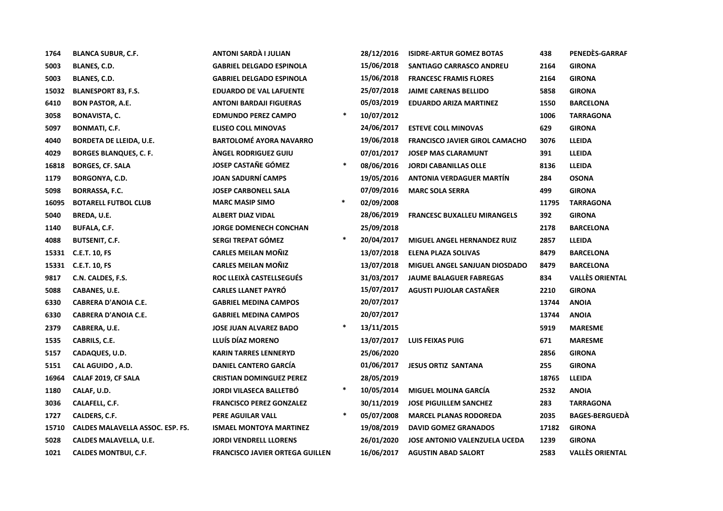| 1764  | <b>BLANCA SUBUR, C.F.</b>        | ANTONI SARDÀ I JULIAN                  |        | 28/12/2016 | <b>ISIDRE-ARTUR GOMEZ BOTAS</b>       | 438   | PENEDÈS-GARRAF         |
|-------|----------------------------------|----------------------------------------|--------|------------|---------------------------------------|-------|------------------------|
| 5003  | <b>BLANES, C.D.</b>              | <b>GABRIEL DELGADO ESPINOLA</b>        |        | 15/06/2018 | SANTIAGO CARRASCO ANDREU              | 2164  | <b>GIRONA</b>          |
| 5003  | <b>BLANES, C.D.</b>              | <b>GABRIEL DELGADO ESPINOLA</b>        |        | 15/06/2018 | <b>FRANCESC FRAMIS FLORES</b>         | 2164  | <b>GIRONA</b>          |
| 15032 | <b>BLANESPORT 83, F.S.</b>       | <b>EDUARDO DE VAL LAFUENTE</b>         |        | 25/07/2018 | <b>JAIME CARENAS BELLIDO</b>          | 5858  | <b>GIRONA</b>          |
| 6410  | <b>BON PASTOR, A.E.</b>          | <b>ANTONI BARDAJI FIGUERAS</b>         |        | 05/03/2019 | <b>EDUARDO ARIZA MARTINEZ</b>         | 1550  | <b>BARCELONA</b>       |
| 3058  | <b>BONAVISTA, C.</b>             | <b>EDMUNDO PEREZ CAMPO</b>             | $\ast$ | 10/07/2012 |                                       | 1006  | <b>TARRAGONA</b>       |
| 5097  | <b>BONMATI, C.F.</b>             | <b>ELISEO COLL MINOVAS</b>             |        | 24/06/2017 | <b>ESTEVE COLL MINOVAS</b>            | 629   | <b>GIRONA</b>          |
| 4040  | <b>BORDETA DE LLEIDA, U.E.</b>   | <b>BARTOLOMÉ AYORA NAVARRO</b>         |        | 19/06/2018 | <b>FRANCISCO JAVIER GIROL CAMACHO</b> | 3076  | <b>LLEIDA</b>          |
| 4029  | <b>BORGES BLANQUES, C. F.</b>    | ÀNGEL RODRIGUEZ GUIU                   |        | 07/01/2017 | <b>JOSEP MAS CLARAMUNT</b>            | 391   | <b>LLEIDA</b>          |
| 16818 | <b>BORGES, CF. SALA</b>          | <b>JOSEP CASTAÑE GÓMEZ</b>             | $\ast$ | 08/06/2016 | <b>JORDI CABANILLAS OLLE</b>          | 8136  | LLEIDA                 |
| 1179  | <b>BORGONYA, C.D.</b>            | <b>JOAN SADURNÍ CAMPS</b>              |        | 19/05/2016 | <b>ANTONIA VERDAGUER MARTÍN</b>       | 284   | <b>OSONA</b>           |
| 5098  | <b>BORRASSA, F.C.</b>            | <b>JOSEP CARBONELL SALA</b>            |        | 07/09/2016 | <b>MARC SOLA SERRA</b>                | 499   | <b>GIRONA</b>          |
| 16095 | <b>BOTARELL FUTBOL CLUB</b>      | <b>MARC MASIP SIMO</b>                 | $\ast$ | 02/09/2008 |                                       | 11795 | <b>TARRAGONA</b>       |
| 5040  | BREDA, U.E.                      | <b>ALBERT DIAZ VIDAL</b>               |        | 28/06/2019 | <b>FRANCESC BUXALLEU MIRANGELS</b>    | 392   | <b>GIRONA</b>          |
| 1140  | <b>BUFALA, C.F.</b>              | <b>JORGE DOMENECH CONCHAN</b>          |        | 25/09/2018 |                                       | 2178  | <b>BARCELONA</b>       |
| 4088  | <b>BUTSENIT, C.F.</b>            | SERGI TREPAT GÓMEZ                     | $\ast$ | 20/04/2017 | <b>MIGUEL ANGEL HERNANDEZ RUIZ</b>    | 2857  | <b>LLEIDA</b>          |
|       | 15331 C.E.T. 10, FS              | <b>CARLES MEILAN MOÑIZ</b>             |        | 13/07/2018 | <b>ELENA PLAZA SOLIVAS</b>            | 8479  | <b>BARCELONA</b>       |
|       | 15331 C.E.T. 10, FS              | <b>CARLES MEILAN MOÑIZ</b>             |        | 13/07/2018 | <b>MIGUEL ANGEL SANJUAN DIOSDADO</b>  | 8479  | <b>BARCELONA</b>       |
| 9817  | C.N. CALDES, F.S.                | ROC LLEIXÀ CASTELLSEGUÉS               |        | 31/03/2017 | <b>JAUME BALAGUER FABREGAS</b>        | 834   | <b>VALLÈS ORIENTAL</b> |
| 5088  | CABANES, U.E.                    | <b>CARLES LLANET PAYRO</b>             |        | 15/07/2017 | AGUSTI PUJOLAR CASTAÑER               | 2210  | <b>GIRONA</b>          |
| 6330  | <b>CABRERA D'ANOIA C.E.</b>      | <b>GABRIEL MEDINA CAMPOS</b>           |        | 20/07/2017 |                                       | 13744 | <b>ANOIA</b>           |
| 6330  | <b>CABRERA D'ANOIA C.E.</b>      | <b>GABRIEL MEDINA CAMPOS</b>           |        | 20/07/2017 |                                       | 13744 | <b>ANOIA</b>           |
| 2379  | CABRERA, U.E.                    | <b>JOSE JUAN ALVAREZ BADO</b>          | $\ast$ | 13/11/2015 |                                       | 5919  | <b>MARESME</b>         |
| 1535  | CABRILS, C.E.                    | LLUÍS DÍAZ MORENO                      |        | 13/07/2017 | <b>LUIS FEIXAS PUIG</b>               | 671   | <b>MARESME</b>         |
| 5157  | CADAQUES, U.D.                   | <b>KARIN TARRES LENNERYD</b>           |        | 25/06/2020 |                                       | 2856  | <b>GIRONA</b>          |
| 5151  | CAL AGUIDO, A.D.                 | <b>DANIEL CANTERO GARCÍA</b>           |        | 01/06/2017 | <b>JESUS ORTIZ SANTANA</b>            | 255   | <b>GIRONA</b>          |
| 16964 | CALAF 2019, CF SALA              | <b>CRISTIAN DOMINGUEZ PEREZ</b>        |        | 28/05/2019 |                                       | 18765 | LLEIDA                 |
| 1180  | CALAF, U.D.                      | <b>JORDI VILASECA BALLETBÓ</b>         | $\ast$ | 10/05/2014 | <b>MIGUEL MOLINA GARCÍA</b>           | 2532  | <b>ANOIA</b>           |
| 3036  | CALAFELL, C.F.                   | <b>FRANCISCO PEREZ GONZALEZ</b>        |        | 30/11/2019 | <b>JOSE PIGUILLEM SANCHEZ</b>         | 283   | <b>TARRAGONA</b>       |
| 1727  | CALDERS, C.F.                    | PERE AGUILAR VALL                      | $\ast$ | 05/07/2008 | <b>MARCEL PLANAS RODOREDA</b>         | 2035  | <b>BAGES-BERGUEDA</b>  |
| 15710 | CALDES MALAVELLA ASSOC. ESP. FS. | <b>ISMAEL MONTOYA MARTINEZ</b>         |        | 19/08/2019 | <b>DAVID GOMEZ GRANADOS</b>           | 17182 | <b>GIRONA</b>          |
| 5028  | <b>CALDES MALAVELLA, U.E.</b>    | <b>JORDI VENDRELL LLORENS</b>          |        | 26/01/2020 | <b>JOSE ANTONIO VALENZUELA UCEDA</b>  | 1239  | <b>GIRONA</b>          |
| 1021  | <b>CALDES MONTBUI, C.F.</b>      | <b>FRANCISCO JAVIER ORTEGA GUILLEN</b> |        | 16/06/2017 | <b>AGUSTIN ABAD SALORT</b>            | 2583  | <b>VALLÈS ORIENTAL</b> |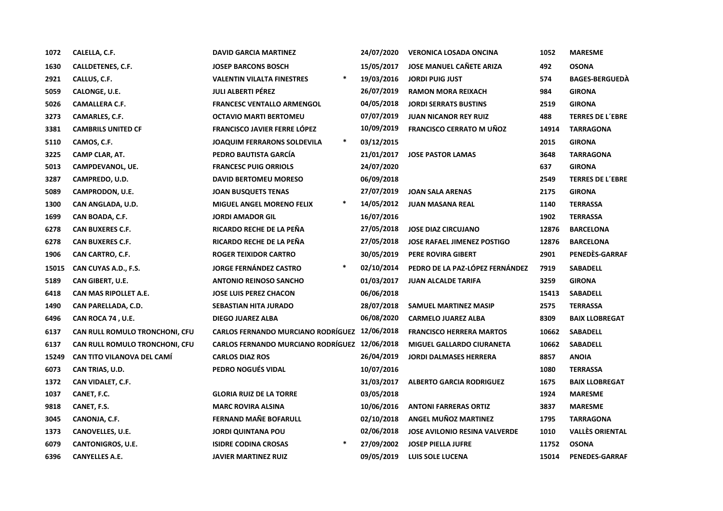| 1072  | CALELLA, C.F.                     | <b>DAVID GARCIA MARTINEZ</b>                  | 24/07/2020 | <b>VERONICA LOSADA ONCINA</b>        | 1052  | <b>MARESME</b>          |
|-------|-----------------------------------|-----------------------------------------------|------------|--------------------------------------|-------|-------------------------|
| 1630  | CALLDETENES, C.F.                 | <b>JOSEP BARCONS BOSCH</b>                    | 15/05/2017 | <b>JOSE MANUEL CAÑETE ARIZA</b>      | 492   | <b>OSONA</b>            |
| 2921  | CALLUS, C.F.                      | $\ast$<br><b>VALENTIN VILALTA FINESTRES</b>   | 19/03/2016 | <b>JORDI PUIG JUST</b>               | 574   | <b>BAGES-BERGUEDA</b>   |
| 5059  | CALONGE, U.E.                     | <b>JULI ALBERTI PÉREZ</b>                     | 26/07/2019 | <b>RAMON MORA REIXACH</b>            | 984   | <b>GIRONA</b>           |
| 5026  | <b>CAMALLERA C.F.</b>             | <b>FRANCESC VENTALLO ARMENGOL</b>             | 04/05/2018 | <b>JORDI SERRATS BUSTINS</b>         | 2519  | <b>GIRONA</b>           |
| 3273  | CAMARLES, C.F.                    | <b>OCTAVIO MARTI BERTOMEU</b>                 | 07/07/2019 | <b>JUAN NICANOR REY RUIZ</b>         | 488   | <b>TERRES DE L'EBRE</b> |
| 3381  | <b>CAMBRILS UNITED CF</b>         | <b>FRANCISCO JAVIER FERRE LÓPEZ</b>           | 10/09/2019 | <b>FRANCISCO CERRATO M UÑOZ</b>      | 14914 | <b>TARRAGONA</b>        |
| 5110  | CAMOS, C.F.                       | $\ast$<br><b>JOAQUIM FERRARONS SOLDEVILA</b>  | 03/12/2015 |                                      | 2015  | <b>GIRONA</b>           |
| 3225  | CAMP CLAR, AT.                    | PEDRO BAUTISTA GARCÍA                         | 21/01/2017 | <b>JOSE PASTOR LAMAS</b>             | 3648  | <b>TARRAGONA</b>        |
| 5013  | CAMPDEVANOL, UE.                  | <b>FRANCESC PUIG ORRIOLS</b>                  | 24/07/2020 |                                      | 637   | <b>GIRONA</b>           |
| 3287  | CAMPREDO, U.D.                    | <b>DAVID BERTOMEU MORESO</b>                  | 06/09/2018 |                                      | 2549  | <b>TERRES DE L'EBRE</b> |
| 5089  | CAMPRODON, U.E.                   | <b>JOAN BUSQUETS TENAS</b>                    | 27/07/2019 | <b>JOAN SALA ARENAS</b>              | 2175  | <b>GIRONA</b>           |
| 1300  | CAN ANGLADA, U.D.                 | $\ast$<br><b>MIGUEL ANGEL MORENO FELIX</b>    | 14/05/2012 | <b>JUAN MASANA REAL</b>              | 1140  | <b>TERRASSA</b>         |
| 1699  | CAN BOADA, C.F.                   | <b>JORDI AMADOR GIL</b>                       | 16/07/2016 |                                      | 1902  | <b>TERRASSA</b>         |
| 6278  | <b>CAN BUXERES C.F.</b>           | RICARDO RECHE DE LA PEÑA                      | 27/05/2018 | <b>JOSE DIAZ CIRCUJANO</b>           | 12876 | <b>BARCELONA</b>        |
| 6278  | <b>CAN BUXERES C.F.</b>           | RICARDO RECHE DE LA PEÑA                      | 27/05/2018 | <b>JOSE RAFAEL JIMENEZ POSTIGO</b>   | 12876 | <b>BARCELONA</b>        |
| 1906  | CAN CARTRO, C.F.                  | <b>ROGER TEIXIDOR CARTRO</b>                  | 30/05/2019 | PERE ROVIRA GIBERT                   | 2901  | PENEDÈS-GARRAF          |
| 15015 | CAN CUYAS A.D., F.S.              | $\ast$<br><b>JORGE FERNÁNDEZ CASTRO</b>       | 02/10/2014 | PEDRO DE LA PAZ-LÓPEZ FERNÁNDEZ      | 7919  | <b>SABADELL</b>         |
| 5189  | CAN GIBERT, U.E.                  | <b>ANTONIO REINOSO SANCHO</b>                 | 01/03/2017 | <b>JUAN ALCALDE TARIFA</b>           | 3259  | <b>GIRONA</b>           |
| 6418  | CAN MAS RIPOLLET A.E.             | <b>JOSE LUIS PEREZ CHACON</b>                 | 06/06/2018 |                                      | 15413 | <b>SABADELL</b>         |
| 1490  | CAN PARELLADA, C.D.               | <b>SEBASTIAN HITA JURADO</b>                  | 28/07/2018 | <b>SAMUEL MARTINEZ MASIP</b>         | 2575  | <b>TERRASSA</b>         |
| 6496  | CAN ROCA 74, U.E.                 | <b>DIEGO JUAREZ ALBA</b>                      | 06/08/2020 | <b>CARMELO JUAREZ ALBA</b>           | 8309  | <b>BAIX LLOBREGAT</b>   |
| 6137  | CAN RULL ROMULO TRONCHONI, CFU    | <b>CARLOS FERNANDO MURCIANO RODRÍGUEZ</b>     | 12/06/2018 | <b>FRANCISCO HERRERA MARTOS</b>      | 10662 | <b>SABADELL</b>         |
| 6137  | CAN RULL ROMULO TRONCHONI, CFU    | CARLOS FERNANDO MURCIANO RODRÍGUEZ 12/06/2018 |            | MIGUEL GALLARDO CIURANETA            | 10662 | <b>SABADELL</b>         |
| 15249 | <b>CAN TITO VILANOVA DEL CAMÍ</b> | <b>CARLOS DIAZ ROS</b>                        | 26/04/2019 | <b>JORDI DALMASES HERRERA</b>        | 8857  | <b>ANOIA</b>            |
| 6073  | CAN TRIAS, U.D.                   | PEDRO NOGUÉS VIDAL                            | 10/07/2016 |                                      | 1080  | <b>TERRASSA</b>         |
| 1372  | CAN VIDALET, C.F.                 |                                               | 31/03/2017 | <b>ALBERTO GARCIA RODRIGUEZ</b>      | 1675  | <b>BAIX LLOBREGAT</b>   |
| 1037  | CANET, F.C.                       | <b>GLORIA RUIZ DE LA TORRE</b>                | 03/05/2018 |                                      | 1924  | <b>MARESME</b>          |
| 9818  | CANET, F.S.                       | <b>MARC ROVIRA ALSINA</b>                     | 10/06/2016 | <b>ANTONI FARRERAS ORTIZ</b>         | 3837  | <b>MARESME</b>          |
| 3045  | CANONJA, C.F.                     | <b>FERNAND MANE BOFARULL</b>                  | 02/10/2018 | ANGEL MUÑOZ MARTINEZ                 | 1795  | <b>TARRAGONA</b>        |
| 1373  | CANOVELLES, U.E.                  | <b>JORDI QUINTANA POU</b>                     | 02/06/2018 | <b>JOSE AVILONIO RESINA VALVERDE</b> | 1010  | <b>VALLÈS ORIENTAL</b>  |
| 6079  | CANTONIGROS, U.E.                 | $\ast$<br><b>ISIDRE CODINA CROSAS</b>         | 27/09/2002 | <b>JOSEP PIELLA JUFRE</b>            | 11752 | <b>OSONA</b>            |
| 6396  | <b>CANYELLES A.E.</b>             | <b>JAVIER MARTINEZ RUIZ</b>                   | 09/05/2019 | <b>LUIS SOLE LUCENA</b>              | 15014 | <b>PENEDES-GARRAF</b>   |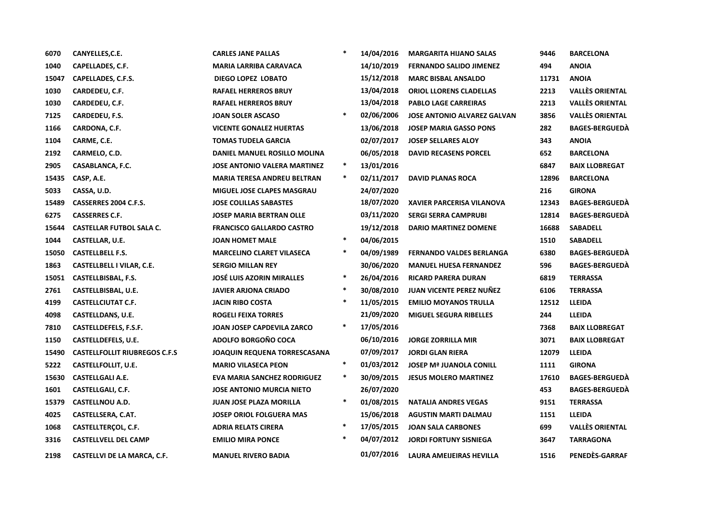| 6070  | CANYELLES, C.E.                      | <b>CARLES JANE PALLAS</b>           | $\ast$ | 14/04/2016 | <b>MARGARITA HIJANO SALAS</b>      | 9446  | <b>BARCELONA</b>       |
|-------|--------------------------------------|-------------------------------------|--------|------------|------------------------------------|-------|------------------------|
| 1040  | CAPELLADES, C.F.                     | <b>MARIA LARRIBA CARAVACA</b>       |        | 14/10/2019 | <b>FERNANDO SALIDO JIMENEZ</b>     | 494   | <b>ANOIA</b>           |
| 15047 | CAPELLADES, C.F.S.                   | <b>DIEGO LOPEZ LOBATO</b>           |        | 15/12/2018 | <b>MARC BISBAL ANSALDO</b>         | 11731 | <b>ANOIA</b>           |
| 1030  | CARDEDEU, C.F.                       | <b>RAFAEL HERREROS BRUY</b>         |        | 13/04/2018 | ORIOL LLORENS CLADELLAS            | 2213  | <b>VALLÈS ORIENTAL</b> |
| 1030  | CARDEDEU, C.F.                       | <b>RAFAEL HERREROS BRUY</b>         |        | 13/04/2018 | <b>PABLO LAGE CARREIRAS</b>        | 2213  | <b>VALLÈS ORIENTAL</b> |
| 7125  | CARDEDEU, F.S.                       | <b>JOAN SOLER ASCASO</b>            | $\ast$ | 02/06/2006 | <b>JOSE ANTONIO ALVAREZ GALVAN</b> | 3856  | <b>VALLÈS ORIENTAL</b> |
| 1166  | CARDONA, C.F.                        | <b>VICENTE GONALEZ HUERTAS</b>      |        | 13/06/2018 | <b>JOSEP MARIA GASSO PONS</b>      | 282   | <b>BAGES-BERGUEDA</b>  |
| 1104  | CARME, C.E.                          | <b>TOMAS TUDELA GARCIA</b>          |        | 02/07/2017 | <b>JOSEP SELLARES ALOY</b>         | 343   | <b>ANOIA</b>           |
| 2192  | CARMELO, C.D.                        | DANIEL MANUEL ROSILLO MOLINA        |        | 06/05/2018 | <b>DAVID RECASENS PORCEL</b>       | 652   | <b>BARCELONA</b>       |
| 2905  | CASABLANCA, F.C.                     | <b>JOSE ANTONIO VALERA MARTINEZ</b> | $\ast$ | 13/01/2016 |                                    | 6847  | <b>BAIX LLOBREGAT</b>  |
| 15435 | CASP, A.E.                           | <b>MARIA TERESA ANDREU BELTRAN</b>  | $\ast$ | 02/11/2017 | <b>DAVID PLANAS ROCA</b>           | 12896 | <b>BARCELONA</b>       |
| 5033  | CASSA, U.D.                          | MIGUEL JOSE CLAPES MASGRAU          |        | 24/07/2020 |                                    | 216   | <b>GIRONA</b>          |
| 15489 | CASSERRES 2004 C.F.S.                | <b>JOSE COLILLAS SABASTES</b>       |        | 18/07/2020 | <b>XAVIER PARCERISA VILANOVA</b>   | 12343 | <b>BAGES-BERGUEDA</b>  |
| 6275  | <b>CASSERRES C.F.</b>                | <b>JOSEP MARIA BERTRAN OLLE</b>     |        | 03/11/2020 | <b>SERGI SERRA CAMPRUBI</b>        | 12814 | <b>BAGES-BERGUEDA</b>  |
| 15644 | <b>CASTELLAR FUTBOL SALA C.</b>      | <b>FRANCISCO GALLARDO CASTRO</b>    |        | 19/12/2018 | <b>DARIO MARTINEZ DOMENE</b>       | 16688 | <b>SABADELL</b>        |
| 1044  | CASTELLAR, U.E.                      | <b>JOAN HOMET MALE</b>              | $\ast$ | 04/06/2015 |                                    | 1510  | <b>SABADELL</b>        |
| 15050 | <b>CASTELLBELL F.S.</b>              | <b>MARCELINO CLARET VILASECA</b>    | $\ast$ | 04/09/1989 | <b>FERNANDO VALDES BERLANGA</b>    | 6380  | <b>BAGES-BERGUEDA</b>  |
| 1863  | <b>CASTELLBELL I VILAR, C.E.</b>     | <b>SERGIO MILLAN REY</b>            |        | 30/06/2020 | <b>MANUEL HUESA FERNANDEZ</b>      | 596   | <b>BAGES-BERGUEDA</b>  |
| 15051 | CASTELLBISBAL, F.S.                  | <b>JOSÉ LUIS AZORIN MIRALLES</b>    | $\ast$ | 26/04/2016 | <b>RICARD PARERA DURAN</b>         | 6819  | <b>TERRASSA</b>        |
| 2761  | CASTELLBISBAL, U.E.                  | <b>JAVIER ARJONA CRIADO</b>         | $\ast$ | 30/08/2010 | <b>JUAN VICENTE PEREZ NUÑEZ</b>    | 6106  | <b>TERRASSA</b>        |
| 4199  | <b>CASTELLCIUTAT C.F.</b>            | <b>JACIN RIBO COSTA</b>             | $\ast$ | 11/05/2015 | <b>EMILIO MOYANOS TRULLA</b>       | 12512 | <b>LLEIDA</b>          |
| 4098  | <b>CASTELLDANS, U.E.</b>             | <b>ROGELI FEIXA TORRES</b>          |        | 21/09/2020 | <b>MIGUEL SEGURA RIBELLES</b>      | 244   | <b>LLEIDA</b>          |
| 7810  | CASTELLDEFELS, F.S.F.                | JOAN JOSEP CAPDEVILA ZARCO          | $\ast$ | 17/05/2016 |                                    | 7368  | <b>BAIX LLOBREGAT</b>  |
| 1150  | CASTELLDEFELS, U.E.                  | ADOLFO BORGOÑO COCA                 |        | 06/10/2016 | <b>JORGE ZORRILLA MIR</b>          | 3071  | <b>BAIX LLOBREGAT</b>  |
| 15490 | <b>CASTELLFOLLIT RIUBREGOS C.F.S</b> | <b>JOAQUIN REQUENA TORRESCASANA</b> |        | 07/09/2017 | <b>JORDI GLAN RIERA</b>            | 12079 | <b>LLEIDA</b>          |
| 5222  | <b>CASTELLFOLLIT, U.E.</b>           | <b>MARIO VILASECA PEON</b>          | $\ast$ | 01/03/2012 | <b>JOSEP Mª JUANOLA CONILL</b>     | 1111  | <b>GIRONA</b>          |
| 15630 | <b>CASTELLGALI A.E.</b>              | EVA MARIA SANCHEZ RODRIGUEZ         | $\ast$ | 30/09/2015 | <b>JESUS MOLERO MARTINEZ</b>       | 17610 | <b>BAGES-BERGUEDA</b>  |
| 1601  | CASTELLGALI, C.F.                    | <b>JOSE ANTONIO MURCIA NIETO</b>    |        | 26/07/2020 |                                    | 453   | <b>BAGES-BERGUEDA</b>  |
| 15379 | <b>CASTELLNOU A.D.</b>               | <b>JUAN JOSE PLAZA MORILLA</b>      | *      | 01/08/2015 | <b>NATALIA ANDRES VEGAS</b>        | 9151  | <b>TERRASSA</b>        |
| 4025  | CASTELLSERA, C.AT.                   | <b>JOSEP ORIOL FOLGUERA MAS</b>     |        | 15/06/2018 | <b>AGUSTIN MARTI DALMAU</b>        | 1151  | <b>LLEIDA</b>          |
| 1068  | CASTELLTERÇOL, C.F.                  | <b>ADRIA RELATS CIRERA</b>          | $\ast$ | 17/05/2015 | <b>JOAN SALA CARBONES</b>          | 699   | <b>VALLÈS ORIENTAL</b> |
| 3316  | <b>CASTELLVELL DEL CAMP</b>          | <b>EMILIO MIRA PONCE</b>            | $\ast$ | 04/07/2012 | <b>JORDI FORTUNY SISNIEGA</b>      | 3647  | <b>TARRAGONA</b>       |
| 2198  | <b>CASTELLVI DE LA MARCA, C.F.</b>   | <b>MANUEL RIVERO BADIA</b>          |        | 01/07/2016 | <b>LAURA AMEIJEIRAS HEVILLA</b>    | 1516  | PENEDES-GARRAF         |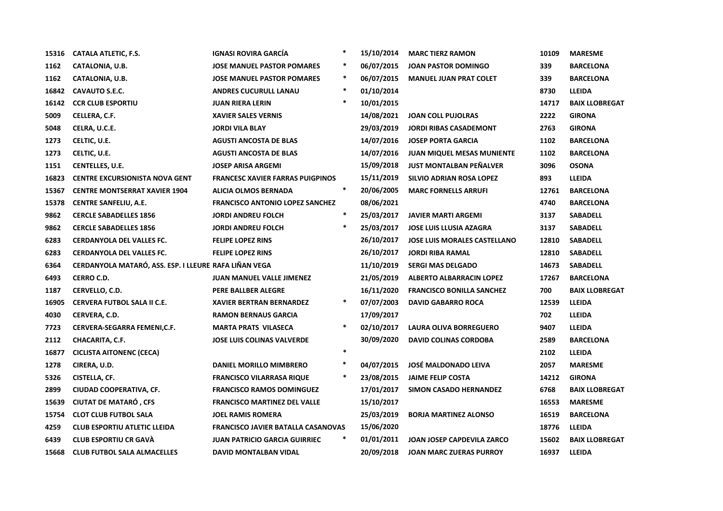| 15316 | CATALA ATLETIC, F.S.                                  | IGNASI ROVIRA GARCÍA                    | $\ast$ | 15/10/2014 | <b>MARC TIERZ RAMON</b>             | 10109 | <b>MARESME</b>        |
|-------|-------------------------------------------------------|-----------------------------------------|--------|------------|-------------------------------------|-------|-----------------------|
| 1162  | <b>CATALONIA, U.B.</b>                                | <b>JOSE MANUEL PASTOR POMARES</b>       | $\ast$ | 06/07/2015 | <b>JOAN PASTOR DOMINGO</b>          | 339   | <b>BARCELONA</b>      |
| 1162  | <b>CATALONIA, U.B.</b>                                | <b>JOSE MANUEL PASTOR POMARES</b>       | $\ast$ | 06/07/2015 | <b>MANUEL JUAN PRAT COLET</b>       | 339   | <b>BARCELONA</b>      |
| 16842 | <b>CAVAUTO S.E.C.</b>                                 | <b>ANDRES CUCURULL LANAU</b>            | $\ast$ | 01/10/2014 |                                     | 8730  | <b>LLEIDA</b>         |
| 16142 | <b>CCR CLUB ESPORTIU</b>                              | <b>JUAN RIERA LERIN</b>                 | $\ast$ | 10/01/2015 |                                     | 14717 | <b>BAIX LLOBREGAT</b> |
| 5009  | CELLERA, C.F.                                         | <b>XAVIER SALES VERNIS</b>              |        | 14/08/2021 | <b>JOAN COLL PUJOLRAS</b>           | 2222  | <b>GIRONA</b>         |
| 5048  | CELRA, U.C.E.                                         | <b>JORDI VILA BLAY</b>                  |        | 29/03/2019 | <b>JORDI RIBAS CASADEMONT</b>       | 2763  | <b>GIRONA</b>         |
| 1273  | CELTIC, U.E.                                          | <b>AGUSTI ANCOSTA DE BLAS</b>           |        | 14/07/2016 | <b>JOSEP PORTA GARCIA</b>           | 1102  | <b>BARCELONA</b>      |
| 1273  | CELTIC, U.E.                                          | <b>AGUSTI ANCOSTA DE BLAS</b>           |        | 14/07/2016 | <b>JUAN MIQUEL MESAS MUNIENTE</b>   | 1102  | <b>BARCELONA</b>      |
| 1151  | <b>CENTELLES, U.E.</b>                                | <b>JOSEP ARISA ARGEMI</b>               |        | 15/09/2018 | <b>JUST MONTALBAN PEÑALVER</b>      | 3096  | <b>OSONA</b>          |
| 16823 | <b>CENTRE EXCURSIONISTA NOVA GENT</b>                 | <b>FRANCESC XAVIER FARRAS PUIGPINOS</b> |        | 15/11/2019 | SILVIO ADRIAN ROSA LOPEZ            | 893   | <b>LLEIDA</b>         |
| 15367 | <b>CENTRE MONTSERRAT XAVIER 1904</b>                  | <b>ALICIA OLMOS BERNADA</b>             | $\ast$ | 20/06/2005 | <b>MARC FORNELLS ARRUFI</b>         | 12761 | <b>BARCELONA</b>      |
| 15378 | <b>CENTRE SANFELIU, A.E.</b>                          | <b>FRANCISCO ANTONIO LOPEZ SANCHEZ</b>  |        | 08/06/2021 |                                     | 4740  | <b>BARCELONA</b>      |
| 9862  | <b>CERCLE SABADELLES 1856</b>                         | <b>JORDI ANDREU FOLCH</b>               | $\ast$ | 25/03/2017 | <b>JAVIER MARTI ARGEMI</b>          | 3137  | <b>SABADELL</b>       |
| 9862  | <b>CERCLE SABADELLES 1856</b>                         | <b>JORDI ANDREU FOLCH</b>               |        | 25/03/2017 | <b>JOSE LUIS LLUSIA AZAGRA</b>      | 3137  | <b>SABADELL</b>       |
| 6283  | <b>CERDANYOLA DEL VALLES FC.</b>                      | <b>FELIPE LOPEZ RINS</b>                |        | 26/10/2017 | <b>JOSE LUIS MORALES CASTELLANO</b> | 12810 | <b>SABADELL</b>       |
| 6283  | <b>CERDANYOLA DEL VALLES FC.</b>                      | <b>FELIPE LOPEZ RINS</b>                |        | 26/10/2017 | <b>JORDI RIBA RAMAL</b>             | 12810 | <b>SABADELL</b>       |
| 6364  | CERDANYOLA MATARÓ, ASS. ESP. I LLEURE RAFA LIÑAN VEGA |                                         |        | 11/10/2019 | <b>SERGI MAS DELGADO</b>            | 14673 | <b>SABADELL</b>       |
| 6493  | <b>CERRO C.D.</b>                                     | JUAN MANUEL VALLE JIMENEZ               |        | 21/05/2019 | <b>ALBERTO ALBARRACIN LOPEZ</b>     | 17267 | <b>BARCELONA</b>      |
| 1187  | CERVELLO, C.D.                                        | PERE BALLBER ALEGRE                     |        | 16/11/2020 | <b>FRANCISCO BONILLA SANCHEZ</b>    | 700   | <b>BAIX LLOBREGAT</b> |
| 16905 | <b>CERVERA FUTBOL SALA II C.E.</b>                    | <b>XAVIER BERTRAN BERNARDEZ</b>         | ∗      | 07/07/2003 | <b>DAVID GABARRO ROCA</b>           | 12539 | <b>LLEIDA</b>         |
| 4030  | CERVERA, C.D.                                         | <b>RAMON BERNAUS GARCIA</b>             |        | 17/09/2017 |                                     | 702   | <b>LLEIDA</b>         |
| 7723  | CERVERA-SEGARRA FEMENI, C.F.                          | <b>MARTA PRATS VILASECA</b>             | $\ast$ | 02/10/2017 | <b>LAURA OLIVA BORREGUERO</b>       | 9407  | LLEIDA                |
| 2112  | <b>CHACARITA, C.F.</b>                                | <b>JOSE LUIS COLINAS VALVERDE</b>       |        | 30/09/2020 | <b>DAVID COLINAS CORDOBA</b>        | 2589  | <b>BARCELONA</b>      |
| 16877 | <b>CICLISTA AITONENC (CECA)</b>                       |                                         | $\ast$ |            |                                     | 2102  | <b>LLEIDA</b>         |
| 1278  | CIRERA, U.D.                                          | DANIEL MORILLO MIMBRERO                 | $\ast$ | 04/07/2015 | <b>JOSÉ MALDONADO LEIVA</b>         | 2057  | <b>MARESME</b>        |
| 5326  | CISTELLA, CF.                                         | <b>FRANCISCO VILARRASA RIQUE</b>        |        | 23/08/2015 | <b>JAIME FELIP COSTA</b>            | 14212 | <b>GIRONA</b>         |
| 2899  | CIUDAD COOPERATIVA, CF.                               | <b>FRANCISCO RAMOS DOMINGUEZ</b>        |        | 17/01/2017 | SIMON CASADO HERNANDEZ              | 6768  | <b>BAIX LLOBREGAT</b> |
| 15639 | <b>CIUTAT DE MATARÓ, CFS</b>                          | <b>FRANCISCO MARTINEZ DEL VALLE</b>     |        | 15/10/2017 |                                     | 16553 | <b>MARESME</b>        |
| 15754 | <b>CLOT CLUB FUTBOL SALA</b>                          | <b>JOEL RAMIS ROMERA</b>                |        | 25/03/2019 | <b>BORJA MARTINEZ ALONSO</b>        | 16519 | <b>BARCELONA</b>      |
| 4259  | <b>CLUB ESPORTIU ATLETIC LLEIDA</b>                   | FRANCISCO JAVIER BATALLA CASANOVAS      |        | 15/06/2020 |                                     | 18776 | <b>LLEIDA</b>         |
| 6439  | <b>CLUB ESPORTIU CR GAVÀ</b>                          | <b>JUAN PATRICIO GARCIA GUIRRIEC</b>    | $\ast$ | 01/01/2011 | JOAN JOSEP CAPDEVILA ZARCO          | 15602 | <b>BAIX LLOBREGAT</b> |
| 15668 | <b>CLUB FUTBOL SALA ALMACELLES</b>                    | <b>DAVID MONTALBAN VIDAL</b>            |        | 20/09/2018 | <b>JOAN MARC ZUERAS PURROY</b>      | 16937 | <b>LLEIDA</b>         |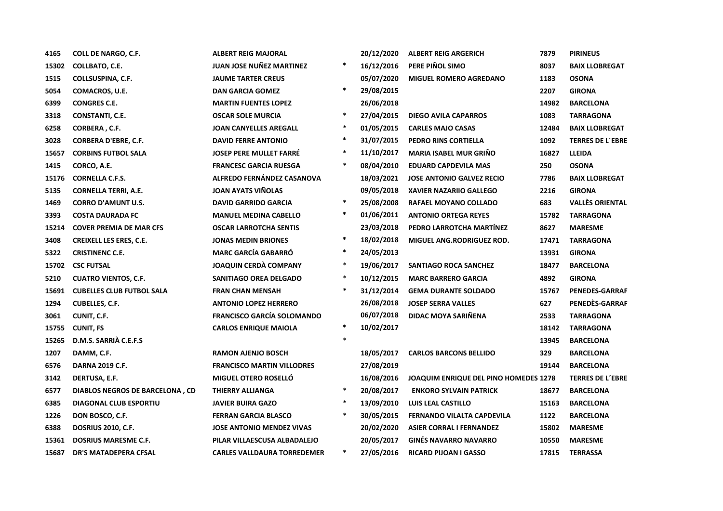| 4165  | <b>COLL DE NARGO, C.F.</b>       | <b>ALBERT REIG MAJORAL</b>         |         | 20/12/2020 | <b>ALBERT REIG ARGERICH</b>           | 7879  | <b>PIRINEUS</b>         |
|-------|----------------------------------|------------------------------------|---------|------------|---------------------------------------|-------|-------------------------|
| 15302 | COLLBATO, C.E.                   | <b>JUAN JOSE NUÑEZ MARTINEZ</b>    | $\ast$  | 16/12/2016 | PERE PIÑOL SIMO                       | 8037  | <b>BAIX LLOBREGAT</b>   |
| 1515  | COLLSUSPINA, C.F.                | <b>JAUME TARTER CREUS</b>          |         | 05/07/2020 | <b>MIGUEL ROMERO AGREDANO</b>         | 1183  | <b>OSONA</b>            |
| 5054  | COMACROS, U.E.                   | <b>DAN GARCIA GOMEZ</b>            | $\ast$  | 29/08/2015 |                                       | 2207  | <b>GIRONA</b>           |
| 6399  | <b>CONGRES C.E.</b>              | <b>MARTIN FUENTES LOPEZ</b>        |         | 26/06/2018 |                                       | 14982 | <b>BARCELONA</b>        |
| 3318  | CONSTANTI, C.E.                  | <b>OSCAR SOLE MURCIA</b>           | $\ast$  | 27/04/2015 | <b>DIEGO AVILA CAPARROS</b>           | 1083  | <b>TARRAGONA</b>        |
| 6258  | CORBERA, C.F.                    | <b>JOAN CANYELLES AREGALL</b>      | $\ast$  | 01/05/2015 | <b>CARLES MAJO CASAS</b>              | 12484 | <b>BAIX LLOBREGAT</b>   |
| 3028  | <b>CORBERA D'EBRE, C.F.</b>      | <b>DAVID FERRE ANTONIO</b>         | $\ast$  | 31/07/2015 | PEDRO RINS CORTIELLA                  | 1092  | <b>TERRES DE L'EBRE</b> |
| 15657 | <b>CORBINS FUTBOL SALA</b>       | <b>JOSEP PERE MULLET FARRE</b>     | $\ast$  | 11/10/2017 | <b>MARIA ISABEL MUR GRIÑO</b>         | 16827 | <b>LLEIDA</b>           |
| 1415  | CORCO, A.E.                      | <b>FRANCESC GARCIA RUESGA</b>      | $\ast$  | 08/04/2010 | <b>EDUARD CAPDEVILA MAS</b>           | 250   | <b>OSONA</b>            |
| 15176 | <b>CORNELLA C.F.S.</b>           | ALFREDO FERNÁNDEZ CASANOVA         |         | 18/03/2021 | <b>JOSE ANTONIO GALVEZ RECIO</b>      | 7786  | <b>BAIX LLOBREGAT</b>   |
| 5135  | <b>CORNELLA TERRI, A.E.</b>      | <b>JOAN AYATS VINOLAS</b>          |         | 09/05/2018 | <b>XAVIER NAZARIIO GALLEGO</b>        | 2216  | <b>GIRONA</b>           |
| 1469  | <b>CORRO D'AMUNT U.S.</b>        | <b>DAVID GARRIDO GARCIA</b>        | $\ast$  | 25/08/2008 | RAFAEL MOYANO COLLADO                 | 683   | <b>VALLÈS ORIENTAL</b>  |
| 3393  | <b>COSTA DAURADA FC</b>          | <b>MANUEL MEDINA CABELLO</b>       | $\ast$  | 01/06/2011 | <b>ANTONIO ORTEGA REYES</b>           | 15782 | <b>TARRAGONA</b>        |
| 15214 | <b>COVER PREMIA DE MAR CFS</b>   | <b>OSCAR LARROTCHA SENTIS</b>      |         | 23/03/2018 | PEDRO LARROTCHA MARTÍNEZ              | 8627  | <b>MARESME</b>          |
| 3408  | <b>CREIXELL LES ERES, C.E.</b>   | <b>JONAS MEDIN BRIONES</b>         | $\ast$  | 18/02/2018 | MIGUEL ANG.RODRIGUEZ ROD.             | 17471 | <b>TARRAGONA</b>        |
| 5322  | <b>CRISTINENC C.E.</b>           | <b>MARC GARCÍA GABARRÓ</b>         | $\ast$  | 24/05/2013 |                                       | 13931 | <b>GIRONA</b>           |
| 15702 | <b>CSC FUTSAL</b>                | <b>JOAQUIN CERDÀ COMPANY</b>       | $\ast$  | 19/06/2017 | SANTIAGO ROCA SANCHEZ                 | 18477 | <b>BARCELONA</b>        |
| 5210  | <b>CUATRO VIENTOS, C.F.</b>      | SANITIAGO OREA DELGADO             | $\ast$  | 10/12/2015 | <b>MARC BARRERO GARCIA</b>            | 4892  | <b>GIRONA</b>           |
| 15691 | <b>CUBELLES CLUB FUTBOL SALA</b> | <b>FRAN CHAN MENSAH</b>            | $\ast$  | 31/12/2014 | <b>GEMA DURANTE SOLDADO</b>           | 15767 | <b>PENEDES-GARRAF</b>   |
| 1294  | <b>CUBELLES, C.F.</b>            | <b>ANTONIO LOPEZ HERRERO</b>       |         | 26/08/2018 | <b>JOSEP SERRA VALLES</b>             | 627   | PENEDÈS-GARRAF          |
| 3061  | CUNIT, C.F.                      | <b>FRANCISCO GARCÍA SOLOMANDO</b>  |         | 06/07/2018 | DIDAC MOYA SARIÑENA                   | 2533  | <b>TARRAGONA</b>        |
| 15755 | <b>CUNIT, FS</b>                 | <b>CARLOS ENRIQUE MAIOLA</b>       | $\ast$  | 10/02/2017 |                                       | 18142 | <b>TARRAGONA</b>        |
| 15265 | D.M.S. SARRIÀ C.E.F.S            |                                    | $\star$ |            |                                       | 13945 | <b>BARCELONA</b>        |
| 1207  | DAMM, C.F.                       | <b>RAMON AJENJO BOSCH</b>          |         | 18/05/2017 | <b>CARLOS BARCONS BELLIDO</b>         | 329   | <b>BARCELONA</b>        |
| 6576  | <b>DARNA 2019 C.F.</b>           | <b>FRANCISCO MARTIN VILLODRES</b>  |         | 27/08/2019 |                                       | 19144 | <b>BARCELONA</b>        |
| 3142  | DERTUSA, E.F.                    | MIGUEL OTERO ROSELLÓ               |         | 16/08/2016 | JOAQUIM ENRIQUE DEL PINO HOMEDES 1278 |       | <b>TERRES DE L'EBRE</b> |
| 6577  | DIABLOS NEGROS DE BARCELONA, CD  | THIERRY ALLIANGA                   | $\ast$  | 20/08/2017 | <b>ENKORO SYLVAIN PATRICK</b>         | 18677 | <b>BARCELONA</b>        |
| 6385  | <b>DIAGONAL CLUB ESPORTIU</b>    | <b>JAVIER BUIRA GAZO</b>           | $\ast$  | 13/09/2010 | LUIS LEAL CASTILLO                    | 15163 | <b>BARCELONA</b>        |
| 1226  | DON BOSCO, C.F.                  | <b>FERRAN GARCIA BLASCO</b>        | $\ast$  | 30/05/2015 | FERNANDO VILALTA CAPDEVILA            | 1122  | <b>BARCELONA</b>        |
| 6388  | <b>DOSRIUS 2010, C.F.</b>        | <b>JOSE ANTONIO MENDEZ VIVAS</b>   |         | 20/02/2020 | <b>ASIER CORRAL I FERNANDEZ</b>       | 15802 | <b>MARESME</b>          |
| 15361 | <b>DOSRIUS MARESME C.F.</b>      | PILAR VILLAESCUSA ALBADALEJO       |         | 20/05/2017 | <b>GINÉS NAVARRO NAVARRO</b>          | 10550 | <b>MARESME</b>          |
| 15687 | <b>DR'S MATADEPERA CFSAL</b>     | <b>CARLES VALLDAURA TORREDEMER</b> | $\ast$  | 27/05/2016 | <b>RICARD PIJOAN I GASSO</b>          | 17815 | <b>TERRASSA</b>         |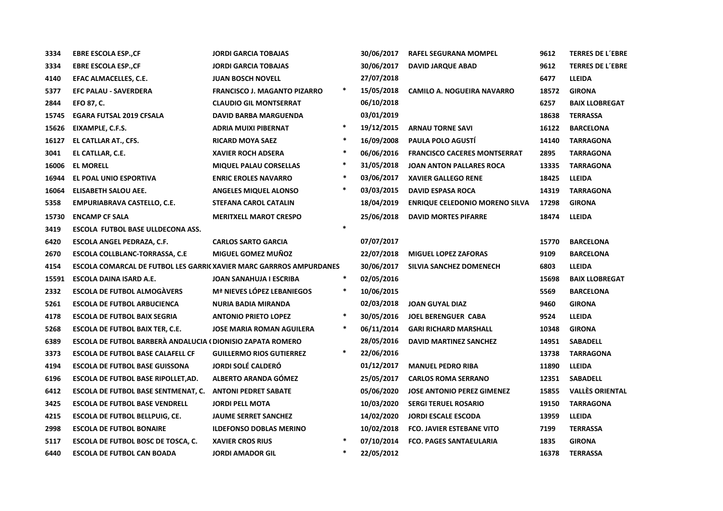| 3334  | <b>EBRE ESCOLA ESP., CF</b>                                               | <b>JORDI GARCIA TOBAJAS</b>         |         | 30/06/2017 | <b>RAFEL SEGURANA MOMPEL</b>          | 9612  | <b>TERRES DE L'EBRE</b> |
|-------|---------------------------------------------------------------------------|-------------------------------------|---------|------------|---------------------------------------|-------|-------------------------|
| 3334  | <b>EBRE ESCOLA ESP., CF</b>                                               | <b>JORDI GARCIA TOBAJAS</b>         |         | 30/06/2017 | DAVID JARQUE ABAD                     | 9612  | <b>TERRES DE L'EBRE</b> |
| 4140  | EFAC ALMACELLES, C.E.                                                     | <b>JUAN BOSCH NOVELL</b>            |         | 27/07/2018 |                                       | 6477  | <b>LLEIDA</b>           |
| 5377  | <b>EFC PALAU - SAVERDERA</b>                                              | <b>FRANCISCO J. MAGANTO PIZARRO</b> | *       | 15/05/2018 | <b>CAMILO A. NOGUEIRA NAVARRO</b>     | 18572 | <b>GIRONA</b>           |
| 2844  | EFO 87, C.                                                                | <b>CLAUDIO GIL MONTSERRAT</b>       |         | 06/10/2018 |                                       | 6257  | <b>BAIX LLOBREGAT</b>   |
| 15745 | <b>EGARA FUTSAL 2019 CFSALA</b>                                           | <b>DAVID BARBA MARGUENDA</b>        |         | 03/01/2019 |                                       | 18638 | <b>TERRASSA</b>         |
| 15626 | EIXAMPLE, C.F.S.                                                          | <b>ADRIA MUIXI PIBERNAT</b>         | $\ast$  | 19/12/2015 | <b>ARNAU TORNE SAVI</b>               | 16122 | <b>BARCELONA</b>        |
| 16127 | EL CATLLAR AT., CFS.                                                      | <b>RICARD MOYA SAEZ</b>             | $\star$ | 16/09/2008 | <b>PAULA POLO AGUSTI</b>              | 14140 | <b>TARRAGONA</b>        |
| 3041  | EL CATLLAR, C.E.                                                          | <b>XAVIER ROCH ADSERA</b>           | $\ast$  | 06/06/2016 | <b>FRANCISCO CACERES MONTSERRAT</b>   | 2895  | <b>TARRAGONA</b>        |
| 16006 | <b>EL MORELL</b>                                                          | <b>MIQUEL PALAU CORSELLAS</b>       | $\ast$  | 31/05/2018 | <b>JOAN ANTON PALLARES ROCA</b>       | 13335 | <b>TARRAGONA</b>        |
| 16944 | EL POAL UNIO ESPORTIVA                                                    | <b>ENRIC EROLES NAVARRO</b>         | $\ast$  | 03/06/2017 | <b>XAVIER GALLEGO RENE</b>            | 18425 | <b>LLEIDA</b>           |
| 16064 | ELISABETH SALOU AEE.                                                      | <b>ANGELES MIQUEL ALONSO</b>        | $\ast$  | 03/03/2015 | <b>DAVID ESPASA ROCA</b>              | 14319 | <b>TARRAGONA</b>        |
| 5358  | EMPURIABRAVA CASTELLO, C.E.                                               | <b>STEFANA CAROL CATALIN</b>        |         | 18/04/2019 | <b>ENRIQUE CELEDONIO MORENO SILVA</b> | 17298 | <b>GIRONA</b>           |
| 15730 | <b>ENCAMP CF SALA</b>                                                     | <b>MERITXELL MAROT CRESPO</b>       |         | 25/06/2018 | <b>DAVID MORTES PIFARRE</b>           | 18474 | <b>LLEIDA</b>           |
| 3419  | ESCOLA FUTBOL BASE ULLDECONA ASS.                                         |                                     | $\ast$  |            |                                       |       |                         |
| 6420  | ESCOLA ANGEL PEDRAZA, C.F.                                                | <b>CARLOS SARTO GARCIA</b>          |         | 07/07/2017 |                                       | 15770 | <b>BARCELONA</b>        |
| 2670  | ESCOLA COLLBLANC-TORRASSA, C.E.                                           | <b>MIGUEL GOMEZ MUÑOZ</b>           |         | 22/07/2018 | <b>MIGUEL LOPEZ ZAFORAS</b>           | 9109  | <b>BARCELONA</b>        |
| 4154  | <b>ESCOLA COMARCAL DE FUTBOL LES GARRICXAVIER MARC GARRROS AMPURDANES</b> |                                     |         | 30/06/2017 | SILVIA SANCHEZ DOMENECH               | 6803  | <b>LLEIDA</b>           |
| 15591 | ESCOLA DAINA ISARD A.E.                                                   | JOAN SANAHUJA I ESCRIBA             | $\ast$  | 02/05/2016 |                                       | 15698 | <b>BAIX LLOBREGAT</b>   |
| 2332  | <b>ESCOLA DE FUTBOL ALMOGAVERS</b>                                        | <b>Mª NIEVES LÓPEZ LEBANIEGOS</b>   | $\ast$  | 10/06/2015 |                                       | 5569  | <b>BARCELONA</b>        |
| 5261  | <b>ESCOLA DE FUTBOL ARBUCIENCA</b>                                        | <b>NURIA BADIA MIRANDA</b>          |         | 02/03/2018 | <b>JOAN GUYAL DIAZ</b>                | 9460  | <b>GIRONA</b>           |
| 4178  | <b>ESCOLA DE FUTBOL BAIX SEGRIA</b>                                       | <b>ANTONIO PRIETO LOPEZ</b>         | $\ast$  | 30/05/2016 | <b>JOEL BERENGUER CABA</b>            | 9524  | <b>LLEIDA</b>           |
| 5268  | <b>ESCOLA DE FUTBOL BAIX TER, C.E.</b>                                    | <b>JOSE MARIA ROMAN AGUILERA</b>    | $\ast$  | 06/11/2014 | <b>GARI RICHARD MARSHALL</b>          | 10348 | <b>GIRONA</b>           |
| 6389  | ESCOLA DE FUTBOL BARBERÀ ANDALUCIA (DIONISIO ZAPATA ROMERO                |                                     |         | 28/05/2016 | <b>DAVID MARTINEZ SANCHEZ</b>         | 14951 | <b>SABADELL</b>         |
| 3373  | <b>ESCOLA DE FUTBOL BASE CALAFELL CF</b>                                  | <b>GUILLERMO RIOS GUTIERREZ</b>     | $\ast$  | 22/06/2016 |                                       | 13738 | <b>TARRAGONA</b>        |
| 4194  | <b>ESCOLA DE FUTBOL BASE GUISSONA</b>                                     | <b>JORDI SOLÉ CALDERÓ</b>           |         | 01/12/2017 | <b>MANUEL PEDRO RIBA</b>              | 11890 | <b>LLEIDA</b>           |
| 6196  | ESCOLA DE FUTBOL BASE RIPOLLET, AD.                                       | ALBERTO ARANDA GÓMEZ                |         | 25/05/2017 | <b>CARLOS ROMA SERRANO</b>            | 12351 | <b>SABADELL</b>         |
| 6412  | <b>ESCOLA DE FUTBOL BASE SENTMENAT, C.</b>                                | <b>ANTONI PEDRET SABATE</b>         |         | 05/06/2020 | <b>JOSE ANTONIO PEREZ GIMENEZ</b>     | 15855 | <b>VALLÈS ORIENTAL</b>  |
| 3425  | <b>ESCOLA DE FUTBOL BASE VENDRELL</b>                                     | <b>JORDI PELL MOTA</b>              |         | 10/03/2020 | <b>SERGI TERUEL ROSARIO</b>           | 19150 | <b>TARRAGONA</b>        |
| 4215  | <b>ESCOLA DE FUTBOL BELLPUIG, CE.</b>                                     | <b>JAUME SERRET SANCHEZ</b>         |         | 14/02/2020 | <b>JORDI ESCALE ESCODA</b>            | 13959 | LLEIDA                  |
| 2998  | <b>ESCOLA DE FUTBOL BONAIRE</b>                                           | <b>ILDEFONSO DOBLAS MERINO</b>      |         | 10/02/2018 | <b>FCO. JAVIER ESTEBANE VITO</b>      | 7199  | <b>TERRASSA</b>         |
| 5117  | <b>ESCOLA DE FUTBOL BOSC DE TOSCA, C.</b>                                 | <b>XAVIER CROS RIUS</b>             | $\ast$  | 07/10/2014 | <b>FCO. PAGES SANTAEULARIA</b>        | 1835  | <b>GIRONA</b>           |
| 6440  | <b>ESCOLA DE FUTBOL CAN BOADA</b>                                         | <b>JORDI AMADOR GIL</b>             | $\ast$  | 22/05/2012 |                                       | 16378 | <b>TERRASSA</b>         |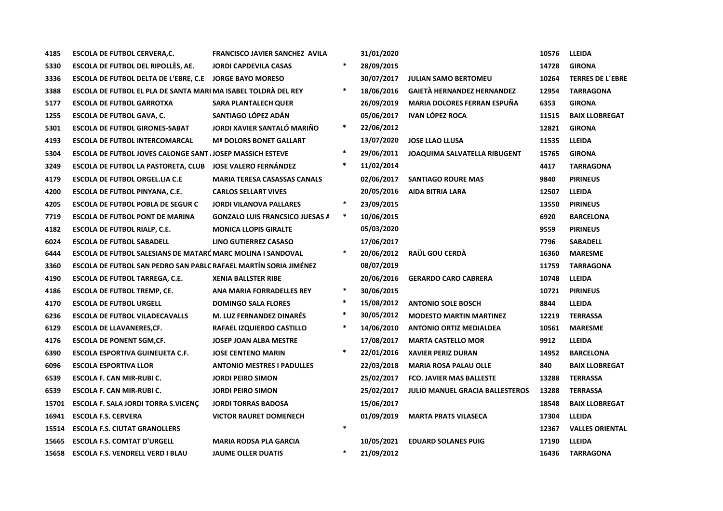| 4185  | <b>ESCOLA DE FUTBOL CERVERA, C.</b>                              | <b>FRANCISCO JAVIER SANCHEZ AVILA</b>  |        | 31/01/2020 |                                        | 10576 | <b>LLEIDA</b>           |
|-------|------------------------------------------------------------------|----------------------------------------|--------|------------|----------------------------------------|-------|-------------------------|
| 5330  | <b>ESCOLA DE FUTBOL DEL RIPOLLÈS, AE.</b>                        | <b>JORDI CAPDEVILA CASAS</b>           | $\ast$ | 28/09/2015 |                                        | 14728 | <b>GIRONA</b>           |
| 3336  | <b>ESCOLA DE FUTBOL DELTA DE L'EBRE, C.E</b>                     | <b>JORGE BAYO MORESO</b>               |        | 30/07/2017 | <b>JULIAN SAMO BERTOMEU</b>            | 10264 | <b>TERRES DE L'EBRE</b> |
| 3388  | ESCOLA DE FUTBOL EL PLA DE SANTA MARI MA ISABEL TOLDRÀ DEL REY   |                                        | $\ast$ | 18/06/2016 | <b>GAIETÀ HERNANDEZ HERNANDEZ</b>      | 12954 | <b>TARRAGONA</b>        |
| 5177  | <b>ESCOLA DE FUTBOL GARROTXA</b>                                 | SARA PLANTALECH QUER                   |        | 26/09/2019 | <b>MARIA DOLORES FERRAN ESPUÑA</b>     | 6353  | <b>GIRONA</b>           |
| 1255  | <b>ESCOLA DE FUTBOL GAVA, C.</b>                                 | SANTIAGO LÓPEZ ADÁN                    |        | 05/06/2017 | <b>IVAN LÓPEZ ROCA</b>                 | 11515 | <b>BAIX LLOBREGAT</b>   |
| 5301  | <b>ESCOLA DE FUTBOL GIRONES-SABAT</b>                            | JORDI XAVIER SANTALO MARIÑO            | $\ast$ | 22/06/2012 |                                        | 12821 | <b>GIRONA</b>           |
| 4193  | <b>ESCOLA DE FUTBOL INTERCOMARCAL</b>                            | <b>Mª DOLORS BONET GALLART</b>         |        | 13/07/2020 | <b>JOSE LLAO LLUSA</b>                 | 11535 | <b>LLEIDA</b>           |
| 5304  | ESCOLA DE FUTBOL JOVES CALONGE SANT JOSEP MASSICH ESTEVE         |                                        | $\ast$ | 29/06/2011 | <b>JOAQUIMA SALVATELLA RIBUGENT</b>    | 15765 | <b>GIRONA</b>           |
| 3249  | <b>ESCOLA DE FUTBOL LA PASTORETA, CLUB</b>                       | <b>JOSE VALERO FERNANDEZ</b>           | $\ast$ | 11/02/2014 |                                        | 4417  | <b>TARRAGONA</b>        |
| 4179  | <b>ESCOLA DE FUTBOL ORGEL.LIA C.E</b>                            | <b>MARIA TERESA CASASSAS CANALS</b>    |        | 02/06/2017 | <b>SANTIAGO ROURE MAS</b>              | 9840  | <b>PIRINEUS</b>         |
| 4200  | <b>ESCOLA DE FUTBOL PINYANA, C.E.</b>                            | <b>CARLOS SELLART VIVES</b>            |        | 20/05/2016 | AIDA BITRIA LARA                       | 12507 | <b>LLEIDA</b>           |
| 4205  | <b>ESCOLA DE FUTBOL POBLA DE SEGUR C</b>                         | <b>JORDI VILANOVA PALLARES</b>         | $\ast$ | 23/09/2015 |                                        | 13550 | <b>PIRINEUS</b>         |
| 7719  | <b>ESCOLA DE FUTBOL PONT DE MARINA</b>                           | <b>GONZALO LUIS FRANCSICO JUESAS A</b> | $\ast$ | 10/06/2015 |                                        | 6920  | <b>BARCELONA</b>        |
| 4182  | <b>ESCOLA DE FUTBOL RIALP, C.E.</b>                              | <b>MONICA LLOPIS GIRALTE</b>           |        | 05/03/2020 |                                        | 9559  | <b>PIRINEUS</b>         |
| 6024  | <b>ESCOLA DE FUTBOL SABADELL</b>                                 | LINO GUTIERREZ CASASO                  |        | 17/06/2017 |                                        | 7796  | <b>SABADELL</b>         |
| 6444  | ESCOLA DE FUTBOL SALESIANS DE MATARC MARC MOLINA I SANDOVAL      |                                        | $\ast$ | 20/06/2012 | RAÜL GOU CERDÀ                         | 16360 | <b>MARESME</b>          |
| 3360  | ESCOLA DE FUTBOL SAN PEDRO SAN PABLC RAFAEL MARTÍN SORIA JIMÉNEZ |                                        |        | 08/07/2019 |                                        | 11759 | <b>TARRAGONA</b>        |
| 4190  | <b>ESCOLA DE FUTBOL TARREGA, C.E.</b>                            | <b>XENIA BALLSTER RIBE</b>             |        | 20/06/2016 | <b>GERARDO CARO CABRERA</b>            | 10748 | <b>LLEIDA</b>           |
| 4186  | <b>ESCOLA DE FUTBOL TREMP, CE.</b>                               | ANA MARIA FORRADELLES REY              | $\ast$ | 30/06/2015 |                                        | 10721 | <b>PIRINEUS</b>         |
| 4170  | <b>ESCOLA DE FUTBOL URGELL</b>                                   | <b>DOMINGO SALA FLORES</b>             | $\ast$ | 15/08/2012 | <b>ANTONIO SOLE BOSCH</b>              | 8844  | <b>LLEIDA</b>           |
| 6236  | <b>ESCOLA DE FUTBOL VILADECAVALLS</b>                            | <b>M. LUZ FERNANDEZ DINARÉS</b>        | $\ast$ | 30/05/2012 | <b>MODESTO MARTIN MARTINEZ</b>         | 12219 | <b>TERRASSA</b>         |
| 6129  | <b>ESCOLA DE LLAVANERES, CF.</b>                                 | RAFAEL IZQUIERDO CASTILLO              | $\ast$ | 14/06/2010 | <b>ANTONIO ORTIZ MEDIALDEA</b>         | 10561 | <b>MARESME</b>          |
| 4176  | <b>ESCOLA DE PONENT SGM, CF.</b>                                 | <b>JOSEP JOAN ALBA MESTRE</b>          |        | 17/08/2017 | <b>MARTA CASTELLO MOR</b>              | 9912  | <b>LLEIDA</b>           |
| 6390  | <b>ESCOLA ESPORTIVA GUINEUETA C.F.</b>                           | <b>JOSE CENTENO MARIN</b>              | $\ast$ | 22/01/2016 | <b>XAVIER PERIZ DURAN</b>              | 14952 | <b>BARCELONA</b>        |
| 6096  | <b>ESCOLA ESPORTIVA LLOR</b>                                     | <b>ANTONIO MESTRES I PADULLES</b>      |        | 22/03/2018 | <b>MARIA ROSA PALAU OLLE</b>           | 840   | <b>BAIX LLOBREGAT</b>   |
| 6539  | ESCOLA F. CAN MIR-RUBI C.                                        | <b>JORDI PEIRO SIMON</b>               |        | 25/02/2017 | <b>FCO. JAVIER MAS BALLESTE</b>        | 13288 | <b>TERRASSA</b>         |
| 6539  | ESCOLA F. CAN MIR-RUBI C.                                        | <b>JORDI PEIRO SIMON</b>               |        | 25/02/2017 | <b>JULIO MANUEL GRACIA BALLESTEROS</b> | 13288 | <b>TERRASSA</b>         |
| 15701 | ESCOLA F. SALA JORDI TORRA S.VICENC                              | <b>JORDI TORRAS BADOSA</b>             |        | 15/06/2017 |                                        | 18548 | <b>BAIX LLOBREGAT</b>   |
| 16941 | <b>ESCOLA F.S. CERVERA</b>                                       | <b>VICTOR RAURET DOMENECH</b>          |        | 01/09/2019 | <b>MARTA PRATS VILASECA</b>            | 17304 | <b>LLEIDA</b>           |
| 15514 | <b>ESCOLA F.S. CIUTAT GRANOLLERS</b>                             |                                        | $\ast$ |            |                                        | 12367 | <b>VALLES ORIENTAL</b>  |
| 15665 | <b>ESCOLA F.S. COMTAT D'URGELL</b>                               | <b>MARIA RODSA PLA GARCIA</b>          |        | 10/05/2021 | <b>EDUARD SOLANES PUIG</b>             | 17190 | <b>LLEIDA</b>           |
| 15658 | <b>ESCOLA F.S. VENDRELL VERD I BLAU</b>                          | <b>JAUME OLLER DUATIS</b>              | $\ast$ | 21/09/2012 |                                        | 16436 | <b>TARRAGONA</b>        |
|       |                                                                  |                                        |        |            |                                        |       |                         |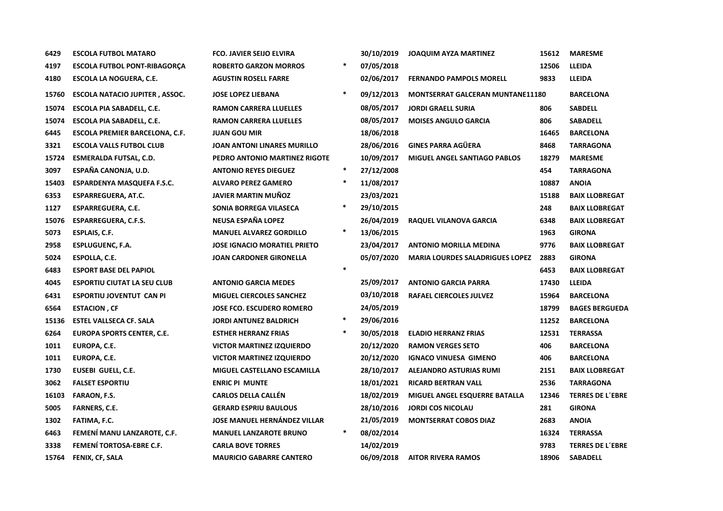| 6429  | <b>ESCOLA FUTBOL MATARO</b>           | <b>FCO. JAVIER SEIJO ELVIRA</b>     |        | 30/10/2019 | <b>JOAQUIM AYZA MARTINEZ</b>            | 15612 | <b>MARESME</b>          |
|-------|---------------------------------------|-------------------------------------|--------|------------|-----------------------------------------|-------|-------------------------|
| 4197  | <b>ESCOLA FUTBOL PONT-RIBAGORÇA</b>   | <b>ROBERTO GARZON MORROS</b>        | $\ast$ | 07/05/2018 |                                         | 12506 | <b>LLEIDA</b>           |
| 4180  | ESCOLA LA NOGUERA, C.E.               | <b>AGUSTIN ROSELL FARRE</b>         |        | 02/06/2017 | <b>FERNANDO PAMPOLS MORELL</b>          | 9833  | <b>LLEIDA</b>           |
| 15760 | <b>ESCOLA NATACIO JUPITER, ASSOC.</b> | <b>JOSE LOPEZ LIEBANA</b>           |        | 09/12/2013 | <b>MONTSERRAT GALCERAN MUNTANE11180</b> |       | <b>BARCELONA</b>        |
| 15074 | ESCOLA PIA SABADELL, C.E.             | <b>RAMON CARRERA LLUELLES</b>       |        | 08/05/2017 | <b>JORDI GRAELL SURIA</b>               | 806   | <b>SABDELL</b>          |
| 15074 | <b>ESCOLA PIA SABADELL, C.E.</b>      | <b>RAMON CARRERA LLUELLES</b>       |        | 08/05/2017 | <b>MOISES ANGULO GARCIA</b>             | 806   | <b>SABADELL</b>         |
| 6445  | ESCOLA PREMIER BARCELONA, C.F.        | <b>JUAN GOU MIR</b>                 |        | 18/06/2018 |                                         | 16465 | <b>BARCELONA</b>        |
| 3321  | <b>ESCOLA VALLS FUTBOL CLUB</b>       | JOAN ANTONI LINARES MURILLO         |        | 28/06/2016 | <b>GINES PARRA AGÜERA</b>               | 8468  | <b>TARRAGONA</b>        |
| 15724 | <b>ESMERALDA FUTSAL, C.D.</b>         | PEDRO ANTONIO MARTINEZ RIGOTE       |        | 10/09/2017 | <b>MIGUEL ANGEL SANTIAGO PABLOS</b>     | 18279 | <b>MARESME</b>          |
| 3097  | ESPAÑA CANONJA, U.D.                  | <b>ANTONIO REYES DIEGUEZ</b>        | $\ast$ | 27/12/2008 |                                         | 454   | <b>TARRAGONA</b>        |
| 15403 | ESPARDENYA MASQUEFA F.S.C.            | <b>ALVARO PEREZ GAMERO</b>          | $\ast$ | 11/08/2017 |                                         | 10887 | <b>ANOIA</b>            |
| 6353  | <b>ESPARREGUERA, AT.C.</b>            | <b>JAVIER MARTIN MUÑOZ</b>          |        | 23/03/2021 |                                         | 15188 | <b>BAIX LLOBREGAT</b>   |
| 1127  | <b>ESPARREGUERA, C.E.</b>             | SONIA BORREGA VILASECA              | $\ast$ | 29/10/2015 |                                         | 248   | <b>BAIX LLOBREGAT</b>   |
| 15076 | <b>ESPARREGUERA, C.F.S.</b>           | NEUSA ESPAÑA LOPEZ                  |        | 26/04/2019 | RAQUEL VILANOVA GARCIA                  | 6348  | <b>BAIX LLOBREGAT</b>   |
| 5073  | ESPLAIS, C.F.                         | <b>MANUEL ALVAREZ GORDILLO</b>      |        | 13/06/2015 |                                         | 1963  | <b>GIRONA</b>           |
| 2958  | <b>ESPLUGUENC, F.A.</b>               | <b>JOSE IGNACIO MORATIEL PRIETO</b> |        | 23/04/2017 | <b>ANTONIO MORILLA MEDINA</b>           | 9776  | <b>BAIX LLOBREGAT</b>   |
| 5024  | ESPOLLA, C.E.                         | <b>JOAN CARDONER GIRONELLA</b>      |        | 05/07/2020 | <b>MARIA LOURDES SALADRIGUES LOPEZ</b>  | 2883  | <b>GIRONA</b>           |
| 6483  | <b>ESPORT BASE DEL PAPIOL</b>         |                                     | $\ast$ |            |                                         | 6453  | <b>BAIX LLOBREGAT</b>   |
| 4045  | <b>ESPORTIU CIUTAT LA SEU CLUB</b>    | <b>ANTONIO GARCIA MEDES</b>         |        | 25/09/2017 | <b>ANTONIO GARCIA PARRA</b>             | 17430 | <b>LLEIDA</b>           |
| 6431  | <b>ESPORTIU JOVENTUT CAN PI</b>       | <b>MIGUEL CIERCOLES SANCHEZ</b>     |        | 03/10/2018 | RAFAEL CIERCOLES JULVEZ                 | 15964 | <b>BARCELONA</b>        |
| 6564  | <b>ESTACION, CF</b>                   | <b>JOSE FCO. ESCUDERO ROMERO</b>    |        | 24/05/2019 |                                         | 18799 | <b>BAGES BERGUEDA</b>   |
| 15136 | <b>ESTEL VALLSECA CF. SALA</b>        | <b>JORDI ANTUNEZ BALDRICH</b>       | *      | 29/06/2016 |                                         | 11252 | <b>BARCELONA</b>        |
| 6264  | <b>EUROPA SPORTS CENTER, C.E.</b>     | <b>ESTHER HERRANZ FRIAS</b>         | $\ast$ | 30/05/2018 | <b>ELADIO HERRANZ FRIAS</b>             | 12531 | <b>TERRASSA</b>         |
| 1011  | EUROPA, C.E.                          | <b>VICTOR MARTINEZ IZQUIERDO</b>    |        | 20/12/2020 | <b>RAMON VERGES SETO</b>                | 406   | <b>BARCELONA</b>        |
| 1011  | EUROPA, C.E.                          | <b>VICTOR MARTINEZ IZQUIERDO</b>    |        | 20/12/2020 | <b>IGNACO VINUESA GIMENO</b>            | 406   | <b>BARCELONA</b>        |
| 1730  | EUSEBI GUELL, C.E.                    | MIGUEL CASTELLANO ESCAMILLA         |        | 28/10/2017 | ALEJANDRO ASTURIAS RUMI                 | 2151  | <b>BAIX LLOBREGAT</b>   |
| 3062  | <b>FALSET ESPORTIU</b>                | <b>ENRIC PI MUNTE</b>               |        | 18/01/2021 | <b>RICARD BERTRAN VALL</b>              | 2536  | <b>TARRAGONA</b>        |
| 16103 | <b>FARAON, F.S.</b>                   | <b>CARLOS DELLA CALLÉN</b>          |        | 18/02/2019 | MIGUEL ANGEL ESQUERRE BATALLA           | 12346 | <b>TERRES DE L'EBRE</b> |
| 5005  | <b>FARNERS, C.E.</b>                  | <b>GERARD ESPRIU BAULOUS</b>        |        | 28/10/2016 | <b>JORDI COS NICOLAU</b>                | 281   | <b>GIRONA</b>           |
| 1302  | FATIMA, F.C.                          | <b>JOSE MANUEL HERNÁNDEZ VILLAR</b> |        | 21/05/2019 | <b>MONTSERRAT COBOS DIAZ</b>            | 2683  | <b>ANOIA</b>            |
| 6463  | FEMENÍ MANU LANZAROTE, C.F.           | <b>MANUEL LANZAROTE BRUNO</b>       | $\ast$ | 08/02/2014 |                                         | 16324 | <b>TERRASSA</b>         |
| 3338  | <b>FEMENÍ TORTOSA-EBRE C.F.</b>       | <b>CARLA BOVE TORRES</b>            |        | 14/02/2019 |                                         | 9783  | <b>TERRES DE L'EBRE</b> |
| 15764 | FENIX, CF, SALA                       | <b>MAURICIO GABARRE CANTERO</b>     |        | 06/09/2018 | <b>AITOR RIVERA RAMOS</b>               | 18906 | <b>SABADELL</b>         |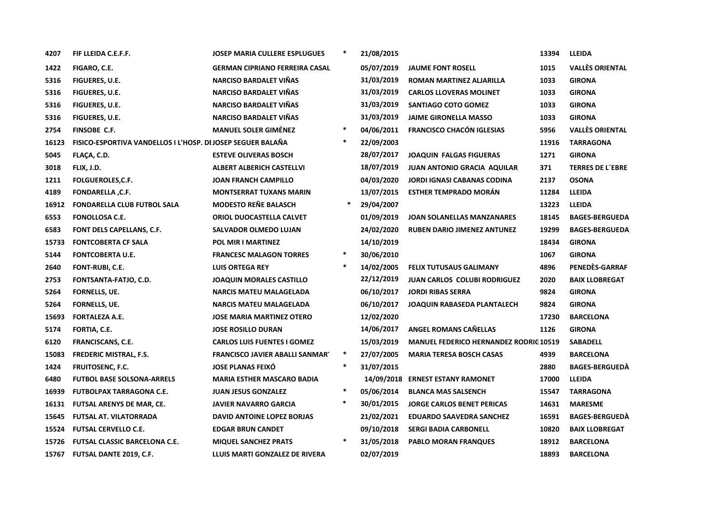| 4207  | FIF LLEIDA C.E.F.F.                                                | <b>JOSEP MARIA CULLERE ESPLUGUES</b>   | $\ast$ | 21/08/2015 |                                               | 13394 | <b>LLEIDA</b>           |
|-------|--------------------------------------------------------------------|----------------------------------------|--------|------------|-----------------------------------------------|-------|-------------------------|
| 1422  | FIGARO, C.E.                                                       | <b>GERMAN CIPRIANO FERREIRA CASAL</b>  |        | 05/07/2019 | <b>JAUME FONT ROSELL</b>                      | 1015  | <b>VALLÈS ORIENTAL</b>  |
| 5316  | <b>FIGUERES, U.E.</b>                                              | <b>NARCISO BARDALET VIÑAS</b>          |        | 31/03/2019 | ROMAN MARTINEZ ALJARILLA                      | 1033  | <b>GIRONA</b>           |
| 5316  | <b>FIGUERES, U.E.</b>                                              | <b>NARCISO BARDALET VIÑAS</b>          |        | 31/03/2019 | <b>CARLOS LLOVERAS MOLINET</b>                | 1033  | <b>GIRONA</b>           |
| 5316  | FIGUERES, U.E.                                                     | <b>NARCISO BARDALET VIÑAS</b>          |        | 31/03/2019 | <b>SANTIAGO COTO GOMEZ</b>                    | 1033  | <b>GIRONA</b>           |
| 5316  | FIGUERES, U.E.                                                     | <b>NARCISO BARDALET VIÑAS</b>          |        | 31/03/2019 | <b>JAIME GIRONELLA MASSO</b>                  | 1033  | <b>GIRONA</b>           |
| 2754  | FINSOBE C.F.                                                       | <b>MANUEL SOLER GIMÉNEZ</b>            | $\ast$ | 04/06/2011 | <b>FRANCISCO CHACÓN IGLESIAS</b>              | 5956  | <b>VALLÈS ORIENTAL</b>  |
| 16123 | <b>FISICO-ESPORTIVA VANDELLOS I L'HOSP. DI JOSEP SEGUER BALAÑA</b> |                                        | $\ast$ | 22/09/2003 |                                               | 11916 | <b>TARRAGONA</b>        |
| 5045  | FLAÇA, C.D.                                                        | <b>ESTEVE OLIVERAS BOSCH</b>           |        | 28/07/2017 | <b>JOAQUIN FALGAS FIGUERAS</b>                | 1271  | <b>GIRONA</b>           |
| 3018  | FLIX, J.D.                                                         | <b>ALBERT ALBERICH CASTELLVI</b>       |        | 18/07/2019 | <b>JUAN ANTONIO GRACIA AQUILAR</b>            | 371   | <b>TERRES DE L'EBRE</b> |
| 1211  | <b>FOLGUEROLES, C.F.</b>                                           | <b>JOAN FRANCH CAMPILLO</b>            |        | 04/03/2020 | <b>JORDI IGNASI CABANAS CODINA</b>            | 2137  | <b>OSONA</b>            |
| 4189  | <b>FONDARELLA, C.F.</b>                                            | <b>MONTSERRAT TUXANS MARIN</b>         |        | 13/07/2015 | <b>ESTHER TEMPRADO MORAN</b>                  | 11284 | LLEIDA                  |
| 16912 | <b>FONDARELLA CLUB FUTBOL SALA</b>                                 | <b>MODESTO REÑE BALASCH</b>            | ∗      | 29/04/2007 |                                               | 13223 | LLEIDA                  |
| 6553  | <b>FONOLLOSA C.E.</b>                                              | ORIOL DUOCASTELLA CALVET               |        | 01/09/2019 | <b>JOAN SOLANELLAS MANZANARES</b>             | 18145 | <b>BAGES-BERGUEDA</b>   |
| 6583  | FONT DELS CAPELLANS, C.F.                                          | SALVADOR OLMEDO LUJAN                  |        | 24/02/2020 | <b>RUBEN DARIO JIMENEZ ANTUNEZ</b>            | 19299 | <b>BAGES-BERGUEDA</b>   |
| 15733 | <b>FONTCOBERTA CF SALA</b>                                         | POL MIR I MARTINEZ                     |        | 14/10/2019 |                                               | 18434 | <b>GIRONA</b>           |
| 5144  | <b>FONTCOBERTA U.E.</b>                                            | <b>FRANCESC MALAGON TORRES</b>         | $\ast$ | 30/06/2010 |                                               | 1067  | <b>GIRONA</b>           |
| 2640  | <b>FONT-RUBI, C.E.</b>                                             | <b>LUIS ORTEGA REY</b>                 | $\ast$ | 14/02/2005 | <b>FELIX TUTUSAUS GALIMANY</b>                | 4896  | PENEDÈS-GARRAF          |
| 2753  | FONTSANTA-FATJO, C.D.                                              | <b>JOAQUIN MORALES CASTILLO</b>        |        | 22/12/2019 | <b>JUAN CARLOS COLUBI RODRIGUEZ</b>           | 2020  | <b>BAIX LLOBREGAT</b>   |
| 5264  | FORNELLS, UE.                                                      | <b>NARCIS MATEU MALAGELADA</b>         |        | 06/10/2017 | <b>JORDI RIBAS SERRA</b>                      | 9824  | <b>GIRONA</b>           |
| 5264  | FORNELLS, UE.                                                      | <b>NARCIS MATEU MALAGELADA</b>         |        | 06/10/2017 | JOAQUIN RABASEDA PLANTALECH                   | 9824  | <b>GIRONA</b>           |
| 15693 | <b>FORTALEZA A.E.</b>                                              | <b>JOSE MARIA MARTINEZ OTERO</b>       |        | 12/02/2020 |                                               | 17230 | <b>BARCELONA</b>        |
| 5174  | FORTIA, C.E.                                                       | <b>JOSE ROSILLO DURAN</b>              |        | 14/06/2017 | <b>ANGEL ROMANS CANELLAS</b>                  | 1126  | <b>GIRONA</b>           |
| 6120  | <b>FRANCISCANS, C.E.</b>                                           | <b>CARLOS LUIS FUENTES I GOMEZ</b>     |        | 15/03/2019 | <b>MANUEL FEDERICO HERNANDEZ RODRIC 10519</b> |       | <b>SABADELL</b>         |
| 15083 | <b>FREDERIC MISTRAL, F.S.</b>                                      | <b>FRANCISCO JAVIER ABALLI SANMART</b> | $\ast$ | 27/07/2005 | <b>MARIA TERESA BOSCH CASAS</b>               | 4939  | <b>BARCELONA</b>        |
| 1424  | <b>FRUITOSENC, F.C.</b>                                            | <b>JOSE PLANAS FEIXO</b>               | $\ast$ | 31/07/2015 |                                               | 2880  | <b>BAGES-BERGUEDA</b>   |
| 6480  | <b>FUTBOL BASE SOLSONA-ARRELS</b>                                  | <b>MARIA ESTHER MASCARO BADIA</b>      |        |            | 14/09/2018 ERNEST ESTANY RAMONET              | 17000 | <b>LLEIDA</b>           |
| 16939 | <b>FUTBOLPAX TARRAGONA C.E.</b>                                    | <b>JUAN JESUS GONZALEZ</b>             | $\ast$ | 05/06/2014 | <b>BLANCA MAS SALSENCH</b>                    | 15547 | <b>TARRAGONA</b>        |
| 16131 | <b>FUTSAL ARENYS DE MAR, CE.</b>                                   | <b>JAVIER NAVARRO GARCIA</b>           | $\ast$ | 30/01/2015 | <b>JORGE CARLOS BENET PERICAS</b>             | 14631 | <b>MARESME</b>          |
| 15645 | <b>FUTSAL AT. VILATORRADA</b>                                      | DAVID ANTOINE LOPEZ BORJAS             |        | 21/02/2021 | EDUARDO SAAVEDRA SANCHEZ                      | 16591 | <b>BAGES-BERGUEDA</b>   |
| 15524 | <b>FUTSAL CERVELLO C.E.</b>                                        | <b>EDGAR BRUN CANDET</b>               |        | 09/10/2018 | <b>SERGI BADIA CARBONELL</b>                  | 10820 | <b>BAIX LLOBREGAT</b>   |
| 15726 | <b>FUTSAL CLASSIC BARCELONA C.E.</b>                               | <b>MIQUEL SANCHEZ PRATS</b>            | $\ast$ | 31/05/2018 | <b>PABLO MORAN FRANQUES</b>                   | 18912 | <b>BARCELONA</b>        |
| 15767 | <b>FUTSAL DANTE 2019, C.F.</b>                                     | LLUIS MARTI GONZALEZ DE RIVERA         |        | 02/07/2019 |                                               | 18893 | <b>BARCELONA</b>        |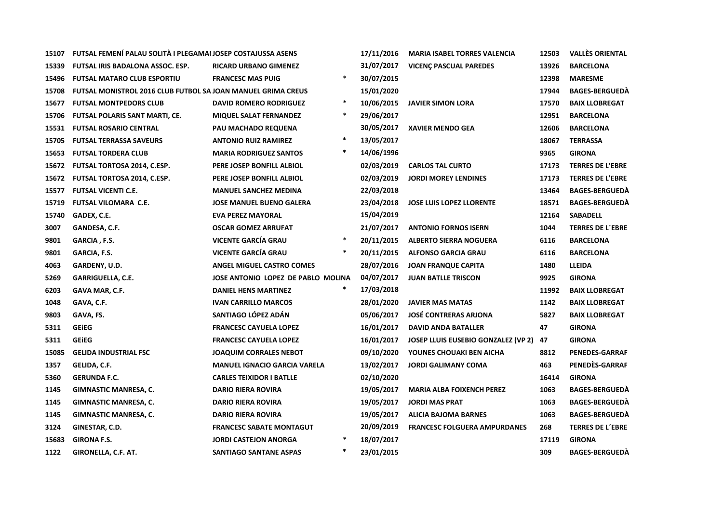| 15107 | FUTSAL FEMENÍ PALAU SOLITÀ I PLEGAMAI JOSEP COSTAJUSSA ASENS        |                                     |        | 17/11/2016 | <b>MARIA ISABEL TORRES VALENCIA</b>    | 12503 | <b>VALLÈS ORIENTAL</b>  |
|-------|---------------------------------------------------------------------|-------------------------------------|--------|------------|----------------------------------------|-------|-------------------------|
| 15339 | FUTSAL IRIS BADALONA ASSOC. ESP.                                    | <b>RICARD URBANO GIMENEZ</b>        |        | 31/07/2017 | <b>VICENÇ PASCUAL PAREDES</b>          | 13926 | <b>BARCELONA</b>        |
| 15496 | <b>FUTSAL MATARO CLUB ESPORTIU</b>                                  | <b>FRANCESC MAS PUIG</b>            | $\ast$ | 30/07/2015 |                                        | 12398 | <b>MARESME</b>          |
| 15708 | <b>FUTSAL MONISTROL 2016 CLUB FUTBOL SA JOAN MANUEL GRIMA CREUS</b> |                                     |        | 15/01/2020 |                                        | 17944 | <b>BAGES-BERGUEDA</b>   |
| 15677 | <b>FUTSAL MONTPEDORS CLUB</b>                                       | <b>DAVID ROMERO RODRIGUEZ</b>       | $\ast$ | 10/06/2015 | <b>JAVIER SIMON LORA</b>               | 17570 | <b>BAIX LLOBREGAT</b>   |
| 15706 | <b>FUTSAL POLARIS SANT MARTI, CE.</b>                               | <b>MIQUEL SALAT FERNANDEZ</b>       | $\ast$ | 29/06/2017 |                                        | 12951 | <b>BARCELONA</b>        |
| 15531 | <b>FUTSAL ROSARIO CENTRAL</b>                                       | PAU MACHADO REQUENA                 |        | 30/05/2017 | <b>XAVIER MENDO GEA</b>                | 12606 | <b>BARCELONA</b>        |
| 15705 | <b>FUTSAL TERRASSA SAVEURS</b>                                      | <b>ANTONIO RUIZ RAMIREZ</b>         | $\ast$ | 13/05/2017 |                                        | 18067 | <b>TERRASSA</b>         |
| 15653 | <b>FUTSAL TORDERA CLUB</b>                                          | <b>MARIA RODRIGUEZ SANTOS</b>       | *      | 14/06/1996 |                                        | 9365  | <b>GIRONA</b>           |
| 15672 | <b>FUTSAL TORTOSA 2014, C.ESP.</b>                                  | PERE JOSEP BONFILL ALBIOL           |        | 02/03/2019 | <b>CARLOS TAL CURTO</b>                | 17173 | <b>TERRES DE L'EBRE</b> |
| 15672 | <b>FUTSAL TORTOSA 2014, C.ESP.</b>                                  | PERE JOSEP BONFILL ALBIOL           |        | 02/03/2019 | <b>JORDI MOREY LENDINES</b>            | 17173 | <b>TERRES DE L'EBRE</b> |
| 15577 | <b>FUTSAL VICENTI C.E.</b>                                          | <b>MANUEL SANCHEZ MEDINA</b>        |        | 22/03/2018 |                                        | 13464 | <b>BAGES-BERGUEDA</b>   |
| 15719 | <b>FUTSAL VILOMARA C.E.</b>                                         | <b>JOSE MANUEL BUENO GALERA</b>     |        | 23/04/2018 | <b>JOSE LUIS LOPEZ LLORENTE</b>        | 18571 | <b>BAGES-BERGUEDA</b>   |
| 15740 | GADEX, C.E.                                                         | <b>EVA PEREZ MAYORAL</b>            |        | 15/04/2019 |                                        | 12164 | <b>SABADELL</b>         |
| 3007  | GANDESA, C.F.                                                       | <b>OSCAR GOMEZ ARRUFAT</b>          |        | 21/07/2017 | <b>ANTONIO FORNOS ISERN</b>            | 1044  | <b>TERRES DE L'EBRE</b> |
| 9801  | GARCIA, F.S.                                                        | <b>VICENTE GARCÍA GRAU</b>          | $\ast$ | 20/11/2015 | <b>ALBERTO SIERRA NOGUERA</b>          | 6116  | <b>BARCELONA</b>        |
| 9801  | GARCIA, F.S.                                                        | <b>VICENTE GARCÍA GRAU</b>          | $\ast$ | 20/11/2015 | <b>ALFONSO GARCIA GRAU</b>             | 6116  | <b>BARCELONA</b>        |
| 4063  | GARDENY, U.D.                                                       | <b>ANGEL MIGUEL CASTRO COMES</b>    |        | 28/07/2016 | <b>JOAN FRANQUE CAPITA</b>             | 1480  | <b>LLEIDA</b>           |
| 5269  | <b>GARRIGUELLA, C.E.</b>                                            | JOSE ANTONIO LOPEZ DE PABLO MOLINA  |        | 04/07/2017 | <b>JUAN BATLLE TRISCON</b>             | 9925  | <b>GIRONA</b>           |
| 6203  | GAVA MAR, C.F.                                                      | <b>DANIEL HENS MARTINEZ</b>         | *      | 17/03/2018 |                                        | 11992 | <b>BAIX LLOBREGAT</b>   |
| 1048  | GAVA, C.F.                                                          | <b>IVAN CARRILLO MARCOS</b>         |        | 28/01/2020 | <b>JAVIER MAS MATAS</b>                | 1142  | <b>BAIX LLOBREGAT</b>   |
| 9803  | GAVA, FS.                                                           | SANTIAGO LÓPEZ ADÁN                 |        | 05/06/2017 | <b>JOSÉ CONTRERAS ARJONA</b>           | 5827  | <b>BAIX LLOBREGAT</b>   |
| 5311  | <b>GEIEG</b>                                                        | <b>FRANCESC CAYUELA LOPEZ</b>       |        | 16/01/2017 | <b>DAVID ANDA BATALLER</b>             | 47    | <b>GIRONA</b>           |
| 5311  | <b>GEIEG</b>                                                        | <b>FRANCESC CAYUELA LOPEZ</b>       |        | 16/01/2017 | JOSEP LLUIS EUSEBIO GONZALEZ (VP 2) 47 |       | <b>GIRONA</b>           |
| 15085 | <b>GELIDA INDUSTRIAL FSC</b>                                        | <b>JOAQUIM CORRALES NEBOT</b>       |        | 09/10/2020 | YOUNES CHOUAKI BEN AICHA               | 8812  | <b>PENEDES-GARRAF</b>   |
| 1357  | GELIDA, C.F.                                                        | <b>MANUEL IGNACIO GARCIA VARELA</b> |        | 13/02/2017 | <b>JORDI GALIMANY COMA</b>             | 463   | PENEDES-GARRAF          |
| 5360  | <b>GERUNDA F.C.</b>                                                 | <b>CARLES TEIXIDOR I BATLLE</b>     |        | 02/10/2020 |                                        | 16414 | <b>GIRONA</b>           |
| 1145  | <b>GIMNASTIC MANRESA, C.</b>                                        | <b>DARIO RIERA ROVIRA</b>           |        | 19/05/2017 | <b>MARIA ALBA FOIXENCH PEREZ</b>       | 1063  | <b>BAGES-BERGUEDA</b>   |
| 1145  | <b>GIMNASTIC MANRESA, C.</b>                                        | <b>DARIO RIERA ROVIRA</b>           |        | 19/05/2017 | <b>JORDI MAS PRAT</b>                  | 1063  | <b>BAGES-BERGUEDÀ</b>   |
| 1145  | <b>GIMNASTIC MANRESA, C.</b>                                        | <b>DARIO RIERA ROVIRA</b>           |        | 19/05/2017 | <b>ALICIA BAJOMA BARNES</b>            | 1063  | <b>BAGES-BERGUEDA</b>   |
| 3124  | GINESTAR, C.D.                                                      | <b>FRANCESC SABATE MONTAGUT</b>     |        | 20/09/2019 | <b>FRANCESC FOLGUERA AMPURDANES</b>    | 268   | <b>TERRES DE L'EBRE</b> |
| 15683 | <b>GIRONA F.S.</b>                                                  | <b>JORDI CASTEJON ANORGA</b>        | $\ast$ | 18/07/2017 |                                        | 17119 | <b>GIRONA</b>           |
| 1122  | GIRONELLA, C.F. AT.                                                 | <b>SANTIAGO SANTANE ASPAS</b>       | $\ast$ | 23/01/2015 |                                        | 309   | <b>BAGES-BERGUEDA</b>   |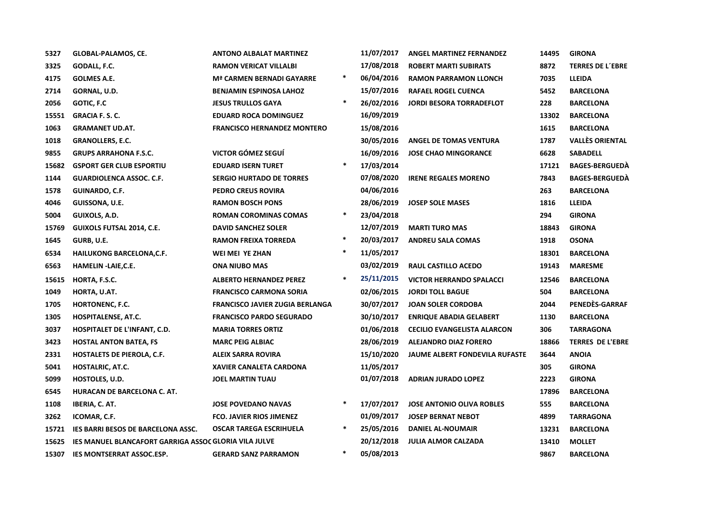| 5327  | GLOBAL-PALAMOS, CE.                                   | <b>ANTONO ALBALAT MARTINEZ</b>         |        | 11/07/2017 | <b>ANGEL MARTINEZ FERNANDEZ</b>       | 14495 | <b>GIRONA</b>           |
|-------|-------------------------------------------------------|----------------------------------------|--------|------------|---------------------------------------|-------|-------------------------|
| 3325  | GODALL, F.C.                                          | <b>RAMON VERICAT VILLALBI</b>          |        | 17/08/2018 | <b>ROBERT MARTI SUBIRATS</b>          | 8872  | <b>TERRES DE L'EBRE</b> |
| 4175  | <b>GOLMES A.E.</b>                                    | <b>Mª CARMEN BERNADI GAYARRE</b>       | $\ast$ | 06/04/2016 | <b>RAMON PARRAMON LLONCH</b>          | 7035  | LLEIDA                  |
| 2714  | GORNAL, U.D.                                          | <b>BENJAMIN ESPINOSA LAHOZ</b>         |        | 15/07/2016 | <b>RAFAEL ROGEL CUENCA</b>            | 5452  | <b>BARCELONA</b>        |
| 2056  | <b>GOTIC, F.C</b>                                     | <b>JESUS TRULLOS GAYA</b>              | $\ast$ | 26/02/2016 | <b>JORDI BESORA TORRADEFLOT</b>       | 228   | <b>BARCELONA</b>        |
| 15551 | <b>GRACIA F. S. C.</b>                                | <b>EDUARD ROCA DOMINGUEZ</b>           |        | 16/09/2019 |                                       | 13302 | <b>BARCELONA</b>        |
| 1063  | <b>GRAMANET UD.AT.</b>                                | <b>FRANCISCO HERNANDEZ MONTERO</b>     |        | 15/08/2016 |                                       | 1615  | <b>BARCELONA</b>        |
| 1018  | <b>GRANOLLERS, E.C.</b>                               |                                        |        | 30/05/2016 | <b>ANGEL DE TOMAS VENTURA</b>         | 1787  | <b>VALLÈS ORIENTAL</b>  |
| 9855  | <b>GRUPS ARRAHONA F.S.C.</b>                          | VICTOR GÓMEZ SEGUÍ                     |        | 16/09/2016 | <b>JOSE CHAO MINGORANCE</b>           | 6628  | <b>SABADELL</b>         |
| 15682 | <b>GSPORT GER CLUB ESPORTIU</b>                       | <b>EDUARD ISERN TURET</b>              | $\ast$ | 17/03/2014 |                                       | 17121 | <b>BAGES-BERGUEDA</b>   |
| 1144  | <b>GUARDIOLENCA ASSOC. C.F.</b>                       | <b>SERGIO HURTADO DE TORRES</b>        |        | 07/08/2020 | <b>IRENE REGALES MORENO</b>           | 7843  | <b>BAGES-BERGUEDÀ</b>   |
| 1578  | GUINARDO, C.F.                                        | <b>PEDRO CREUS ROVIRA</b>              |        | 04/06/2016 |                                       | 263   | <b>BARCELONA</b>        |
| 4046  | GUISSONA, U.E.                                        | <b>RAMON BOSCH PONS</b>                |        | 28/06/2019 | <b>JOSEP SOLE MASES</b>               | 1816  | LLEIDA                  |
| 5004  | GUIXOLS, A.D.                                         | <b>ROMAN COROMINAS COMAS</b>           | $\ast$ | 23/04/2018 |                                       | 294   | <b>GIRONA</b>           |
| 15769 | <b>GUIXOLS FUTSAL 2014, C.E.</b>                      | <b>DAVID SANCHEZ SOLER</b>             |        | 12/07/2019 | <b>MARTI TURO MAS</b>                 | 18843 | <b>GIRONA</b>           |
| 1645  | GURB, U.E.                                            | <b>RAMON FREIXA TORREDA</b>            | $\ast$ | 20/03/2017 | <b>ANDREU SALA COMAS</b>              | 1918  | <b>OSONA</b>            |
| 6534  | <b>HAILUKONG BARCELONA,C.F.</b>                       | WEI MEI YE ZHAN                        | $\ast$ | 11/05/2017 |                                       | 18301 | <b>BARCELONA</b>        |
| 6563  | HAMELIN -LAIE, C.E.                                   | <b>ONA NIUBO MAS</b>                   |        | 03/02/2019 | <b>RAUL CASTILLO ACEDO</b>            | 19143 | <b>MARESME</b>          |
| 15615 | HORTA, F.S.C.                                         | <b>ALBERTO HERNANDEZ PEREZ</b>         | $\ast$ | 25/11/2015 | <b>VICTOR HERRANDO SPALACCI</b>       | 12546 | <b>BARCELONA</b>        |
| 1049  | HORTA, U.AT.                                          | <b>FRANCISCO CARMONA SORIA</b>         |        | 02/06/2015 | <b>JORDI TOLL BAGUE</b>               | 504   | <b>BARCELONA</b>        |
| 1705  | HORTONENC, F.C.                                       | <b>FRANCISCO JAVIER ZUGIA BERLANGA</b> |        | 30/07/2017 | <b>JOAN SOLER CORDOBA</b>             | 2044  | PENEDÈS-GARRAF          |
| 1305  | HOSPITALENSE, AT.C.                                   | <b>FRANCISCO PARDO SEGURADO</b>        |        | 30/10/2017 | <b>ENRIQUE ABADIA GELABERT</b>        | 1130  | <b>BARCELONA</b>        |
| 3037  | HOSPITALET DE L'INFANT, C.D.                          | <b>MARIA TORRES ORTIZ</b>              |        | 01/06/2018 | <b>CECILIO EVANGELISTA ALARCON</b>    | 306   | <b>TARRAGONA</b>        |
| 3423  | <b>HOSTAL ANTON BATEA, FS</b>                         | <b>MARC PEIG ALBIAC</b>                |        | 28/06/2019 | <b>ALEJANDRO DIAZ FORERO</b>          | 18866 | <b>TERRES DE L'EBRE</b> |
| 2331  | <b>HOSTALETS DE PIEROLA, C.F.</b>                     | <b>ALEIX SARRA ROVIRA</b>              |        | 15/10/2020 | <b>JAUME ALBERT FONDEVILA RUFASTE</b> | 3644  | <b>ANOIA</b>            |
| 5041  | HOSTALRIC, AT.C.                                      | XAVIER CANALETA CARDONA                |        | 11/05/2017 |                                       | 305   | <b>GIRONA</b>           |
| 5099  | <b>HOSTOLES, U.D.</b>                                 | <b>JOEL MARTIN TUAU</b>                |        | 01/07/2018 | <b>ADRIAN JURADO LOPEZ</b>            | 2223  | <b>GIRONA</b>           |
| 6545  | HURACAN DE BARCELONA C. AT.                           |                                        |        |            |                                       | 17896 | <b>BARCELONA</b>        |
| 1108  | <b>IBERIA, C. AT.</b>                                 | <b>JOSE POVEDANO NAVAS</b>             | $\ast$ | 17/07/2017 | <b>JOSE ANTONIO OLIVA ROBLES</b>      | 555   | <b>BARCELONA</b>        |
| 3262  | ICOMAR, C.F.                                          | <b>FCO. JAVIER RIOS JIMENEZ</b>        |        | 01/09/2017 | <b>JOSEP BERNAT NEBOT</b>             | 4899  | <b>TARRAGONA</b>        |
| 15721 | IES BARRI BESOS DE BARCELONA ASSC.                    | <b>OSCAR TAREGA ESCRIHUELA</b>         | $\ast$ | 25/05/2016 | <b>DANIEL AL-NOUMAIR</b>              | 13231 | <b>BARCELONA</b>        |
| 15625 | IES MANUEL BLANCAFORT GARRIGA ASSOC GLORIA VILA JULVE |                                        |        | 20/12/2018 | <b>JULIA ALMOR CALZADA</b>            | 13410 | <b>MOLLET</b>           |
| 15307 | <b>IES MONTSERRAT ASSOC.ESP.</b>                      | <b>GERARD SANZ PARRAMON</b>            | $\ast$ | 05/08/2013 |                                       | 9867  | <b>BARCELONA</b>        |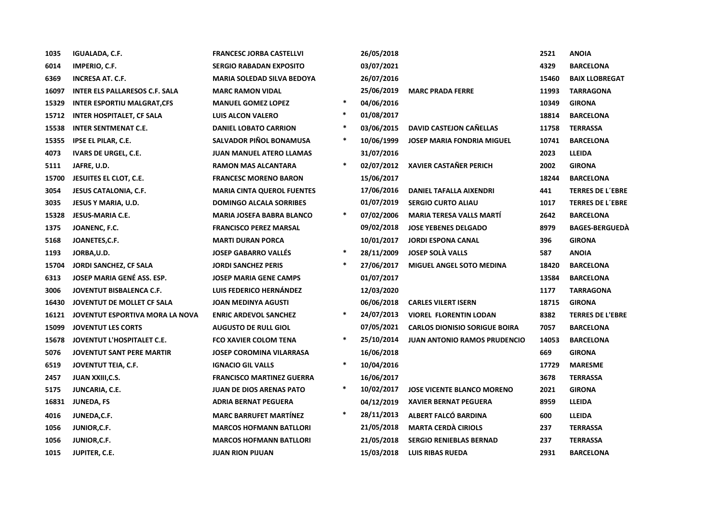| 1035  | <b>IGUALADA, C.F.</b>                 | <b>FRANCESC JORBA CASTELLVI</b>   |        | 26/05/2018 |                                      | 2521  | <b>ANOIA</b>            |
|-------|---------------------------------------|-----------------------------------|--------|------------|--------------------------------------|-------|-------------------------|
| 6014  | IMPERIO, C.F.                         | <b>SERGIO RABADAN EXPOSITO</b>    |        | 03/07/2021 |                                      | 4329  | <b>BARCELONA</b>        |
| 6369  | <b>INCRESA AT. C.F.</b>               | <b>MARIA SOLEDAD SILVA BEDOYA</b> |        | 26/07/2016 |                                      | 15460 | <b>BAIX LLOBREGAT</b>   |
| 16097 | <b>INTER ELS PALLARESOS C.F. SALA</b> | <b>MARC RAMON VIDAL</b>           |        | 25/06/2019 | <b>MARC PRADA FERRE</b>              | 11993 | <b>TARRAGONA</b>        |
| 15329 | <b>INTER ESPORTIU MALGRAT, CFS</b>    | <b>MANUEL GOMEZ LOPEZ</b>         | $\ast$ | 04/06/2016 |                                      | 10349 | <b>GIRONA</b>           |
| 15712 | <b>INTER HOSPITALET, CF SALA</b>      | <b>LUIS ALCON VALERO</b>          | $\ast$ | 01/08/2017 |                                      | 18814 | <b>BARCELONA</b>        |
| 15538 | <b>INTER SENTMENAT C.E.</b>           | <b>DANIEL LOBATO CARRION</b>      | $\ast$ | 03/06/2015 | <b>DAVID CASTEJON CAÑELLAS</b>       | 11758 | <b>TERRASSA</b>         |
| 15355 | <b>IPSE EL PILAR, C.E.</b>            | SALVADOR PIÑOL BONAMUSA           | $\ast$ | 10/06/1999 | <b>JOSEP MARIA FONDRIA MIGUEL</b>    | 10741 | <b>BARCELONA</b>        |
| 4073  | <b>IVARS DE URGEL, C.E.</b>           | <b>JUAN MANUEL ATERO LLAMAS</b>   |        | 31/07/2016 |                                      | 2023  | <b>LLEIDA</b>           |
| 5111  | JAFRE, U.D.                           | RAMON MAS ALCANTARA               | $\ast$ | 02/07/2012 | <b>XAVIER CASTAÑER PERICH</b>        | 2002  | <b>GIRONA</b>           |
| 15700 | JESUITES EL CLOT, C.E.                | <b>FRANCESC MORENO BARON</b>      |        | 15/06/2017 |                                      | 18244 | <b>BARCELONA</b>        |
| 3054  | <b>JESUS CATALONIA, C.F.</b>          | <b>MARIA CINTA QUEROL FUENTES</b> |        | 17/06/2016 | DANIEL TAFALLA AIXENDRI              | 441   | <b>TERRES DE L'EBRE</b> |
| 3035  | <b>JESUS Y MARIA, U.D.</b>            | <b>DOMINGO ALCALA SORRIBES</b>    |        | 01/07/2019 | <b>SERGIO CURTO ALIAU</b>            | 1017  | <b>TERRES DE L'EBRE</b> |
| 15328 | JESUS-MARIA C.E.                      | <b>MARIA JOSEFA BABRA BLANCO</b>  | $\ast$ | 07/02/2006 | <b>MARIA TERESA VALLS MARTÍ</b>      | 2642  | <b>BARCELONA</b>        |
| 1375  | JOANENC, F.C.                         | <b>FRANCISCO PEREZ MARSAL</b>     |        | 09/02/2018 | <b>JOSE YEBENES DELGADO</b>          | 8979  | <b>BAGES-BERGUEDA</b>   |
| 5168  | JOANETES,C.F.                         | <b>MARTI DURAN PORCA</b>          |        | 10/01/2017 | <b>JORDI ESPONA CANAL</b>            | 396   | <b>GIRONA</b>           |
| 1193  | JORBA, U.D.                           | <b>JOSEP GABARRO VALLÉS</b>       | $\ast$ | 28/11/2009 | <b>JOSEP SOLÀ VALLS</b>              | 587   | <b>ANOIA</b>            |
| 15704 | JORDI SANCHEZ, CF SALA                | <b>JORDI SANCHEZ PERIS</b>        | $\ast$ | 27/06/2017 | MIGUEL ANGEL SOTO MEDINA             | 18420 | <b>BARCELONA</b>        |
| 6313  | JOSEP MARIA GENÉ ASS. ESP.            | <b>JOSEP MARIA GENE CAMPS</b>     |        | 01/07/2017 |                                      | 13584 | <b>BARCELONA</b>        |
| 3006  | JOVENTUT BISBALENCA C.F.              | LUIS FEDERICO HERNÁNDEZ           |        | 12/03/2020 |                                      | 1177  | <b>TARRAGONA</b>        |
| 16430 | JOVENTUT DE MOLLET CF SALA            | <b>JOAN MEDINYA AGUSTI</b>        |        | 06/06/2018 | <b>CARLES VILERT ISERN</b>           | 18715 | <b>GIRONA</b>           |
| 16121 | JOVENTUT ESPORTIVA MORA LA NOVA       | <b>ENRIC ARDEVOL SANCHEZ</b>      | $\ast$ | 24/07/2013 | <b>VIOREL FLORENTIN LODAN</b>        | 8382  | <b>TERRES DE L'EBRE</b> |
| 15099 | <b>JOVENTUT LES CORTS</b>             | <b>AUGUSTO DE RULL GIOL</b>       |        | 07/05/2021 | <b>CARLOS DIONISIO SORIGUE BOIRA</b> | 7057  | <b>BARCELONA</b>        |
| 15678 | JOVENTUT L'HOSPITALET C.E.            | <b>FCO XAVIER COLOM TENA</b>      | $\ast$ | 25/10/2014 | <b>JUAN ANTONIO RAMOS PRUDENCIO</b>  | 14053 | <b>BARCELONA</b>        |
| 5076  | <b>JOVENTUT SANT PERE MARTIR</b>      | <b>JOSEP COROMINA VILARRASA</b>   |        | 16/06/2018 |                                      | 669   | <b>GIRONA</b>           |
| 6519  | JOVENTUT TEIA, C.F.                   | <b>IGNACIO GIL VALLS</b>          | $\ast$ | 10/04/2016 |                                      | 17729 | <b>MARESME</b>          |
| 2457  | JUAN XXIII, C.S.                      | <b>FRANCISCO MARTINEZ GUERRA</b>  |        | 16/06/2017 |                                      | 3678  | <b>TERRASSA</b>         |
| 5175  | JUNCARIA, C.E.                        | <b>JUAN DE DIOS ARENAS PATO</b>   | $\ast$ | 10/02/2017 | <b>JOSE VICENTE BLANCO MORENO</b>    | 2021  | <b>GIRONA</b>           |
| 16831 | JUNEDA, FS                            | <b>ADRIA BERNAT PEGUERA</b>       |        | 04/12/2019 | <b>XAVIER BERNAT PEGUERA</b>         | 8959  | <b>LLEIDA</b>           |
| 4016  | JUNEDA, C.F.                          | <b>MARC BARRUFET MARTINEZ</b>     | $\ast$ | 28/11/2013 | ALBERT FALCÓ BARDINA                 | 600   | <b>LLEIDA</b>           |
| 1056  | JUNIOR, C.F.                          | <b>MARCOS HOFMANN BATLLORI</b>    |        | 21/05/2018 | <b>MARTA CERDÀ CIRIOLS</b>           | 237   | <b>TERRASSA</b>         |
| 1056  | JUNIOR, C.F.                          | <b>MARCOS HOFMANN BATLLORI</b>    |        | 21/05/2018 | <b>SERGIO RENIEBLAS BERNAD</b>       | 237   | <b>TERRASSA</b>         |
| 1015  | JUPITER, C.E.                         | <b>JUAN RION PIJUAN</b>           |        | 15/03/2018 | <b>LUIS RIBAS RUEDA</b>              | 2931  | <b>BARCELONA</b>        |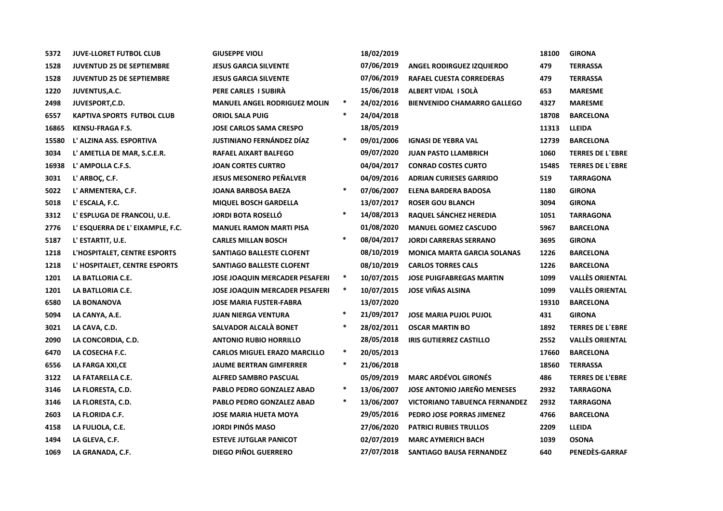| 5372  | <b>JUVE-LLORET FUTBOL CLUB</b>    | <b>GIUSEPPE VIOLI</b>                 |        | 18/02/2019 |                                      | 18100 | <b>GIRONA</b>           |
|-------|-----------------------------------|---------------------------------------|--------|------------|--------------------------------------|-------|-------------------------|
| 1528  | JUVENTUD 25 DE SEPTIEMBRE         | <b>JESUS GARCIA SILVENTE</b>          |        | 07/06/2019 | ANGEL RODIRGUEZ IZQUIERDO            | 479   | <b>TERRASSA</b>         |
| 1528  | <b>JUVENTUD 25 DE SEPTIEMBRE</b>  | <b>JESUS GARCIA SILVENTE</b>          |        | 07/06/2019 | <b>RAFAEL CUESTA CORREDERAS</b>      | 479   | <b>TERRASSA</b>         |
| 1220  | <b>JUVENTUS, A.C.</b>             | PERE CARLES I SUBIRÀ                  |        | 15/06/2018 | ALBERT VIDAL I SOLÀ                  | 653   | <b>MARESME</b>          |
| 2498  | JUVESPORT, C.D.                   | <b>MANUEL ANGEL RODRIGUEZ MOLIN</b>   | $\ast$ | 24/02/2016 | <b>BIENVENIDO CHAMARRO GALLEGO</b>   | 4327  | <b>MARESME</b>          |
| 6557  | <b>KAPTIVA SPORTS FUTBOL CLUB</b> | <b>ORIOL SALA PUIG</b>                | $\ast$ | 24/04/2018 |                                      | 18708 | <b>BARCELONA</b>        |
| 16865 | <b>KENSU-FRAGA F.S.</b>           | <b>JOSE CARLOS SAMA CRESPO</b>        |        | 18/05/2019 |                                      | 11313 | <b>LLEIDA</b>           |
| 15580 | L' ALZINA ASS. ESPORTIVA          | <b>JUSTINIANO FERNÁNDEZ DÍAZ</b>      | $\ast$ | 09/01/2006 | <b>IGNASI DE YEBRA VAL</b>           | 12739 | <b>BARCELONA</b>        |
| 3034  | L' AMETLLA DE MAR, S.C.E.R.       | <b>RAFAEL AIXART BALFEGO</b>          |        | 09/07/2020 | <b>JUAN PASTO LLAMBRICH</b>          | 1060  | <b>TERRES DE L'EBRE</b> |
| 16938 | L' AMPOLLA C.F.S.                 | <b>JOAN CORTES CURTRO</b>             |        | 04/04/2017 | <b>CONRAD COSTES CURTO</b>           | 15485 | <b>TERRES DE L'EBRE</b> |
| 3031  | L' ARBOÇ, C.F.                    | <b>JESUS MESONERO PEÑALVER</b>        |        | 04/09/2016 | <b>ADRIAN CURIESES GARRIDO</b>       | 519   | <b>TARRAGONA</b>        |
| 5022  | L' ARMENTERA, C.F.                | <b>JOANA BARBOSA BAEZA</b>            | $\ast$ | 07/06/2007 | <b>ELENA BARDERA BADOSA</b>          | 1180  | <b>GIRONA</b>           |
| 5018  | L' ESCALA, F.C.                   | <b>MIQUEL BOSCH GARDELLA</b>          |        | 13/07/2017 | <b>ROSER GOU BLANCH</b>              | 3094  | <b>GIRONA</b>           |
| 3312  | L' ESPLUGA DE FRANCOLI, U.E.      | <b>JORDI BOTA ROSELLÓ</b>             | $\ast$ | 14/08/2013 | RAQUEL SÁNCHEZ HEREDIA               | 1051  | <b>TARRAGONA</b>        |
| 2776  | L' ESQUERRA DE L' EIXAMPLE, F.C.  | <b>MANUEL RAMON MARTI PISA</b>        |        | 01/08/2020 | <b>MANUEL GOMEZ CASCUDO</b>          | 5967  | BARCELONA               |
| 5187  | L' ESTARTIT, U.E.                 | <b>CARLES MILLAN BOSCH</b>            | $\ast$ | 08/04/2017 | <b>JORDI CARRERAS SERRANO</b>        | 3695  | <b>GIRONA</b>           |
| 1218  | L'HOSPITALET, CENTRE ESPORTS      | SANTIAGO BALLESTE CLOFENT             |        | 08/10/2019 | <b>MONICA MARTA GARCIA SOLANAS</b>   | 1226  | <b>BARCELONA</b>        |
| 1218  | L' HOSPITALET, CENTRE ESPORTS     | SANTIAGO BALLESTE CLOFENT             |        | 08/10/2019 | <b>CARLOS TORRES CALS</b>            | 1226  | <b>BARCELONA</b>        |
| 1201  | LA BATLLORIA C.E.                 | <b>JOSE JOAQUIN MERCADER PESAFERI</b> | $\ast$ | 10/07/2015 | <b>JOSE PUIGFABREGAS MARTIN</b>      | 1099  | <b>VALLÈS ORIENTAL</b>  |
| 1201  | LA BATLLORIA C.E.                 | <b>JOSE JOAQUIN MERCADER PESAFERI</b> | $\ast$ | 10/07/2015 | <b>JOSE VIÑAS ALSINA</b>             | 1099  | <b>VALLÈS ORIENTAL</b>  |
| 6580  | <b>LA BONANOVA</b>                | <b>JOSE MARIA FUSTER-FABRA</b>        |        | 13/07/2020 |                                      | 19310 | <b>BARCELONA</b>        |
| 5094  | LA CANYA, A.E.                    | <b>JUAN NIERGA VENTURA</b>            | $\ast$ | 21/09/2017 | <b>JOSE MARIA PUJOL PUJOL</b>        | 431   | <b>GIRONA</b>           |
| 3021  | LA CAVA, C.D.                     | SALVADOR ALCALÀ BONET                 | $\ast$ | 28/02/2011 | <b>OSCAR MARTIN BO</b>               | 1892  | <b>TERRES DE L'EBRE</b> |
| 2090  | LA CONCORDIA, C.D.                | <b>ANTONIO RUBIO HORRILLO</b>         |        | 28/05/2018 | <b>IRIS GUTIERREZ CASTILLO</b>       | 2552  | <b>VALLÈS ORIENTAL</b>  |
| 6470  | LA COSECHA F.C.                   | <b>CARLOS MIGUEL ERAZO MARCILLO</b>   | $\ast$ | 20/05/2013 |                                      | 17660 | <b>BARCELONA</b>        |
| 6556  | LA FARGA XXI, CE                  | <b>JAUME BERTRAN GIMFERRER</b>        | $\ast$ | 21/06/2018 |                                      | 18560 | <b>TERRASSA</b>         |
| 3122  | LA FATARELLA C.E.                 | <b>ALFRED SAMBRO PASCUAL</b>          |        | 05/09/2019 | <b>MARC ARDÉVOL GIRONÉS</b>          | 486   | <b>TERRES DE L'EBRE</b> |
| 3146  | LA FLORESTA, C.D.                 | <b>PABLO PEDRO GONZALEZ ABAD</b>      | $\ast$ | 13/06/2007 | JOSE ANTONIO JAREÑO MENESES          | 2932  | <b>TARRAGONA</b>        |
| 3146  | LA FLORESTA, C.D.                 | <b>PABLO PEDRO GONZALEZ ABAD</b>      | $\ast$ | 13/06/2007 | <b>VICTORIANO TABUENCA FERNANDEZ</b> | 2932  | <b>TARRAGONA</b>        |
| 2603  | LA FLORIDA C.F.                   | <b>JOSE MARIA HUETA MOYA</b>          |        | 29/05/2016 | PEDRO JOSE PORRAS JIMENEZ            | 4766  | <b>BARCELONA</b>        |
| 4158  | LA FULIOLA, C.E.                  | <b>JORDI PINÓS MASO</b>               |        | 27/06/2020 | <b>PATRICI RUBIES TRULLOS</b>        | 2209  | <b>LLEIDA</b>           |
| 1494  | LA GLEVA, C.F.                    | <b>ESTEVE JUTGLAR PANICOT</b>         |        | 02/07/2019 | <b>MARC AYMERICH BACH</b>            | 1039  | <b>OSONA</b>            |
| 1069  | LA GRANADA, C.F.                  | <b>DIEGO PIÑOL GUERRERO</b>           |        | 27/07/2018 | <b>SANTIAGO BAUSA FERNANDEZ</b>      | 640   | PENEDÈS-GARRAF          |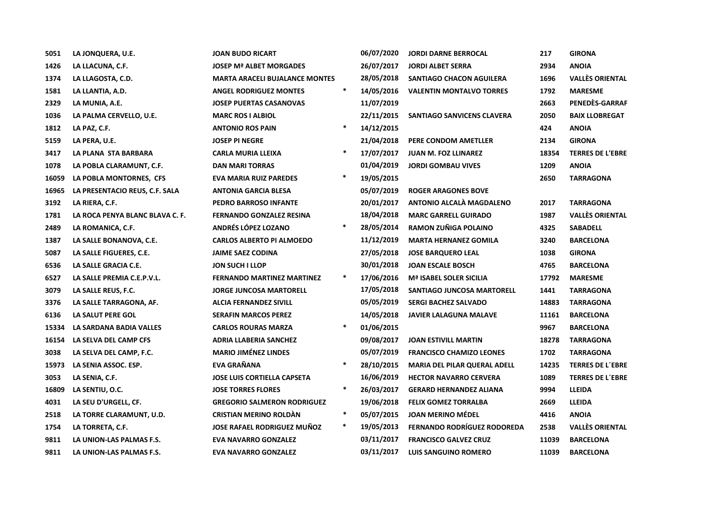| 5051  | LA JONQUERA, U.E.               | <b>JOAN BUDO RICART</b>               |        | 06/07/2020 | <b>JORDI DARNE BERROCAL</b>         | 217   | <b>GIRONA</b>           |
|-------|---------------------------------|---------------------------------------|--------|------------|-------------------------------------|-------|-------------------------|
| 1426  | LA LLACUNA, C.F.                | <b>JOSEP Mª ALBET MORGADES</b>        |        | 26/07/2017 | <b>JORDI ALBET SERRA</b>            | 2934  | <b>ANOIA</b>            |
| 1374  | LA LLAGOSTA, C.D.               | <b>MARTA ARACELI BUJALANCE MONTES</b> |        | 28/05/2018 | SANTIAGO CHACON AGUILERA            | 1696  | <b>VALLÈS ORIENTAL</b>  |
| 1581  | LA LLANTIA, A.D.                | <b>ANGEL RODRIGUEZ MONTES</b>         | $\ast$ | 14/05/2016 | <b>VALENTIN MONTALVO TORRES</b>     | 1792  | <b>MARESME</b>          |
| 2329  | LA MUNIA, A.E.                  | <b>JOSEP PUERTAS CASANOVAS</b>        |        | 11/07/2019 |                                     | 2663  | PENEDÈS-GARRAF          |
| 1036  | LA PALMA CERVELLO, U.E.         | <b>MARC ROS I ALBIOL</b>              |        | 22/11/2015 | SANTIAGO SANVICENS CLAVERA          | 2050  | <b>BAIX LLOBREGAT</b>   |
| 1812  | LA PAZ, C.F.                    | <b>ANTONIO ROS PAIN</b>               | $\ast$ | 14/12/2015 |                                     | 424   | <b>ANOIA</b>            |
| 5159  | LA PERA, U.E.                   | <b>JOSEP PI NEGRE</b>                 |        | 21/04/2018 | PERE CONDOM AMETLLER                | 2134  | <b>GIRONA</b>           |
| 3417  | LA PLANA STA BARBARA            | CARLA MURIA LLEIXA                    | $\ast$ | 17/07/2017 | <b>JUAN M. FOZ LLINAREZ</b>         | 18354 | <b>TERRES DE L'EBRE</b> |
| 1078  | LA POBLA CLARAMUNT, C.F.        | <b>DAN MARI TORRAS</b>                |        | 01/04/2019 | <b>JORDI GOMBAU VIVES</b>           | 1209  | <b>ANOIA</b>            |
| 16059 | LA POBLA MONTORNES, CFS         | <b>EVA MARIA RUIZ PAREDES</b>         | $\ast$ | 19/05/2015 |                                     | 2650  | <b>TARRAGONA</b>        |
| 16965 | LA PRESENTACIO REUS, C.F. SALA  | <b>ANTONIA GARCIA BLESA</b>           |        | 05/07/2019 | <b>ROGER ARAGONES BOVE</b>          |       |                         |
| 3192  | LA RIERA, C.F.                  | PEDRO BARROSO INFANTE                 |        | 20/01/2017 | ANTONIO ALCALA MAGDALENO            | 2017  | <b>TARRAGONA</b>        |
| 1781  | LA ROCA PENYA BLANC BLAVA C. F. | <b>FERNANDO GONZALEZ RESINA</b>       |        | 18/04/2018 | <b>MARC GARRELL GUIRADO</b>         | 1987  | <b>VALLÈS ORIENTAL</b>  |
| 2489  | LA ROMANICA, C.F.               | ANDRÉS LÓPEZ LOZANO                   | $\ast$ | 28/05/2014 | RAMON ZUÑIGA POLAINO                | 4325  | <b>SABADELL</b>         |
| 1387  | LA SALLE BONANOVA, C.E.         | <b>CARLOS ALBERTO PI ALMOEDO</b>      |        | 11/12/2019 | <b>MARTA HERNANEZ GOMILA</b>        | 3240  | <b>BARCELONA</b>        |
| 5087  | LA SALLE FIGUERES, C.E.         | <b>JAIME SAEZ CODINA</b>              |        | 27/05/2018 | <b>JOSE BARQUERO LEAL</b>           | 1038  | <b>GIRONA</b>           |
| 6536  | LA SALLE GRACIA C.E.            | JON SUCH I LLOP                       |        | 30/01/2018 | <b>JOAN ESCALE BOSCH</b>            | 4765  | <b>BARCELONA</b>        |
| 6527  | LA SALLE PREMIA C.E.P.V.L.      | <b>FERNANDO MARTINEZ MARTINEZ</b>     | $\ast$ | 17/06/2016 | <b>Mª ISABEL SOLER SICILIA</b>      | 17792 | <b>MARESME</b>          |
| 3079  | LA SALLE REUS, F.C.             | <b>JORGE JUNCOSA MARTORELL</b>        |        | 17/05/2018 | SANTIAGO JUNCOSA MARTORELL          | 1441  | <b>TARRAGONA</b>        |
| 3376  | LA SALLE TARRAGONA, AF.         | <b>ALCIA FERNANDEZ SIVILL</b>         |        | 05/05/2019 | <b>SERGI BACHEZ SALVADO</b>         | 14883 | <b>TARRAGONA</b>        |
| 6136  | LA SALUT PERE GOL               | <b>SERAFIN MARCOS PEREZ</b>           |        | 14/05/2018 | <b>JAVIER LALAGUNA MALAVE</b>       | 11161 | <b>BARCELONA</b>        |
| 15334 | LA SARDANA BADIA VALLES         | <b>CARLOS ROURAS MARZA</b>            | $\ast$ | 01/06/2015 |                                     | 9967  | <b>BARCELONA</b>        |
| 16154 | LA SELVA DEL CAMP CFS           | <b>ADRIA LLABERIA SANCHEZ</b>         |        | 09/08/2017 | <b>JOAN ESTIVILL MARTIN</b>         | 18278 | <b>TARRAGONA</b>        |
| 3038  | LA SELVA DEL CAMP, F.C.         | <b>MARIO JIMÉNEZ LINDES</b>           |        | 05/07/2019 | <b>FRANCISCO CHAMIZO LEONES</b>     | 1702  | <b>TARRAGONA</b>        |
| 15973 | LA SENIA ASSOC. ESP.            | EVA GRAÑANA                           | $\ast$ | 28/10/2015 | <b>MARIA DEL PILAR QUERAL ADELL</b> | 14235 | <b>TERRES DE L'EBRE</b> |
| 3053  | LA SENIA, C.F.                  | <b>JOSE LUIS CORTIELLA CAPSETA</b>    |        | 16/06/2019 | <b>HECTOR NAVARRO CERVERA</b>       | 1089  | <b>TERRES DE L'EBRE</b> |
| 16809 | LA SENTIU, O.C.                 | <b>JOSE TORRES FLORES</b>             | $\ast$ | 26/03/2017 | <b>GERARD HERNANDEZ ALIANA</b>      | 9994  | <b>LLEIDA</b>           |
| 4031  | LA SEU D'URGELL, CF.            | <b>GREGORIO SALMERON RODRIGUEZ</b>    |        | 19/06/2018 | <b>FELIX GOMEZ TORRALBA</b>         | 2669  | <b>LLEIDA</b>           |
| 2518  | LA TORRE CLARAMUNT, U.D.        | <b>CRISTIAN MERINO ROLDÀN</b>         | $\ast$ | 05/07/2015 | <b>JOAN MERINO MÉDEL</b>            | 4416  | <b>ANOIA</b>            |
| 1754  | LA TORRETA, C.F.                | <b>JOSE RAFAEL RODRIGUEZ MUNOZ</b>    | $\ast$ | 19/05/2013 | <b>FERNANDO RODRÍGUEZ RODOREDA</b>  | 2538  | <b>VALLÈS ORIENTAL</b>  |
| 9811  | LA UNION-LAS PALMAS F.S.        | <b>EVA NAVARRO GONZALEZ</b>           |        | 03/11/2017 | <b>FRANCISCO GALVEZ CRUZ</b>        | 11039 | <b>BARCELONA</b>        |
| 9811  | LA UNION-LAS PALMAS F.S.        | <b>EVA NAVARRO GONZALEZ</b>           |        | 03/11/2017 | <b>LUIS SANGUINO ROMERO</b>         | 11039 | <b>BARCELONA</b>        |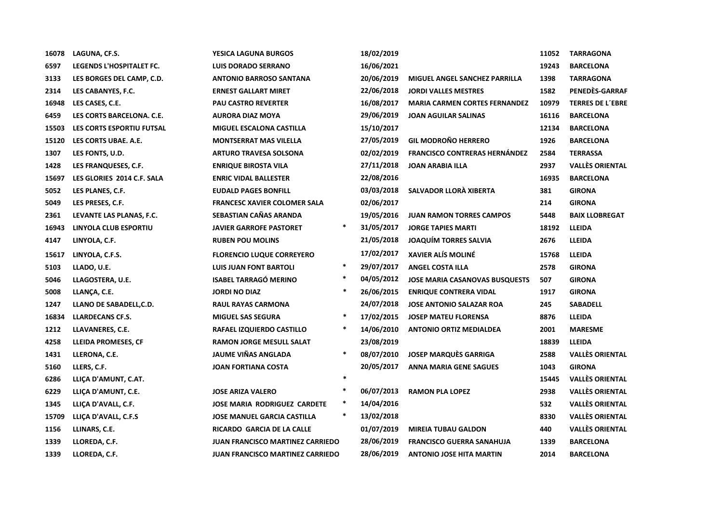| 16078 | LAGUNA, CF.S.              | <b>YESICA LAGUNA BURGOS</b>             |        | 18/02/2019 |                                       | 11052 | <b>TARRAGONA</b>        |
|-------|----------------------------|-----------------------------------------|--------|------------|---------------------------------------|-------|-------------------------|
| 6597  | LEGENDS L'HOSPITALET FC.   | <b>LUIS DORADO SERRANO</b>              |        | 16/06/2021 |                                       | 19243 | <b>BARCELONA</b>        |
| 3133  | LES BORGES DEL CAMP, C.D.  | <b>ANTONIO BARROSO SANTANA</b>          |        | 20/06/2019 | MIGUEL ANGEL SANCHEZ PARRILLA         | 1398  | <b>TARRAGONA</b>        |
| 2314  | LES CABANYES, F.C.         | <b>ERNEST GALLART MIRET</b>             |        | 22/06/2018 | <b>JORDI VALLES MESTRES</b>           | 1582  | PENEDÈS-GARRAF          |
| 16948 | LES CASES, C.E.            | <b>PAU CASTRO REVERTER</b>              |        | 16/08/2017 | <b>MARIA CARMEN CORTES FERNANDEZ</b>  | 10979 | <b>TERRES DE L'EBRE</b> |
| 6459  | LES CORTS BARCELONA. C.E.  | <b>AURORA DIAZ MOYA</b>                 |        | 29/06/2019 | <b>JOAN AGUILAR SALINAS</b>           | 16116 | <b>BARCELONA</b>        |
| 15503 | LES CORTS ESPORTIU FUTSAL  | <b>MIGUEL ESCALONA CASTILLA</b>         |        | 15/10/2017 |                                       | 12134 | <b>BARCELONA</b>        |
| 15120 | LES CORTS UBAE. A.E.       | <b>MONTSERRAT MAS VILELLA</b>           |        | 27/05/2019 | <b>GIL MODROÑO HERRERO</b>            | 1926  | <b>BARCELONA</b>        |
| 1307  | LES FONTS, U.D.            | <b>ARTURO TRAVESA SOLSONA</b>           |        | 02/02/2019 | <b>FRANCISCO CONTRERAS HERNÁNDEZ</b>  | 2584  | <b>TERRASSA</b>         |
| 1428  | LES FRANQUESES, C.F.       | <b>ENRIQUE BIROSTA VILA</b>             |        | 27/11/2018 | <b>JOAN ARABIA ILLA</b>               | 2937  | <b>VALLÈS ORIENTAL</b>  |
| 15697 | LES GLORIES 2014 C.F. SALA | <b>ENRIC VIDAL BALLESTER</b>            |        | 22/08/2016 |                                       | 16935 | <b>BARCELONA</b>        |
| 5052  | LES PLANES, C.F.           | <b>EUDALD PAGES BONFILL</b>             |        | 03/03/2018 | SALVADOR LLORÀ XIBERTA                | 381   | <b>GIRONA</b>           |
| 5049  | LES PRESES, C.F.           | <b>FRANCESC XAVIER COLOMER SALA</b>     |        | 02/06/2017 |                                       | 214   | <b>GIRONA</b>           |
| 2361  | LEVANTE LAS PLANAS, F.C.   | SEBASTIAN CAÑAS ARANDA                  |        | 19/05/2016 | <b>JUAN RAMON TORRES CAMPOS</b>       | 5448  | <b>BAIX LLOBREGAT</b>   |
| 16943 | LINYOLA CLUB ESPORTIU      | <b>JAVIER GARROFE PASTORET</b>          | $\ast$ | 31/05/2017 | <b>JORGE TAPIES MARTI</b>             | 18192 | <b>LLEIDA</b>           |
| 4147  | LINYOLA, C.F.              | <b>RUBEN POU MOLINS</b>                 |        | 21/05/2018 | <b>JOAQUIM TORRES SALVIA</b>          | 2676  | <b>LLEIDA</b>           |
| 15617 | LINYOLA, C.F.S.            | <b>FLORENCIO LUQUE CORREYERO</b>        |        | 17/02/2017 | <b>XAVIER ALÍS MOLINÉ</b>             | 15768 | <b>LLEIDA</b>           |
| 5103  | LLADO, U.E.                | <b>LUIS JUAN FONT BARTOLI</b>           | $\ast$ | 29/07/2017 | <b>ANGEL COSTA ILLA</b>               | 2578  | <b>GIRONA</b>           |
| 5046  | LLAGOSTERA, U.E.           | <b>ISABEL TARRAGÓ MERINO</b>            | $\ast$ | 04/05/2012 | <b>JOSE MARIA CASANOVAS BUSQUESTS</b> | 507   | <b>GIRONA</b>           |
| 5008  | LLANÇA, C.E.               | <b>JORDI NO DIAZ</b>                    | ∗      | 26/06/2015 | <b>ENRIQUE CONTRERA VIDAL</b>         | 1917  | <b>GIRONA</b>           |
| 1247  | LLANO DE SABADELL, C.D.    | <b>RAUL RAYAS CARMONA</b>               |        | 24/07/2018 | <b>JOSE ANTONIO SALAZAR ROA</b>       | 245   | <b>SABADELL</b>         |
| 16834 | <b>LLARDECANS CF.S.</b>    | <b>MIGUEL SAS SEGURA</b>                | $\ast$ | 17/02/2015 | <b>JOSEP MATEU FLORENSA</b>           | 8876  | <b>LLEIDA</b>           |
| 1212  | LLAVANERES, C.E.           | RAFAEL IZQUIERDO CASTILLO               | $\ast$ | 14/06/2010 | <b>ANTONIO ORTIZ MEDIALDEA</b>        | 2001  | <b>MARESME</b>          |
| 4258  | LLEIDA PROMESES, CF        | <b>RAMON JORGE MESULL SALAT</b>         |        | 23/08/2019 |                                       | 18839 | <b>LLEIDA</b>           |
| 1431  | LLERONA, C.E.              | JAUME VIÑAS ANGLADA                     | $\ast$ | 08/07/2010 | <b>JOSEP MARQUÈS GARRIGA</b>          | 2588  | <b>VALLÈS ORIENTAL</b>  |
| 5160  | LLERS, C.F.                | <b>JOAN FORTIANA COSTA</b>              |        | 20/05/2017 | <b>ANNA MARIA GENE SAGUES</b>         | 1043  | <b>GIRONA</b>           |
| 6286  | LLIÇA D'AMUNT, C.AT.       |                                         | $\ast$ |            |                                       | 15445 | <b>VALLÈS ORIENTAL</b>  |
| 6229  | LLIÇA D'AMUNT, C.E.        | <b>JOSE ARIZA VALERO</b>                | $\ast$ | 06/07/2013 | <b>RAMON PLA LOPEZ</b>                | 2938  | <b>VALLÈS ORIENTAL</b>  |
| 1345  | LLICA D'AVALL, C.F.        | <b>JOSE MARIA RODRIGUEZ CARDETE</b>     | $\ast$ | 14/04/2016 |                                       | 532   | <b>VALLÈS ORIENTAL</b>  |
| 15709 | LLIÇA D'AVALL, C.F.S       | <b>JOSE MANUEL GARCIA CASTILLA</b>      | $\ast$ | 13/02/2018 |                                       | 8330  | <b>VALLÈS ORIENTAL</b>  |
| 1156  | LLINARS, C.E.              | RICARDO GARCIA DE LA CALLE              |        | 01/07/2019 | <b>MIREIA TUBAU GALDON</b>            | 440   | <b>VALLÈS ORIENTAL</b>  |
| 1339  | LLOREDA, C.F.              | <b>JUAN FRANCISCO MARTINEZ CARRIEDO</b> |        | 28/06/2019 | <b>FRANCISCO GUERRA SANAHUJA</b>      | 1339  | <b>BARCELONA</b>        |
| 1339  | LLOREDA, C.F.              | <b>JUAN FRANCISCO MARTINEZ CARRIEDO</b> |        | 28/06/2019 | <b>ANTONIO JOSE HITA MARTIN</b>       | 2014  | <b>BARCELONA</b>        |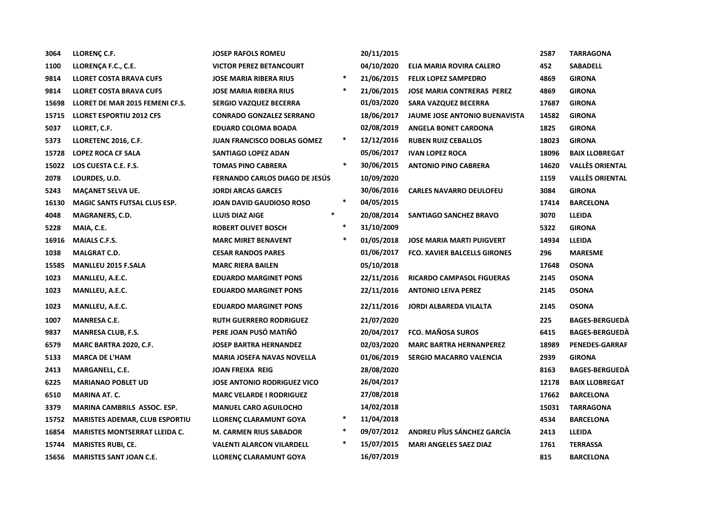| 3064  | LLORENÇ C.F.                          | <b>JOSEP RAFOLS ROMEU</b>             |        | 20/11/2015        |                                      | 2587  | <b>TARRAGONA</b>       |
|-------|---------------------------------------|---------------------------------------|--------|-------------------|--------------------------------------|-------|------------------------|
| 1100  | LLORENÇA F.C., C.E.                   | <b>VICTOR PEREZ BETANCOURT</b>        |        | 04/10/2020        | ELIA MARIA ROVIRA CALERO             | 452   | SABADELL               |
| 9814  | <b>LLORET COSTA BRAVA CUFS</b>        | <b>JOSE MARIA RIBERA RIUS</b>         | $\ast$ | 21/06/2015        | <b>FELIX LOPEZ SAMPEDRO</b>          | 4869  | <b>GIRONA</b>          |
| 9814  | <b>LLORET COSTA BRAVA CUFS</b>        | <b>JOSE MARIA RIBERA RIUS</b>         | $\ast$ | 21/06/2015        | <b>JOSE MARIA CONTRERAS PEREZ</b>    | 4869  | <b>GIRONA</b>          |
| 15698 | LLORET DE MAR 2015 FEMENI CF.S.       | <b>SERGIO VAZQUEZ BECERRA</b>         |        | 01/03/2020        | <b>SARA VAZQUEZ BECERRA</b>          | 17687 | <b>GIRONA</b>          |
| 15715 | <b>LLORET ESPORTIU 2012 CFS</b>       | <b>CONRADO GONZALEZ SERRANO</b>       |        | 18/06/2017        | <b>JAUME JOSE ANTONIO BUENAVISTA</b> | 14582 | <b>GIRONA</b>          |
| 5037  | LLORET, C.F.                          | <b>EDUARD COLOMA BOADA</b>            |        | 02/08/2019        | <b>ANGELA BONET CARDONA</b>          | 1825  | <b>GIRONA</b>          |
| 5373  | LLORETENC 2016, C.F.                  | JUAN FRANCISCO DOBLAS GOMEZ           | $\ast$ | 12/12/2016        | <b>RUBEN RUIZ CEBALLOS</b>           | 18023 | <b>GIRONA</b>          |
| 15728 | LOPEZ ROCA CF SALA                    | SANTIAGO LOPEZ ADAN                   |        | 05/06/2017        | <b>IVAN LOPEZ ROCA</b>               | 18096 | <b>BAIX LLOBREGAT</b>  |
| 15022 | LOS CUESTA C.E. F.S.                  | <b>TOMAS PINO CABRERA</b>             | $\ast$ | 30/06/2015        | <b>ANTONIO PINO CABRERA</b>          | 14620 | <b>VALLÈS ORIENTAL</b> |
| 2078  | LOURDES, U.D.                         | <b>FERNANDO CARLOS DIAGO DE JESUS</b> |        | 10/09/2020        |                                      | 1159  | <b>VALLÈS ORIENTAL</b> |
| 5243  | <b>MACANET SELVA UE.</b>              | <b>JORDI ARCAS GARCES</b>             |        | 30/06/2016        | <b>CARLES NAVARRO DEULOFEU</b>       | 3084  | <b>GIRONA</b>          |
| 16130 | <b>MAGIC SANTS FUTSAL CLUS ESP.</b>   | <b>JOAN DAVID GAUDIOSO ROSO</b>       | $\ast$ | 04/05/2015        |                                      | 17414 | <b>BARCELONA</b>       |
| 4048  | MAGRANERS, C.D.                       | $\ast$<br><b>LLUIS DIAZ AIGE</b>      |        | 20/08/2014        | SANTIAGO SANCHEZ BRAVO               | 3070  | <b>LLEIDA</b>          |
| 5228  | MAIA, C.E.                            | <b>ROBERT OLIVET BOSCH</b>            | $\ast$ | 31/10/2009        |                                      | 5322  | <b>GIRONA</b>          |
| 16916 | <b>MAIALS C.F.S.</b>                  | <b>MARC MIRET BENAVENT</b>            | $\ast$ | 01/05/2018        | <b>JOSE MARIA MARTI PUIGVERT</b>     | 14934 | <b>LLEIDA</b>          |
| 1038  | <b>MALGRAT C.D.</b>                   | <b>CESAR RANDOS PARES</b>             |        | <b>01/06/2017</b> | <b>FCO. XAVIER BALCELLS GIRONES</b>  | 296   | <b>MARESME</b>         |
| 15585 | <b>MANLLEU 2015 F.SALA</b>            | <b>MARC RIERA BAILEN</b>              |        | 05/10/2018        |                                      | 17648 | <b>OSONA</b>           |
| 1023  | MANLLEU, A.E.C.                       | <b>EDUARDO MARGINET PONS</b>          |        | 22/11/2016        | RICARDO CAMPASOL FIGUERAS            | 2145  | <b>OSONA</b>           |
| 1023  | MANLLEU, A.E.C.                       | <b>EDUARDO MARGINET PONS</b>          |        | 22/11/2016        | <b>ANTONIO LEIVA PEREZ</b>           | 2145  | <b>OSONA</b>           |
| 1023  | MANLLEU, A.E.C.                       | <b>EDUARDO MARGINET PONS</b>          |        | 22/11/2016        | <b>JORDI ALBAREDA VILALTA</b>        | 2145  | <b>OSONA</b>           |
| 1007  | <b>MANRESA C.E.</b>                   | <b>RUTH GUERRERO RODRIGUEZ</b>        |        | 21/07/2020        |                                      | 225   | <b>BAGES-BERGUEDA</b>  |
| 9837  | <b>MANRESA CLUB, F.S.</b>             | PERE JOAN PUSÓ MATIÑÓ                 |        | 20/04/2017        | <b>FCO. MAÑOSA SUROS</b>             | 6415  | <b>BAGES-BERGUEDA</b>  |
| 6579  | MARC BARTRA 2020, C.F.                | <b>JOSEP BARTRA HERNANDEZ</b>         |        | 02/03/2020        | <b>MARC BARTRA HERNANPEREZ</b>       | 18989 | <b>PENEDES-GARRAF</b>  |
| 5133  | <b>MARCA DE L'HAM</b>                 | <b>MARIA JOSEFA NAVAS NOVELLA</b>     |        | 01/06/2019        | <b>SERGIO MACARRO VALENCIA</b>       | 2939  | <b>GIRONA</b>          |
| 2413  | MARGANELL, C.E.                       | <b>JOAN FREIXA REIG</b>               |        | 28/08/2020        |                                      | 8163  | <b>BAGES-BERGUEDA</b>  |
| 6225  | <b>MARIANAO POBLET UD</b>             | <b>JOSE ANTONIO RODRIGUEZ VICO</b>    |        | 26/04/2017        |                                      | 12178 | <b>BAIX LLOBREGAT</b>  |
| 6510  | <b>MARINA AT. C.</b>                  | <b>MARC VELARDE I RODRIGUEZ</b>       |        | 27/08/2018        |                                      | 17662 | <b>BARCELONA</b>       |
| 3379  | <b>MARINA CAMBRILS ASSOC. ESP.</b>    | <b>MANUEL CARO AGUILOCHO</b>          |        | 14/02/2018        |                                      | 15031 | <b>TARRAGONA</b>       |
| 15752 | <b>MARISTES ADEMAR, CLUB ESPORTIU</b> | LLORENÇ CLARAMUNT GOYA                | $\ast$ | 11/04/2018        |                                      | 4534  | <b>BARCELONA</b>       |
| 16854 | <b>MARISTES MONTSERRAT LLEIDA C.</b>  | <b>M. CARMEN RIUS SABADOR</b>         | $\ast$ | 09/07/2012        | ANDREU PÎUS SÁNCHEZ GARCÍA           | 2413  | <b>LLEIDA</b>          |
| 15744 | <b>MARISTES RUBI, CE.</b>             | <b>VALENTI ALARCON VILARDELL</b>      | $\ast$ | 15/07/2015        | <b>MARI ANGELES SAEZ DIAZ</b>        | 1761  | <b>TERRASSA</b>        |
| 15656 | <b>MARISTES SANT JOAN C.E.</b>        | LLORENÇ CLARAMUNT GOYA                |        | 16/07/2019        |                                      | 815   | <b>BARCELONA</b>       |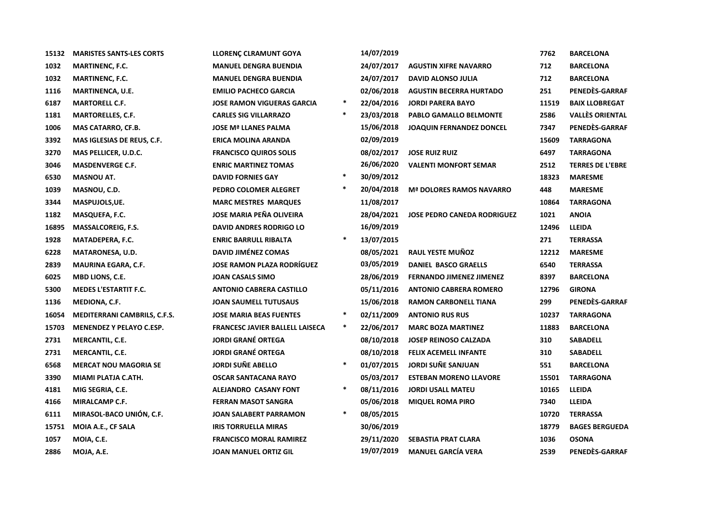| 15132 | <b>MARISTES SANTS-LES CORTS</b>     | <b>LLORENÇ CLRAMUNT GOYA</b>           |        | 14/07/2019 |                                    | 7762  | <b>BARCELONA</b>        |
|-------|-------------------------------------|----------------------------------------|--------|------------|------------------------------------|-------|-------------------------|
| 1032  | <b>MARTINENC, F.C.</b>              | <b>MANUEL DENGRA BUENDIA</b>           |        | 24/07/2017 | <b>AGUSTIN XIFRE NAVARRO</b>       | 712   | <b>BARCELONA</b>        |
| 1032  | <b>MARTINENC, F.C.</b>              | <b>MANUEL DENGRA BUENDIA</b>           |        | 24/07/2017 | <b>DAVID ALONSO JULIA</b>          | 712   | <b>BARCELONA</b>        |
| 1116  | MARTINENCA, U.E.                    | <b>EMILIO PACHECO GARCIA</b>           |        | 02/06/2018 | <b>AGUSTIN BECERRA HURTADO</b>     | 251   | PENEDÈS-GARRAF          |
| 6187  | <b>MARTORELL C.F.</b>               | <b>JOSE RAMON VIGUERAS GARCIA</b>      | $\ast$ | 22/04/2016 | <b>JORDI PARERA BAYO</b>           | 11519 | <b>BAIX LLOBREGAT</b>   |
| 1181  | <b>MARTORELLES, C.F.</b>            | <b>CARLES SIG VILLARRAZO</b>           | $\ast$ | 23/03/2018 | PABLO GAMALLO BELMONTE             | 2586  | <b>VALLÈS ORIENTAL</b>  |
| 1006  | MAS CATARRO, CF.B.                  | <b>JOSE Mª LLANES PALMA</b>            |        | 15/06/2018 | <b>JOAQUIN FERNANDEZ DONCEL</b>    | 7347  | PENEDÈS-GARRAF          |
| 3392  | MAS IGLESIAS DE REUS, C.F.          | <b>ERICA MOLINA ARANDA</b>             |        | 02/09/2019 |                                    | 15609 | <b>TARRAGONA</b>        |
| 3270  | MAS PELLICER, U.D.C.                | <b>FRANCISCO QUIROS SOLIS</b>          |        | 08/02/2017 | <b>JOSE RUIZ RUIZ</b>              | 6497  | <b>TARRAGONA</b>        |
| 3046  | <b>MASDENVERGE C.F.</b>             | <b>ENRIC MARTINEZ TOMAS</b>            |        | 26/06/2020 | <b>VALENTI MONFORT SEMAR</b>       | 2512  | <b>TERRES DE L'EBRE</b> |
| 6530  | <b>MASNOU AT.</b>                   | <b>DAVID FORNIES GAY</b>               | $\ast$ | 30/09/2012 |                                    | 18323 | <b>MARESME</b>          |
| 1039  | MASNOU, C.D.                        | PEDRO COLOMER ALEGRET                  | $\ast$ | 20/04/2018 | <b>Mª DOLORES RAMOS NAVARRO</b>    | 448   | <b>MARESME</b>          |
| 3344  | MASPUJOLS, UE.                      | <b>MARC MESTRES MARQUES</b>            |        | 11/08/2017 |                                    | 10864 | <b>TARRAGONA</b>        |
| 1182  | MASQUEFA, F.C.                      | <b>JOSE MARIA PEÑA OLIVEIRA</b>        |        | 28/04/2021 | <b>JOSE PEDRO CANEDA RODRIGUEZ</b> | 1021  | <b>ANOIA</b>            |
| 16895 | <b>MASSALCOREIG, F.S.</b>           | <b>DAVID ANDRES RODRIGO LO</b>         |        | 16/09/2019 |                                    | 12496 | <b>LLEIDA</b>           |
| 1928  | MATADEPERA, F.C.                    | <b>ENRIC BARRULL RIBALTA</b>           | $\ast$ | 13/07/2015 |                                    | 271   | <b>TERRASSA</b>         |
| 6228  | <b>MATARONESA, U.D.</b>             | <b>DAVID JIMÉNEZ COMAS</b>             |        | 08/05/2021 | RAUL YESTE MUÑOZ                   | 12212 | <b>MARESME</b>          |
| 2839  | <b>MAURINA EGARA, C.F.</b>          | <b>JOSE RAMON PLAZA RODRÍGUEZ</b>      |        | 03/05/2019 | <b>DANIEL BASCO GRAELLS</b>        | 6540  | <b>TERRASSA</b>         |
| 6025  | <b>MBD LIONS, C.E.</b>              | <b>JOAN CASALS SIMO</b>                |        | 28/06/2019 | <b>FERNANDO JIMENEZ JIMENEZ</b>    | 8397  | <b>BARCELONA</b>        |
| 5300  | <b>MEDES L'ESTARTIT F.C.</b>        | <b>ANTONIO CABRERA CASTILLO</b>        |        | 05/11/2016 | <b>ANTONIO CABRERA ROMERO</b>      | 12796 | <b>GIRONA</b>           |
| 1136  | MEDIONA, C.F.                       | <b>JOAN SAUMELL TUTUSAUS</b>           |        | 15/06/2018 | <b>RAMON CARBONELL TIANA</b>       | 299   | PENEDES-GARRAF          |
| 16054 | <b>MEDITERRANI CAMBRILS, C.F.S.</b> | <b>JOSE MARIA BEAS FUENTES</b>         | $\ast$ | 02/11/2009 | <b>ANTONIO RUS RUS</b>             | 10237 | <b>TARRAGONA</b>        |
| 15703 | <b>MENENDEZ Y PELAYO C.ESP.</b>     | <b>FRANCESC JAVIER BALLELL LAISECA</b> | $\ast$ | 22/06/2017 | <b>MARC BOZA MARTINEZ</b>          | 11883 | <b>BARCELONA</b>        |
| 2731  | MERCANTIL, C.E.                     | <b>JORDI GRANÉ ORTEGA</b>              |        | 08/10/2018 | <b>JOSEP REINOSO CALZADA</b>       | 310   | <b>SABADELL</b>         |
| 2731  | <b>MERCANTIL, C.E.</b>              | <b>JORDI GRANÉ ORTEGA</b>              |        | 08/10/2018 | <b>FELIX ACEMELL INFANTE</b>       | 310   | <b>SABADELL</b>         |
| 6568  | <b>MERCAT NOU MAGORIA SE</b>        | <b>JORDI SUÑE ABELLO</b>               | $\ast$ | 01/07/2015 | <b>JORDI SUÑE SANJUAN</b>          | 551   | <b>BARCELONA</b>        |
| 3390  | MIAMI PLATJA C.ATH.                 | <b>OSCAR SANTACANA RAYO</b>            |        | 05/03/2017 | <b>ESTEBAN MORENO LLAVORE</b>      | 15501 | <b>TARRAGONA</b>        |
| 4181  | MIG SEGRIA, C.E.                    | ALEJANDRO CASANY FONT                  | $\ast$ | 08/11/2016 | <b>JORDI USALL MATEU</b>           | 10165 | <b>LLEIDA</b>           |
| 4166  | MIRALCAMP C.F.                      | <b>FERRAN MASOT SANGRA</b>             |        | 05/06/2018 | <b>MIQUEL ROMA PIRO</b>            | 7340  | <b>LLEIDA</b>           |
| 6111  | MIRASOL-BACO UNIÓN, C.F.            | <b>JOAN SALABERT PARRAMON</b>          | $\ast$ | 08/05/2015 |                                    | 10720 | <b>TERRASSA</b>         |
| 15751 | MOIA A.E., CF SALA                  | <b>IRIS TORRUELLA MIRAS</b>            |        | 30/06/2019 |                                    | 18779 | <b>BAGES BERGUEDA</b>   |
| 1057  | MOIA, C.E.                          | <b>FRANCISCO MORAL RAMIREZ</b>         |        | 29/11/2020 | SEBASTIA PRAT CLARA                | 1036  | <b>OSONA</b>            |
| 2886  | MOJA, A.E.                          | <b>JOAN MANUEL ORTIZ GIL</b>           |        | 19/07/2019 | <b>MANUEL GARCÍA VERA</b>          | 2539  | PENEDÈS-GARRAF          |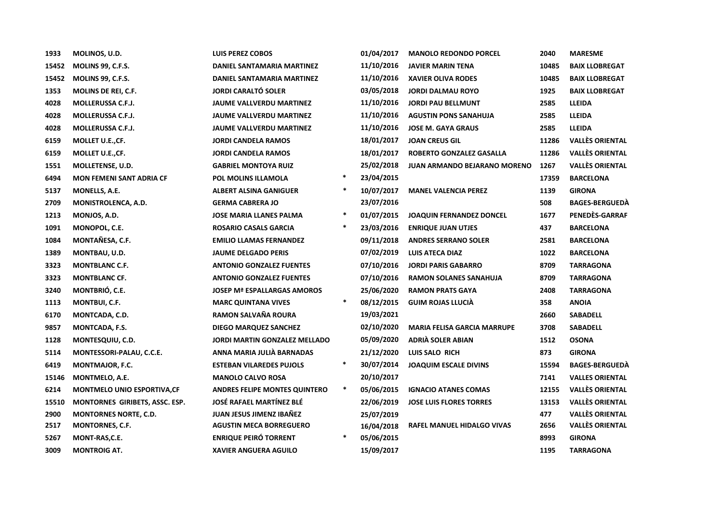| 1933  | MOLINOS, U.D.                   | <b>LUIS PEREZ COBOS</b>              |        | 01/04/2017 | <b>MANOLO REDONDO PORCEL</b>        | 2040  | <b>MARESME</b>         |
|-------|---------------------------------|--------------------------------------|--------|------------|-------------------------------------|-------|------------------------|
| 15452 | MOLINS 99, C.F.S.               | DANIEL SANTAMARIA MARTINEZ           |        | 11/10/2016 | <b>JAVIER MARIN TENA</b>            | 10485 | <b>BAIX LLOBREGAT</b>  |
| 15452 | <b>MOLINS 99, C.F.S.</b>        | DANIEL SANTAMARIA MARTINEZ           |        | 11/10/2016 | <b>XAVIER OLIVA RODES</b>           | 10485 | <b>BAIX LLOBREGAT</b>  |
| 1353  | <b>MOLINS DE REI, C.F.</b>      | <b>JORDI CARALTÓ SOLER</b>           |        | 03/05/2018 | <b>JORDI DALMAU ROYO</b>            | 1925  | <b>BAIX LLOBREGAT</b>  |
| 4028  | <b>MOLLERUSSA C.F.J.</b>        | JAUME VALLVERDU MARTINEZ             |        | 11/10/2016 | <b>JORDI PAU BELLMUNT</b>           | 2585  | LLEIDA                 |
| 4028  | <b>MOLLERUSSA C.F.J.</b>        | <b>JAUME VALLVERDU MARTINEZ</b>      |        | 11/10/2016 | <b>AGUSTIN PONS SANAHUJA</b>        | 2585  | <b>LLEIDA</b>          |
| 4028  | <b>MOLLERUSSA C.F.J.</b>        | <b>JAUME VALLVERDU MARTINEZ</b>      |        | 11/10/2016 | <b>JOSE M. GAYA GRAUS</b>           | 2585  | <b>LLEIDA</b>          |
| 6159  | MOLLET U.E.,CF.                 | <b>JORDI CANDELA RAMOS</b>           |        | 18/01/2017 | <b>JOAN CREUS GIL</b>               | 11286 | <b>VALLÈS ORIENTAL</b> |
| 6159  | MOLLET U.E.,CF.                 | <b>JORDI CANDELA RAMOS</b>           |        | 18/01/2017 | ROBERTO GONZALEZ GASALLA            | 11286 | <b>VALLÈS ORIENTAL</b> |
| 1551  | MOLLETENSE, U.D.                | <b>GABRIEL MONTOYA RUIZ</b>          |        | 25/02/2018 | <b>JUAN ARMANDO BEJARANO MORENO</b> | 1267  | <b>VALLÈS ORIENTAL</b> |
| 6494  | <b>MON FEMENI SANT ADRIA CF</b> | POL MOLINS ILLAMOLA                  | $\ast$ | 23/04/2015 |                                     | 17359 | <b>BARCELONA</b>       |
| 5137  | MONELLS, A.E.                   | <b>ALBERT ALSINA GANIGUER</b>        | $\ast$ | 10/07/2017 | <b>MANEL VALENCIA PEREZ</b>         | 1139  | <b>GIRONA</b>          |
| 2709  | MONISTROLENCA, A.D.             | <b>GERMA CABRERA JO</b>              |        | 23/07/2016 |                                     | 508   | <b>BAGES-BERGUEDÀ</b>  |
| 1213  | MONJOS, A.D.                    | <b>JOSE MARIA LLANES PALMA</b>       | $\ast$ | 01/07/2015 | <b>JOAQUIN FERNANDEZ DONCEL</b>     | 1677  | PENEDÈS-GARRAF         |
| 1091  | MONOPOL, C.E.                   | <b>ROSARIO CASALS GARCIA</b>         | $\ast$ | 23/03/2016 | <b>ENRIQUE JUAN UTJES</b>           | 437   | <b>BARCELONA</b>       |
| 1084  | MONTAÑESA, C.F.                 | <b>EMILIO LLAMAS FERNANDEZ</b>       |        | 09/11/2018 | <b>ANDRES SERRANO SOLER</b>         | 2581  | <b>BARCELONA</b>       |
| 1389  | MONTBAU, U.D.                   | <b>JAUME DELGADO PERIS</b>           |        | 07/02/2019 | <b>LUIS ATECA DIAZ</b>              | 1022  | <b>BARCELONA</b>       |
| 3323  | <b>MONTBLANC C.F.</b>           | <b>ANTONIO GONZALEZ FUENTES</b>      |        | 07/10/2016 | <b>JORDI PARIS GABARRO</b>          | 8709  | TARRAGONA              |
| 3323  | <b>MONTBLANC CF.</b>            | <b>ANTONIO GONZALEZ FUENTES</b>      |        | 07/10/2016 | <b>RAMON SOLANES SANAHUJA</b>       | 8709  | <b>TARRAGONA</b>       |
| 3240  | MONTBRIÓ, C.E.                  | <b>JOSEP Mª ESPALLARGAS AMOROS</b>   |        | 25/06/2020 | <b>RAMON PRATS GAYA</b>             | 2408  | <b>TARRAGONA</b>       |
| 1113  | MONTBUI, C.F.                   | <b>MARC QUINTANA VIVES</b>           | $\ast$ | 08/12/2015 | <b>GUIM ROJAS LLUCIÀ</b>            | 358   | <b>ANOIA</b>           |
| 6170  | MONTCADA, C.D.                  | RAMON SALVAÑA ROURA                  |        | 19/03/2021 |                                     | 2660  | SABADELL               |
| 9857  | MONTCADA, F.S.                  | <b>DIEGO MARQUEZ SANCHEZ</b>         |        | 02/10/2020 | <b>MARIA FELISA GARCIA MARRUPE</b>  | 3708  | SABADELL               |
| 1128  | MONTESQUIU, C.D.                | <b>JORDI MARTIN GONZALEZ MELLADO</b> |        | 05/09/2020 | ADRIÀ SOLER ABIAN                   | 1512  | <b>OSONA</b>           |
| 5114  | MONTESSORI-PALAU, C.C.E.        | ANNA MARIA JULIÀ BARNADAS            |        | 21/12/2020 | LUIS SALO RICH                      | 873   | <b>GIRONA</b>          |
| 6419  | MONTMAJOR, F.C.                 | <b>ESTEBAN VILAREDES PUJOLS</b>      | $\ast$ | 30/07/2014 | <b>JOAQUIM ESCALE DIVINS</b>        | 15594 | <b>BAGES-BERGUEDA</b>  |
| 15146 | MONTMELO, A.E.                  | <b>MANOLO CALVO ROSA</b>             |        | 20/10/2017 |                                     | 7141  | <b>VALLES ORIENTAL</b> |
| 6214  | MONTMELO UNIO ESPORTIVA, CF     | <b>ANDRES FELIPE MONTES QUINTERO</b> | $\ast$ | 05/06/2015 | <b>IGNACIO ATANES COMAS</b>         | 12155 | <b>VALLÈS ORIENTAL</b> |
| 15510 | MONTORNES GIRIBETS, ASSC. ESP.  | <b>JOSÉ RAFAEL MARTÍNEZ BLÉ</b>      |        | 22/06/2019 | <b>JOSE LUIS FLORES TORRES</b>      | 13153 | <b>VALLÈS ORIENTAL</b> |
| 2900  | <b>MONTORNES NORTE, C.D.</b>    | <b>JUAN JESUS JIMENZ IBAÑEZ</b>      |        | 25/07/2019 |                                     | 477   | <b>VALLÈS ORIENTAL</b> |
| 2517  | <b>MONTORNES, C.F.</b>          | <b>AGUSTIN MECA BORREGUERO</b>       |        | 16/04/2018 | RAFEL MANUEL HIDALGO VIVAS          | 2656  | <b>VALLÈS ORIENTAL</b> |
| 5267  | MONT-RAS, C.E.                  | <b>ENRIQUE PEIRÓ TORRENT</b>         | $\ast$ | 05/06/2015 |                                     | 8993  | <b>GIRONA</b>          |
| 3009  | <b>MONTROIG AT.</b>             | <b>XAVIER ANGUERA AGUILO</b>         |        | 15/09/2017 |                                     | 1195  | <b>TARRAGONA</b>       |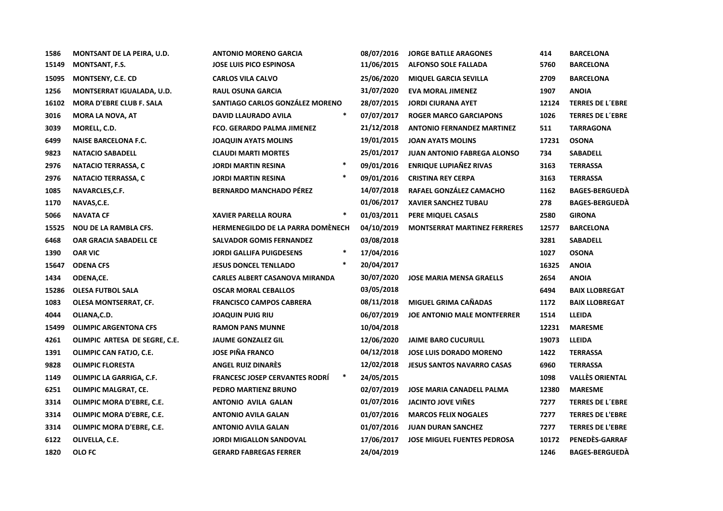| 1586  | MONTSANT DE LA PEIRA, U.D.       | <b>ANTONIO MORENO GARCIA</b>             |        | 08/07/2016 | <b>JORGE BATLLE ARAGONES</b>        | 414   | <b>BARCELONA</b>        |
|-------|----------------------------------|------------------------------------------|--------|------------|-------------------------------------|-------|-------------------------|
| 15149 | <b>MONTSANT, F.S.</b>            | <b>JOSE LUIS PICO ESPINOSA</b>           |        | 11/06/2015 | <b>ALFONSO SOLE FALLADA</b>         | 5760  | <b>BARCELONA</b>        |
| 15095 | <b>MONTSENY, C.E. CD</b>         | <b>CARLOS VILA CALVO</b>                 |        | 25/06/2020 | <b>MIQUEL GARCIA SEVILLA</b>        | 2709  | <b>BARCELONA</b>        |
| 1256  | <b>MONTSERRAT IGUALADA, U.D.</b> | <b>RAUL OSUNA GARCIA</b>                 |        | 31/07/2020 | <b>EVA MORAL JIMENEZ</b>            | 1907  | <b>ANOIA</b>            |
| 16102 | <b>MORA D'EBRE CLUB F. SALA</b>  | SANTIAGO CARLOS GONZÁLEZ MORENO          |        | 28/07/2015 | <b>JORDI CIURANA AYET</b>           | 12124 | <b>TERRES DE L'EBRE</b> |
| 3016  | <b>MORA LA NOVA, AT</b>          | DAVID LLAURADO AVILA                     | $\ast$ | 07/07/2017 | <b>ROGER MARCO GARCIAPONS</b>       | 1026  | <b>TERRES DE L'EBRE</b> |
| 3039  | MORELL, C.D.                     | FCO. GERARDO PALMA JIMENEZ               |        | 21/12/2018 | <b>ANTONIO FERNANDEZ MARTINEZ</b>   | 511   | <b>TARRAGONA</b>        |
| 6499  | <b>NAISE BARCELONA F.C.</b>      | <b>JOAQUIN AYATS MOLINS</b>              |        | 19/01/2015 | <b>JOAN AYATS MOLINS</b>            | 17231 | <b>OSONA</b>            |
| 9823  | <b>NATACIO SABADELL</b>          | <b>CLAUDI MARTI MORTES</b>               |        | 25/01/2017 | <b>JUAN ANTONIO FABREGA ALONSO</b>  | 734   | <b>SABADELL</b>         |
| 2976  | <b>NATACIO TERRASSA, C</b>       | <b>JORDI MARTIN RESINA</b>               | $\ast$ | 09/01/2016 | <b>ENRIQUE LUPIAÑEZ RIVAS</b>       | 3163  | <b>TERRASSA</b>         |
| 2976  | <b>NATACIO TERRASSA, C</b>       | <b>JORDI MARTIN RESINA</b>               | $\ast$ | 09/01/2016 | <b>CRISTINA REY CERPA</b>           | 3163  | <b>TERRASSA</b>         |
| 1085  | NAVARCLES, C.F.                  | <b>BERNARDO MANCHADO PÉREZ</b>           |        | 14/07/2018 | RAFAEL GONZÁLEZ CAMACHO             | 1162  | <b>BAGES-BERGUEDA</b>   |
| 1170  | NAVAS, C.E.                      |                                          |        | 01/06/2017 | <b>XAVIER SANCHEZ TUBAU</b>         | 278   | <b>BAGES-BERGUEDÀ</b>   |
| 5066  | <b>NAVATA CF</b>                 | <b>XAVIER PARELLA ROURA</b>              | $\ast$ | 01/03/2011 | PERE MIQUEL CASALS                  | 2580  | <b>GIRONA</b>           |
| 15525 | <b>NOU DE LA RAMBLA CFS.</b>     | <b>HERMENEGILDO DE LA PARRA DOMÉNECH</b> |        | 04/10/2019 | <b>MONTSERRAT MARTINEZ FERRERES</b> | 12577 | <b>BARCELONA</b>        |
| 6468  | OAR GRACIA SABADELL CE           | <b>SALVADOR GOMIS FERNANDEZ</b>          |        | 03/08/2018 |                                     | 3281  | <b>SABADELL</b>         |
| 1390  | <b>OAR VIC</b>                   | <b>JORDI GALLIFA PUIGDESENS</b>          | $\ast$ | 17/04/2016 |                                     | 1027  | <b>OSONA</b>            |
| 15647 | <b>ODENA CFS</b>                 | <b>JESUS DONCEL TENLLADO</b>             | $\ast$ | 20/04/2017 |                                     | 16325 | <b>ANOIA</b>            |
| 1434  | ODENA,CE.                        | <b>CARLES ALBERT CASANOVA MIRANDA</b>    |        | 30/07/2020 | <b>JOSE MARIA MENSA GRAELLS</b>     | 2654  | <b>ANOIA</b>            |
| 15286 | <b>OLESA FUTBOL SALA</b>         | <b>OSCAR MORAL CEBALLOS</b>              |        | 03/05/2018 |                                     | 6494  | <b>BAIX LLOBREGAT</b>   |
| 1083  | OLESA MONTSERRAT, CF.            | <b>FRANCISCO CAMPOS CABRERA</b>          |        | 08/11/2018 | MIGUEL GRIMA CAÑADAS                | 1172  | <b>BAIX LLOBREGAT</b>   |
| 4044  | OLIANA, C.D.                     | <b>JOAQUIN PUIG RIU</b>                  |        | 06/07/2019 | <b>JOE ANTONIO MALE MONTFERRER</b>  | 1514  | <b>LLEIDA</b>           |
| 15499 | <b>OLIMPIC ARGENTONA CFS</b>     | <b>RAMON PANS MUNNE</b>                  |        | 10/04/2018 |                                     | 12231 | <b>MARESME</b>          |
| 4261  | OLIMPIC ARTESA DE SEGRE, C.E.    | <b>JAUME GONZALEZ GIL</b>                |        | 12/06/2020 | <b>JAIME BARO CUCURULL</b>          | 19073 | LLEIDA                  |
| 1391  | OLIMPIC CAN FATJO, C.E.          | <b>JOSE PIÑA FRANCO</b>                  |        | 04/12/2018 | <b>JOSE LUIS DORADO MORENO</b>      | 1422  | <b>TERRASSA</b>         |
| 9828  | <b>OLIMPIC FLORESTA</b>          | ANGEL RUIZ DINARÈS                       |        | 12/02/2018 | <b>JESUS SANTOS NAVARRO CASAS</b>   | 6960  | <b>TERRASSA</b>         |
| 1149  | OLIMPIC LA GARRIGA, C.F.         | <b>FRANCESC JOSEP CERVANTES RODRI</b>    | $\ast$ | 24/05/2015 |                                     | 1098  | <b>VALLÈS ORIENTAL</b>  |
| 6251  | <b>OLIMPIC MALGRAT, CE.</b>      | PEDRO MARTIENZ BRUNO                     |        | 02/07/2019 | <b>JOSE MARIA CANADELL PALMA</b>    | 12380 | <b>MARESME</b>          |
| 3314  | OLIMPIC MORA D'EBRE, C.E.        | <b>ANTONIO AVILA GALAN</b>               |        | 01/07/2016 | <b>JACINTO JOVE VIÑES</b>           | 7277  | <b>TERRES DE L'EBRE</b> |
| 3314  | OLIMPIC MORA D'EBRE, C.E.        | <b>ANTONIO AVILA GALAN</b>               |        | 01/07/2016 | <b>MARCOS FELIX NOGALES</b>         | 7277  | <b>TERRES DE L'EBRE</b> |
| 3314  | OLIMPIC MORA D'EBRE, C.E.        | <b>ANTONIO AVILA GALAN</b>               |        | 01/07/2016 | <b>JUAN DURAN SANCHEZ</b>           | 7277  | <b>TERRES DE L'EBRE</b> |
| 6122  | OLIVELLA, C.E.                   | <b>JORDI MIGALLON SANDOVAL</b>           |        | 17/06/2017 | <b>JOSE MIGUEL FUENTES PEDROSA</b>  | 10172 | PENEDES-GARRAF          |
| 1820  | <b>OLOFC</b>                     | <b>GERARD FABREGAS FERRER</b>            |        | 24/04/2019 |                                     | 1246  | <b>BAGES-BERGUEDÀ</b>   |
|       |                                  |                                          |        |            |                                     |       |                         |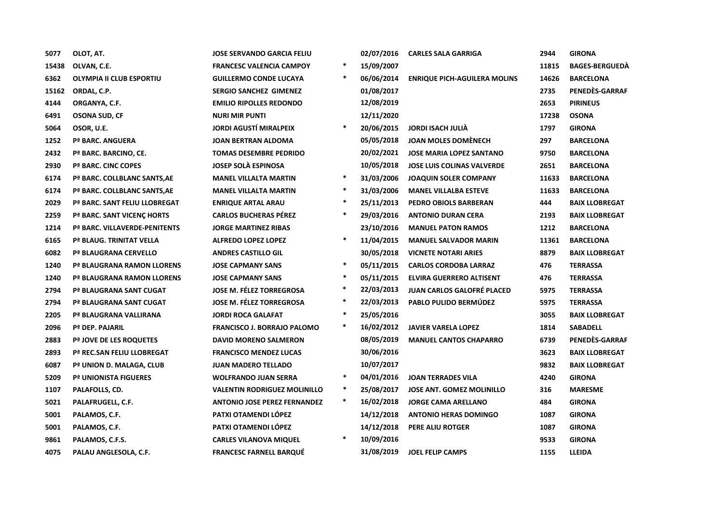| 5077  | OLOT, AT.                                 | JOSE SERVANDO GARCIA FELIU          |        | 02/07/2016 | <b>CARLES SALA GARRIGA</b>          | 2944  | <b>GIRONA</b>         |
|-------|-------------------------------------------|-------------------------------------|--------|------------|-------------------------------------|-------|-----------------------|
| 15438 | OLVAN, C.E.                               | <b>FRANCESC VALENCIA CAMPOY</b>     | $\ast$ | 15/09/2007 |                                     | 11815 | <b>BAGES-BERGUEDA</b> |
| 6362  | <b>OLYMPIA II CLUB ESPORTIU</b>           | <b>GUILLERMO CONDE LUCAYA</b>       | $\ast$ | 06/06/2014 | <b>ENRIQUE PICH-AGUILERA MOLINS</b> | 14626 | <b>BARCELONA</b>      |
| 15162 | ORDAL, C.P.                               | <b>SERGIO SANCHEZ GIMENEZ</b>       |        | 01/08/2017 |                                     | 2735  | PENEDES-GARRAF        |
| 4144  | ORGANYA, C.F.                             | <b>EMILIO RIPOLLES REDONDO</b>      |        | 12/08/2019 |                                     | 2653  | <b>PIRINEUS</b>       |
| 6491  | <b>OSONA SUD, CF</b>                      | <b>NURI MIR PUNTI</b>               |        | 12/11/2020 |                                     | 17238 | <b>OSONA</b>          |
| 5064  | OSOR, U.E.                                | <b>JORDI AGUSTÍ MIRALPEIX</b>       | $\ast$ | 20/06/2015 | <b>JORDI ISACH JULIA</b>            | 1797  | <b>GIRONA</b>         |
| 1252  | Pª BARC. ANGUERA                          | JOAN BERTRAN ALDOMA                 |        | 05/05/2018 | <b>JOAN MOLES DOMÈNECH</b>          | 297   | <b>BARCELONA</b>      |
| 2432  | Pª BARC. BARCINO, CE.                     | <b>TOMAS DESEMBRE PEDRIDO</b>       |        | 20/02/2021 | <b>JOSE MARIA LOPEZ SANTANO</b>     | 9750  | <b>BARCELONA</b>      |
| 2930  | P <sup>ª</sup> BARC. CINC COPES           | <b>JOSEP SOLA ESPINOSA</b>          |        | 10/05/2018 | <b>JOSE LUIS COLINAS VALVERDE</b>   | 2651  | <b>BARCELONA</b>      |
| 6174  | Pª BARC. COLLBLANC SANTS, AE              | <b>MANEL VILLALTA MARTIN</b>        | $\ast$ | 31/03/2006 | <b>JOAQUIN SOLER COMPANY</b>        | 11633 | <b>BARCELONA</b>      |
| 6174  | Pª BARC. COLLBLANC SANTS, AE              | <b>MANEL VILLALTA MARTIN</b>        | $\ast$ | 31/03/2006 | <b>MANEL VILLALBA ESTEVE</b>        | 11633 | <b>BARCELONA</b>      |
| 2029  | Pª BARC. SANT FELIU LLOBREGAT             | <b>ENRIQUE ARTAL ARAU</b>           | $\ast$ | 25/11/2013 | PEDRO OBIOLS BARBERAN               | 444   | <b>BAIX LLOBREGAT</b> |
| 2259  | P <sup>ª</sup> BARC. SANT VICENC HORTS    | <b>CARLOS BUCHERAS PEREZ</b>        | $\ast$ | 29/03/2016 | <b>ANTONIO DURAN CERA</b>           | 2193  | <b>BAIX LLOBREGAT</b> |
| 1214  | P <sup>ª</sup> BARC. VILLAVERDE-PENITENTS | <b>JORGE MARTINEZ RIBAS</b>         |        | 23/10/2016 | <b>MANUEL PATON RAMOS</b>           | 1212  | <b>BARCELONA</b>      |
| 6165  | Pª BLAUG. TRINITAT VELLA                  | <b>ALFREDO LOPEZ LOPEZ</b>          | $\ast$ | 11/04/2015 | <b>MANUEL SALVADOR MARIN</b>        | 11361 | <b>BARCELONA</b>      |
| 6082  | Pª BLAUGRANA CERVELLO                     | <b>ANDRES CASTILLO GIL</b>          |        | 30/05/2018 | <b>VICNETE NOTARI ARIES</b>         | 8879  | <b>BAIX LLOBREGAT</b> |
| 1240  | P <sup>ª</sup> BLAUGRANA RAMON LLORENS    | <b>JOSE CAPMANY SANS</b>            | $\ast$ | 05/11/2015 | <b>CARLOS CORDOBA LARRAZ</b>        | 476   | <b>TERRASSA</b>       |
| 1240  | P <sup>ª</sup> BLAUGRANA RAMON LLORENS    | <b>JOSE CAPMANY SANS</b>            | $\ast$ | 05/11/2015 | <b>ELVIRA GUERRERO ALTISENT</b>     | 476   | <b>TERRASSA</b>       |
| 2794  | Pª BLAUGRANA SANT CUGAT                   | JOSE M. FÉLEZ TORREGROSA            | $\ast$ | 22/03/2013 | <b>JUAN CARLOS GALOFRÉ PLACED</b>   | 5975  | <b>TERRASSA</b>       |
| 2794  | Pª BLAUGRANA SANT CUGAT                   | <b>JOSE M. FÉLEZ TORREGROSA</b>     | $\ast$ | 22/03/2013 | PABLO PULIDO BERMÚDEZ               | 5975  | <b>TERRASSA</b>       |
| 2205  | Pª BLAUGRANA VALLIRANA                    | <b>JORDI ROCA GALAFAT</b>           | $\ast$ | 25/05/2016 |                                     | 3055  | <b>BAIX LLOBREGAT</b> |
| 2096  | Pª DEP. PAJARIL                           | <b>FRANCISCO J. BORRAJO PALOMO</b>  | $\ast$ | 16/02/2012 | <b>JAVIER VARELA LOPEZ</b>          | 1814  | <b>SABADELL</b>       |
| 2883  | Pª JOVE DE LES ROQUETES                   | <b>DAVID MORENO SALMERON</b>        |        | 08/05/2019 | <b>MANUEL CANTOS CHAPARRO</b>       | 6739  | PENEDES-GARRAF        |
| 2893  | Pª REC.SAN FELIU LLOBREGAT                | <b>FRANCISCO MENDEZ LUCAS</b>       |        | 30/06/2016 |                                     | 3623  | <b>BAIX LLOBREGAT</b> |
| 6087  | Pª UNION D. MALAGA, CLUB                  | <b>JUAN MADERO TELLADO</b>          |        | 10/07/2017 |                                     | 9832  | <b>BAIX LLOBREGAT</b> |
| 5209  | <b>Pª UNIONISTA FIGUERES</b>              | <b>WOLFRANDO JUAN SERRA</b>         | $\ast$ | 04/01/2016 | <b>JOAN TERRADES VILA</b>           | 4240  | <b>GIRONA</b>         |
| 1107  | PALAFOLLS, CD.                            | <b>VALENTIN RODRIGUEZ MOLINILLO</b> | $\ast$ | 25/08/2017 | <b>JOSE ANT. GOMEZ MOLINILLO</b>    | 316   | <b>MARESME</b>        |
| 5021  | PALAFRUGELL, C.F.                         | <b>ANTONIO JOSE PEREZ FERNANDEZ</b> | $\ast$ | 16/02/2018 | <b>JORGE CAMA ARELLANO</b>          | 484   | <b>GIRONA</b>         |
| 5001  | PALAMOS, C.F.                             | PATXI OTAMENDI LÓPEZ                |        | 14/12/2018 | <b>ANTONIO HERAS DOMINGO</b>        | 1087  | <b>GIRONA</b>         |
| 5001  | PALAMOS, C.F.                             | PATXI OTAMENDI LÓPEZ                |        | 14/12/2018 | PERE ALIU ROTGER                    | 1087  | <b>GIRONA</b>         |
| 9861  | PALAMOS, C.F.S.                           | <b>CARLES VILANOVA MIQUEL</b>       | $\ast$ | 10/09/2016 |                                     | 9533  | <b>GIRONA</b>         |
| 4075  | PALAU ANGLESOLA, C.F.                     | <b>FRANCESC FARNELL BARQUÉ</b>      |        | 31/08/2019 | <b>JOEL FELIP CAMPS</b>             | 1155  | <b>LLEIDA</b>         |
|       |                                           |                                     |        |            |                                     |       |                       |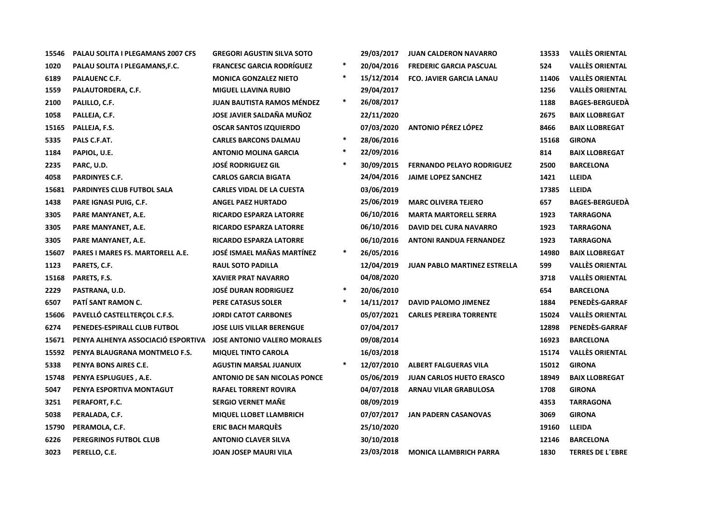| 15546 | PALAU SOLITA I PLEGAMANS 2007 CFS       | <b>GREGORI AGUSTIN SILVA SOTO</b>   |        | 29/03/2017 | <b>JUAN CALDERON NAVARRO</b>        | 13533 | <b>VALLÈS ORIENTAL</b>  |
|-------|-----------------------------------------|-------------------------------------|--------|------------|-------------------------------------|-------|-------------------------|
| 1020  | PALAU SOLITA I PLEGAMANS, F.C.          | <b>FRANCESC GARCIA RODRÍGUEZ</b>    | $\ast$ | 20/04/2016 | <b>FREDERIC GARCIA PASCUAL</b>      | 524   | <b>VALLÈS ORIENTAL</b>  |
| 6189  | <b>PALAUENC C.F.</b>                    | <b>MONICA GONZALEZ NIETO</b>        | $\ast$ | 15/12/2014 | <b>FCO. JAVIER GARCIA LANAU</b>     | 11406 | <b>VALLÈS ORIENTAL</b>  |
| 1559  | PALAUTORDERA, C.F.                      | <b>MIGUEL LLAVINA RUBIO</b>         |        | 29/04/2017 |                                     | 1256  | <b>VALLÈS ORIENTAL</b>  |
| 2100  | PALILLO, C.F.                           | <b>JUAN BAUTISTA RAMOS MÉNDEZ</b>   | $\ast$ | 26/08/2017 |                                     | 1188  | <b>BAGES-BERGUEDA</b>   |
| 1058  | PALLEJA, C.F.                           | JOSE JAVIER SALDAÑA MUÑOZ           |        | 22/11/2020 |                                     | 2675  | <b>BAIX LLOBREGAT</b>   |
| 15165 | PALLEJA, F.S.                           | <b>OSCAR SANTOS IZQUIERDO</b>       |        | 07/03/2020 | <b>ANTONIO PÉREZ LÓPEZ</b>          | 8466  | <b>BAIX LLOBREGAT</b>   |
| 5335  | PALS C.F.AT.                            | <b>CARLES BARCONS DALMAU</b>        | $\ast$ | 28/06/2016 |                                     | 15168 | <b>GIRONA</b>           |
| 1184  | PAPIOL, U.E.                            | <b>ANTONIO MOLINA GARCIA</b>        | $\ast$ | 22/09/2016 |                                     | 814   | <b>BAIX LLOBREGAT</b>   |
| 2235  | PARC, U.D.                              | <b>JOSÉ RODRIGUEZ GIL</b>           | $\ast$ | 30/09/2015 | <b>FERNANDO PELAYO RODRIGUEZ</b>    | 2500  | <b>BARCELONA</b>        |
| 4058  | <b>PARDINYES C.F.</b>                   | <b>CARLOS GARCIA BIGATA</b>         |        | 24/04/2016 | <b>JAIME LOPEZ SANCHEZ</b>          | 1421  | <b>LLEIDA</b>           |
| 15681 | PARDINYES CLUB FUTBOL SALA              | <b>CARLES VIDAL DE LA CUESTA</b>    |        | 03/06/2019 |                                     | 17385 | LLEIDA                  |
| 1438  | PARE IGNASI PUIG, C.F.                  | <b>ANGEL PAEZ HURTADO</b>           |        | 25/06/2019 | <b>MARC OLIVERA TEJERO</b>          | 657   | <b>BAGES-BERGUEDA</b>   |
| 3305  | PARE MANYANET, A.E.                     | <b>RICARDO ESPARZA LATORRE</b>      |        | 06/10/2016 | <b>MARTA MARTORELL SERRA</b>        | 1923  | <b>TARRAGONA</b>        |
| 3305  | PARE MANYANET, A.E.                     | <b>RICARDO ESPARZA LATORRE</b>      |        | 06/10/2016 | <b>DAVID DEL CURA NAVARRO</b>       | 1923  | <b>TARRAGONA</b>        |
| 3305  | PARE MANYANET, A.E.                     | <b>RICARDO ESPARZA LATORRE</b>      |        | 06/10/2016 | <b>ANTONI RANDUA FERNANDEZ</b>      | 1923  | <b>TARRAGONA</b>        |
| 15607 | <b>PARES I MARES FS. MARTORELL A.E.</b> | JOSÉ ISMAEL MAÑAS MARTÍNEZ          | $\ast$ | 26/05/2016 |                                     | 14980 | <b>BAIX LLOBREGAT</b>   |
| 1123  | PARETS, C.F.                            | <b>RAUL SOTO PADILLA</b>            |        | 12/04/2019 | <b>JUAN PABLO MARTINEZ ESTRELLA</b> | 599   | <b>VALLÈS ORIENTAL</b>  |
| 15168 | PARETS, F.S.                            | <b>XAVIER PRAT NAVARRO</b>          |        | 04/08/2020 |                                     | 3718  | <b>VALLÈS ORIENTAL</b>  |
| 2229  | PASTRANA, U.D.                          | <b>JOSÉ DURAN RODRIGUEZ</b>         | $\ast$ | 20/06/2010 |                                     | 654   | <b>BARCELONA</b>        |
| 6507  | PATÍ SANT RAMON C.                      | PERE CATASUS SOLER                  | $\ast$ | 14/11/2017 | <b>DAVID PALOMO JIMENEZ</b>         | 1884  | PENEDÈS-GARRAF          |
| 15606 | PAVELLÓ CASTELLTERÇOL C.F.S.            | <b>JORDI CATOT CARBONES</b>         |        | 05/07/2021 | <b>CARLES PEREIRA TORRENTE</b>      | 15024 | <b>VALLÈS ORIENTAL</b>  |
| 6274  | PENEDES-ESPIRALL CLUB FUTBOL            | <b>JOSE LUIS VILLAR BERENGUE</b>    |        | 07/04/2017 |                                     | 12898 | PENEDÈS-GARRAF          |
| 15671 | PENYA ALHENYA ASSOCIACIÓ ESPORTIVA      | <b>JOSE ANTONIO VALERO MORALES</b>  |        | 09/08/2014 |                                     | 16923 | <b>BARCELONA</b>        |
| 15592 | PENYA BLAUGRANA MONTMELO F.S.           | <b>MIQUEL TINTO CAROLA</b>          |        | 16/03/2018 |                                     | 15174 | <b>VALLÈS ORIENTAL</b>  |
| 5338  | PENYA BONS AIRES C.E.                   | <b>AGUSTIN MARSAL JUANUIX</b>       | $\ast$ | 12/07/2010 | <b>ALBERT FALGUERAS VILA</b>        | 15012 | <b>GIRONA</b>           |
| 15748 | PENYA ESPLUGUES, A.E.                   | <b>ANTONIO DE SAN NICOLAS PONCE</b> |        | 05/06/2019 | <b>JUAN CARLOS HUETO ERASCO</b>     | 18949 | <b>BAIX LLOBREGAT</b>   |
| 5047  | PENYA ESPORTIVA MONTAGUT                | <b>RAFAEL TORRENT ROVIRA</b>        |        | 04/07/2018 | <b>ARNAU VILAR GRABULOSA</b>        | 1708  | <b>GIRONA</b>           |
| 3251  | PERAFORT, F.C.                          | <b>SERGIO VERNET MAÑE</b>           |        | 08/09/2019 |                                     | 4353  | <b>TARRAGONA</b>        |
| 5038  | PERALADA, C.F.                          | <b>MIQUEL LLOBET LLAMBRICH</b>      |        | 07/07/2017 | <b>JAN PADERN CASANOVAS</b>         | 3069  | <b>GIRONA</b>           |
| 15790 | PERAMOLA, C.F.                          | <b>ERIC BACH MARQUES</b>            |        | 25/10/2020 |                                     | 19160 | <b>LLEIDA</b>           |
| 6226  | PEREGRINOS FUTBOL CLUB                  | <b>ANTONIO CLAVER SILVA</b>         |        | 30/10/2018 |                                     | 12146 | <b>BARCELONA</b>        |
| 3023  | PERELLO, C.E.                           | <b>JOAN JOSEP MAURI VILA</b>        |        | 23/03/2018 | <b>MONICA LLAMBRICH PARRA</b>       | 1830  | <b>TERRES DE L'EBRE</b> |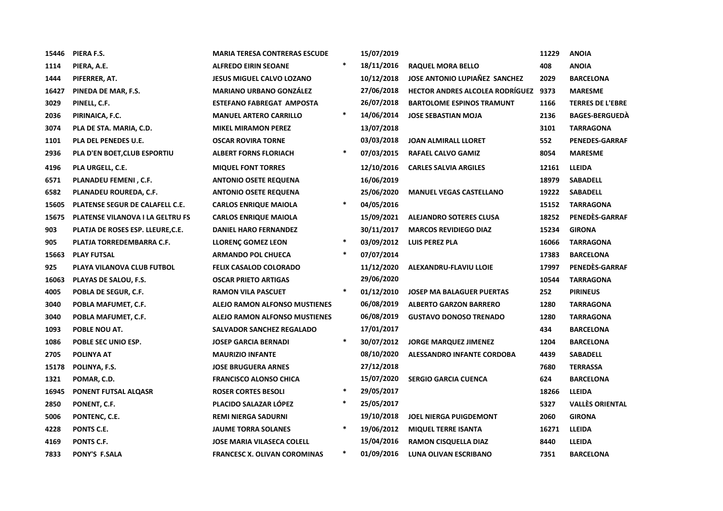| 15446 | PIERA F.S.                              | <b>MARIA TERESA CONTRERAS ESCUDE</b> |        | 15/07/2019 |                                      | 11229 | <b>ANOIA</b>            |
|-------|-----------------------------------------|--------------------------------------|--------|------------|--------------------------------------|-------|-------------------------|
| 1114  | PIERA, A.E.                             | <b>ALFREDO EIRIN SEOANE</b>          | $\ast$ | 18/11/2016 | <b>RAQUEL MORA BELLO</b>             | 408   | <b>ANOIA</b>            |
| 1444  | PIFERRER, AT.                           | <b>JESUS MIGUEL CALVO LOZANO</b>     |        | 10/12/2018 | JOSE ANTONIO LUPIAÑEZ SANCHEZ        | 2029  | <b>BARCELONA</b>        |
| 16427 | PINEDA DE MAR, F.S.                     | <b>MARIANO URBANO GONZÁLEZ</b>       |        | 27/06/2018 | HECTOR ANDRES ALCOLEA RODRÍGUEZ 9373 |       | <b>MARESME</b>          |
| 3029  | PINELL, C.F.                            | <b>ESTEFANO FABREGAT AMPOSTA</b>     |        | 26/07/2018 | <b>BARTOLOME ESPINOS TRAMUNT</b>     | 1166  | <b>TERRES DE L'EBRE</b> |
| 2036  | PIRINAICA, F.C.                         | <b>MANUEL ARTERO CARRILLO</b>        | $\ast$ | 14/06/2014 | <b>JOSE SEBASTIAN MOJA</b>           | 2136  | <b>BAGES-BERGUEDA</b>   |
| 3074  | PLA DE STA. MARIA, C.D.                 | <b>MIKEL MIRAMON PEREZ</b>           |        | 13/07/2018 |                                      | 3101  | <b>TARRAGONA</b>        |
| 1101  | <b>PLA DEL PENEDES U.E.</b>             | <b>OSCAR ROVIRA TORNE</b>            |        | 03/03/2018 | <b>JOAN ALMIRALL LLORET</b>          | 552   | <b>PENEDES-GARRAF</b>   |
| 2936  | PLA D'EN BOET, CLUB ESPORTIU            | <b>ALBERT FORNS FLORIACH</b>         | $\ast$ | 07/03/2015 | RAFAEL CALVO GAMIZ                   | 8054  | <b>MARESME</b>          |
| 4196  | PLA URGELL, C.E.                        | <b>MIQUEL FONT TORRES</b>            |        | 12/10/2016 | <b>CARLES SALVIA ARGILES</b>         | 12161 | LLEIDA                  |
| 6571  | PLANADEU FEMENI, C.F.                   | <b>ANTONIO OSETE REQUENA</b>         |        | 16/06/2019 |                                      | 18979 | <b>SABADELL</b>         |
| 6582  | PLANADEU ROUREDA, C.F.                  | <b>ANTONIO OSETE REQUENA</b>         |        | 25/06/2020 | <b>MANUEL VEGAS CASTELLANO</b>       | 19222 | <b>SABADELL</b>         |
| 15605 | PLATENSE SEGUR DE CALAFELL C.E.         | <b>CARLOS ENRIQUE MAIOLA</b>         | $\ast$ | 04/05/2016 |                                      | 15152 | <b>TARRAGONA</b>        |
| 15675 | <b>PLATENSE VILANOVA I LA GELTRU FS</b> | <b>CARLOS ENRIQUE MAIOLA</b>         |        | 15/09/2021 | <b>ALEJANDRO SOTERES CLUSA</b>       | 18252 | PENEDES-GARRAF          |
| 903   | PLATJA DE ROSES ESP. LLEURE, C.E.       | <b>DANIEL HARO FERNANDEZ</b>         |        | 30/11/2017 | <b>MARCOS REVIDIEGO DIAZ</b>         | 15234 | <b>GIRONA</b>           |
| 905   | PLATJA TORREDEMBARRA C.F.               | <b>LLORENÇ GOMEZ LEON</b>            | $\ast$ | 03/09/2012 | <b>LUIS PEREZ PLA</b>                | 16066 | <b>TARRAGONA</b>        |
| 15663 | <b>PLAY FUTSAL</b>                      | <b>ARMANDO POL CHUECA</b>            | $\ast$ | 07/07/2014 |                                      | 17383 | <b>BARCELONA</b>        |
| 925   | PLAYA VILANOVA CLUB FUTBOL              | <b>FELIX CASALOD COLORADO</b>        |        | 11/12/2020 | ALEXANDRU-FLAVIU LLOIE               | 17997 | PENEDÈS-GARRAF          |
| 16063 | PLAYAS DE SALOU, F.S.                   | <b>OSCAR PRIETO ARTIGAS</b>          |        | 29/06/2020 |                                      | 10544 | <b>TARRAGONA</b>        |
| 4005  | POBLA DE SEGUR, C.F.                    | <b>RAMON VILA PASCUET</b>            | $\ast$ | 01/12/2010 | <b>JOSEP MA BALAGUER PUERTAS</b>     | 252   | <b>PIRINEUS</b>         |
| 3040  | POBLA MAFUMET, C.F.                     | <b>ALEJO RAMON ALFONSO MUSTIENES</b> |        | 06/08/2019 | <b>ALBERTO GARZON BARRERO</b>        | 1280  | <b>TARRAGONA</b>        |
| 3040  | POBLA MAFUMET, C.F.                     | <b>ALEJO RAMON ALFONSO MUSTIENES</b> |        | 06/08/2019 | <b>GUSTAVO DONOSO TRENADO</b>        | 1280  | <b>TARRAGONA</b>        |
| 1093  | POBLE NOU AT.                           | SALVADOR SANCHEZ REGALADO            |        | 17/01/2017 |                                      | 434   | <b>BARCELONA</b>        |
| 1086  | POBLE SEC UNIO ESP.                     | <b>JOSEP GARCIA BERNADI</b>          | $\ast$ | 30/07/2012 | <b>JORGE MARQUEZ JIMENEZ</b>         | 1204  | <b>BARCELONA</b>        |
| 2705  | <b>POLINYA AT</b>                       | <b>MAURIZIO INFANTE</b>              |        | 08/10/2020 | <b>ALESSANDRO INFANTE CORDOBA</b>    | 4439  | <b>SABADELL</b>         |
| 15178 | POLINYA, F.S.                           | <b>JOSE BRUGUERA ARNES</b>           |        | 27/12/2018 |                                      | 7680  | <b>TERRASSA</b>         |
| 1321  | POMAR, C.D.                             | <b>FRANCISCO ALONSO CHICA</b>        |        | 15/07/2020 | <b>SERGIO GARCIA CUENCA</b>          | 624   | <b>BARCELONA</b>        |
| 16945 | PONENT FUTSAL ALQASR                    | <b>ROSER CORTES BESOLI</b>           | $\ast$ | 29/05/2017 |                                      | 18266 | <b>LLEIDA</b>           |
| 2850  | PONENT, C.F.                            | PLACIDO SALAZAR LÓPEZ                | $\ast$ | 25/05/2017 |                                      | 5327  | <b>VALLÈS ORIENTAL</b>  |
| 5006  | PONTENC, C.E.                           | <b>REMI NIERGA SADURNI</b>           |        | 19/10/2018 | <b>JOEL NIERGA PUIGDEMONT</b>        | 2060  | <b>GIRONA</b>           |
| 4228  | PONTS C.E.                              | <b>JAUME TORRA SOLANES</b>           | $\ast$ | 19/06/2012 | <b>MIQUEL TERRE ISANTA</b>           | 16271 | <b>LLEIDA</b>           |
| 4169  | PONTS C.F.                              | <b>JOSE MARIA VILASECA COLELL</b>    |        | 15/04/2016 | <b>RAMON CISQUELLA DIAZ</b>          | 8440  | <b>LLEIDA</b>           |
| 7833  | <b>PONY'S F.SALA</b>                    | <b>FRANCESC X. OLIVAN COROMINAS</b>  | $\ast$ | 01/09/2016 | LUNA OLIVAN ESCRIBANO                | 7351  | <b>BARCELONA</b>        |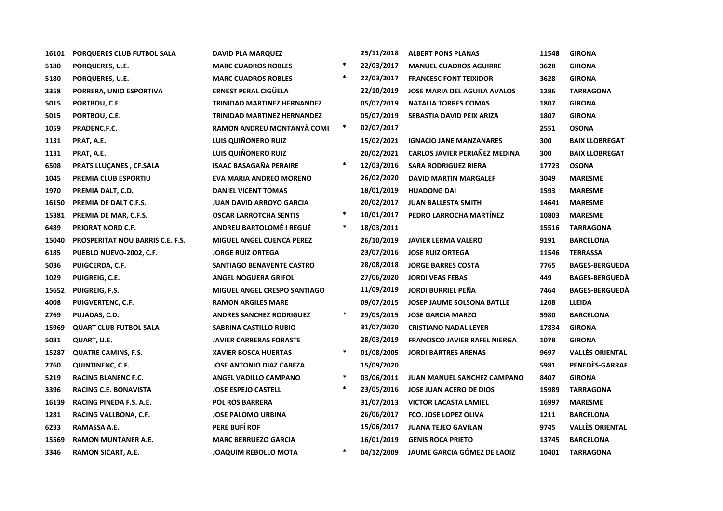| 16101 | PORQUERES CLUB FUTBOL SALA              | <b>DAVID PLA MARQUEZ</b>           |        | 25/11/2018 | <b>ALBERT PONS PLANAS</b>            | 11548 | <b>GIRONA</b>          |
|-------|-----------------------------------------|------------------------------------|--------|------------|--------------------------------------|-------|------------------------|
| 5180  | PORQUERES, U.E.                         | <b>MARC CUADROS ROBLES</b>         | $\ast$ | 22/03/2017 | <b>MANUEL CUADROS AGUIRRE</b>        | 3628  | <b>GIRONA</b>          |
| 5180  | PORQUERES, U.E.                         | <b>MARC CUADROS ROBLES</b>         | $\ast$ | 22/03/2017 | <b>FRANCESC FONT TEIXIDOR</b>        | 3628  | <b>GIRONA</b>          |
| 3358  | PORRERA, UNIO ESPORTIVA                 | <b>ERNEST PERAL CIGÜELA</b>        |        | 22/10/2019 | <b>JOSE MARIA DEL AGUILA AVALOS</b>  | 1286  | <b>TARRAGONA</b>       |
| 5015  | PORTBOU, C.E.                           | <b>TRINIDAD MARTINEZ HERNANDEZ</b> |        | 05/07/2019 | <b>NATALIA TORRES COMAS</b>          | 1807  | <b>GIRONA</b>          |
| 5015  | PORTBOU, C.E.                           | <b>TRINIDAD MARTINEZ HERNANDEZ</b> |        | 05/07/2019 | SEBASTIA DAVID PEIX ARIZA            | 1807  | <b>GIRONA</b>          |
| 1059  | PRADENC, F.C.                           | RAMON ANDREU MONTANYÀ COME         | $\ast$ | 02/07/2017 |                                      | 2551  | <b>OSONA</b>           |
| 1131  | PRAT, A.E.                              | LUIS QUIÑONERO RUIZ                |        | 15/02/2021 | <b>IGNACIO JANE MANZANARES</b>       | 300   | <b>BAIX LLOBREGAT</b>  |
| 1131  | PRAT, A.E.                              | LUIS QUIÑONERO RUIZ                |        | 20/02/2021 | <b>CARLOS JAVIER PERIAÑEZ MEDINA</b> | 300   | <b>BAIX LLOBREGAT</b>  |
| 6508  | <b>PRATS LLUCANES, CF.SALA</b>          | <b>ISAAC BASAGAÑA PERAIRE</b>      | $\ast$ | 12/03/2016 | <b>SARA RODRIGUEZ RIERA</b>          | 17723 | <b>OSONA</b>           |
| 1045  | PREMIA CLUB ESPORTIU                    | <b>EVA MARIA ANDREO MORENO</b>     |        | 26/02/2020 | <b>DAVID MARTIN MARGALEF</b>         | 3049  | <b>MARESME</b>         |
| 1970  | PREMIA DALT, C.D.                       | <b>DANIEL VICENT TOMAS</b>         |        | 18/01/2019 | <b>HUADONG DAI</b>                   | 1593  | <b>MARESME</b>         |
| 16150 | PREMIA DE DALT C.F.S.                   | <b>JUAN DAVID ARROYO GARCIA</b>    |        | 20/02/2017 | <b>JUAN BALLESTA SMITH</b>           | 14641 | <b>MARESME</b>         |
| 15381 | PREMIA DE MAR, C.F.S.                   | <b>OSCAR LARROTCHA SENTIS</b>      | $\ast$ | 10/01/2017 | PEDRO LARROCHA MARTÍNEZ              | 10803 | <b>MARESME</b>         |
| 6489  | <b>PRIORAT NORD C.F.</b>                | <b>ANDREU BARTOLOMÉ I REGUÉ</b>    | $\ast$ | 18/03/2011 |                                      | 15516 | <b>TARRAGONA</b>       |
| 15040 | <b>PROSPERITAT NOU BARRIS C.E. F.S.</b> | <b>MIGUEL ANGEL CUENCA PEREZ</b>   |        | 26/10/2019 | <b>JAVIER LERMA VALERO</b>           | 9191  | <b>BARCELONA</b>       |
| 6185  | PUEBLO NUEVO-2002, C.F.                 | <b>JORGE RUIZ ORTEGA</b>           |        | 23/07/2016 | <b>JOSE RUIZ ORTEGA</b>              | 11546 | <b>TERRASSA</b>        |
| 5036  | PUIGCERDA, C.F.                         | SANTIAGO BENAVENTE CASTRO          |        | 28/08/2018 | <b>JORGE BARRES COSTA</b>            | 7765  | <b>BAGES-BERGUEDA</b>  |
| 1029  | PUIGREIG, C.E.                          | <b>ANGEL NOGUERA GRIFOL</b>        |        | 27/06/2020 | <b>JORDI VEAS FEBAS</b>              | 449   | <b>BAGES-BERGUEDA</b>  |
| 15652 | PUIGREIG, F.S.                          | MIGUEL ANGEL CRESPO SANTIAGO       |        | 11/09/2019 | <b>JORDI BURRIEL PEÑA</b>            | 7464  | <b>BAGES-BERGUEDA</b>  |
| 4008  | <b>PUIGVERTENC, C.F.</b>                | <b>RAMON ARGILES MARE</b>          |        | 09/07/2015 | <b>JOSEP JAUME SOLSONA BATLLE</b>    | 1208  | <b>LLEIDA</b>          |
| 2769  | PUJADAS, C.D.                           | <b>ANDRES SANCHEZ RODRIGUEZ</b>    | $\ast$ | 29/03/2015 | <b>JOSE GARCIA MARZO</b>             | 5980  | <b>BARCELONA</b>       |
| 15969 | <b>QUART CLUB FUTBOL SALA</b>           | <b>SABRINA CASTILLO RUBIO</b>      |        | 31/07/2020 | <b>CRISTIANO NADAL LEYER</b>         | 17834 | <b>GIRONA</b>          |
| 5081  | QUART, U.E.                             | <b>JAVIER CARRERAS FORASTE</b>     |        | 28/03/2019 | <b>FRANCISCO JAVIER RAFEL NIERGA</b> | 1078  | <b>GIRONA</b>          |
| 15287 | <b>QUATRE CAMINS, F.S.</b>              | <b>XAVIER BOSCA HUERTAS</b>        | $\ast$ | 01/08/2005 | <b>JORDI BARTRES ARENAS</b>          | 9697  | <b>VALLÈS ORIENTAL</b> |
| 2760  | <b>QUINTINENC, C.F.</b>                 | <b>JOSE ANTONIO DIAZ CABEZA</b>    |        | 15/09/2020 |                                      | 5981  | PENEDÈS-GARRAF         |
| 5219  | <b>RACING BLANENC F.C.</b>              | <b>ANGEL VADILLO CAMPANO</b>       | $\ast$ | 03/06/2011 | <b>JUAN MANUEL SANCHEZ CAMPANO</b>   | 8407  | <b>GIRONA</b>          |
| 3396  | <b>RACING C.E. BONAVISTA</b>            | <b>JOSE ESPEJO CASTELL</b>         | $\ast$ | 23/05/2016 | <b>JOSE JUAN ACERO DE DIOS</b>       | 15989 | <b>TARRAGONA</b>       |
| 16139 | RACING PINEDA F.S. A.E.                 | <b>POL ROS BARRERA</b>             |        | 31/07/2013 | <b>VICTOR LACASTA LAMIEL</b>         | 16997 | <b>MARESME</b>         |
| 1281  | RACING VALLBONA, C.F.                   | <b>JOSE PALOMO URBINA</b>          |        | 26/06/2017 | <b>FCO. JOSE LOPEZ OLIVA</b>         | 1211  | <b>BARCELONA</b>       |
| 6233  | RAMASSA A.E.                            | PERE BUFÍ ROF                      |        | 15/06/2017 | <b>JUANA TEJEO GAVILAN</b>           | 9745  | <b>VALLÈS ORIENTAL</b> |
| 15569 | <b>RAMON MUNTANER A.E.</b>              | <b>MARC BERRUEZO GARCIA</b>        |        | 16/01/2019 | <b>GENIS ROCA PRIETO</b>             | 13745 | <b>BARCELONA</b>       |
| 3346  | <b>RAMON SICART, A.E.</b>               | <b>JOAQUIM REBOLLO MOTA</b>        | $\ast$ | 04/12/2009 | <b>JAUME GARCIA GÓMEZ DE LAOIZ</b>   | 10401 | <b>TARRAGONA</b>       |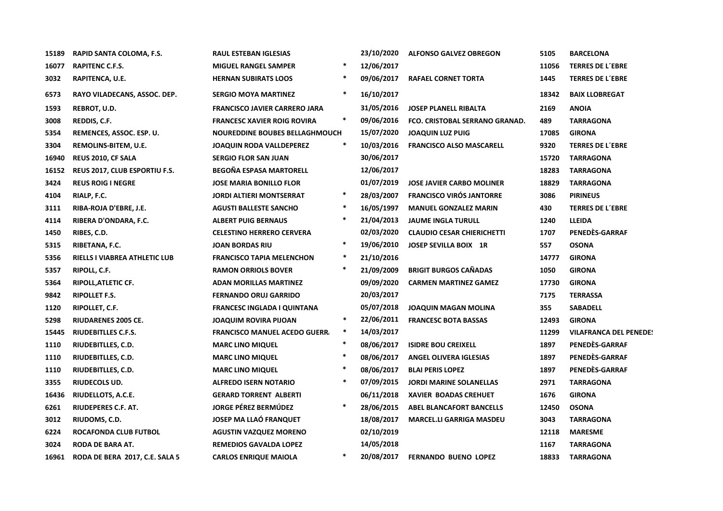| 15189 | RAPID SANTA COLOMA, F.S.       | <b>RAUL ESTEBAN IGLESIAS</b>          |        | 23/10/2020 | <b>ALFONSO GALVEZ OBREGON</b>     | 5105  | <b>BARCELONA</b>              |
|-------|--------------------------------|---------------------------------------|--------|------------|-----------------------------------|-------|-------------------------------|
| 16077 | RAPITENC C.F.S.                | <b>MIGUEL RANGEL SAMPER</b>           | $\ast$ | 12/06/2017 |                                   | 11056 | <b>TERRES DE L'EBRE</b>       |
| 3032  | RAPITENCA, U.E.                | <b>HERNAN SUBIRATS LOOS</b>           |        | 09/06/2017 | <b>RAFAEL CORNET TORTA</b>        | 1445  | <b>TERRES DE L'EBRE</b>       |
| 6573  | RAYO VILADECANS, ASSOC. DEP.   | <b>SERGIO MOYA MARTINEZ</b>           |        | 16/10/2017 |                                   | 18342 | <b>BAIX LLOBREGAT</b>         |
| 1593  | REBROT, U.D.                   | <b>FRANCISCO JAVIER CARRERO JARA</b>  |        | 31/05/2016 | <b>JOSEP PLANELL RIBALTA</b>      | 2169  | <b>ANOIA</b>                  |
| 3008  | REDDIS, C.F.                   | FRANCESC XAVIER ROIG ROVIRA           | $\ast$ | 09/06/2016 | FCO. CRISTOBAL SERRANO GRANAD.    | 489   | <b>TARRAGONA</b>              |
| 5354  | REMENCES, ASSOC. ESP. U.       | <b>NOUREDDINE BOUBES BELLAGHMOUCH</b> |        | 15/07/2020 | <b>JOAQUIN LUZ PUIG</b>           | 17085 | <b>GIRONA</b>                 |
| 3304  | REMOLINS-BITEM, U.E.           | JOAQUIN RODA VALLDEPEREZ              |        | 10/03/2016 | <b>FRANCISCO ALSO MASCARELL</b>   | 9320  | <b>TERRES DE L'EBRE</b>       |
| 16940 | REUS 2010, CF SALA             | <b>SERGIO FLOR SAN JUAN</b>           |        | 30/06/2017 |                                   | 15720 | TARRAGONA                     |
| 16152 | REUS 2017, CLUB ESPORTIU F.S.  | <b>BEGOÑA ESPASA MARTORELL</b>        |        | 12/06/2017 |                                   | 18283 | <b>TARRAGONA</b>              |
| 3424  | <b>REUS ROIG I NEGRE</b>       | <b>JOSE MARIA BONILLO FLOR</b>        |        | 01/07/2019 | <b>JOSE JAVIER CARBO MOLINER</b>  | 18829 | <b>TARRAGONA</b>              |
| 4104  | RIALP, F.C.                    | <b>JORDI ALTIERI MONTSERRAT</b>       |        | 28/03/2007 | <b>FRANCISCO VIRÓS JANTORRE</b>   | 3086  | <b>PIRINEUS</b>               |
| 3111  | RIBA-ROJA D'EBRE, J.E.         | <b>AGUSTI BALLESTE SANCHO</b>         |        | 16/05/1997 | <b>MANUEL GONZALEZ MARIN</b>      | 430   | <b>TERRES DE L'EBRE</b>       |
| 4114  | RIBERA D'ONDARA, F.C.          | <b>ALBERT PUIG BERNAUS</b>            |        | 21/04/2013 | <b>JAUME INGLA TURULL</b>         | 1240  | <b>LLEIDA</b>                 |
| 1450  | RIBES, C.D.                    | <b>CELESTINO HERRERO CERVERA</b>      |        | 02/03/2020 | <b>CLAUDIO CESAR CHIERICHETTI</b> | 1707  | PENEDES-GARRAF                |
| 5315  | RIBETANA, F.C.                 | <b>JOAN BORDAS RIU</b>                | ∗      | 19/06/2010 | JOSEP SEVILLA BOIX 1R             | 557   | <b>OSONA</b>                  |
| 5356  | RIELLS I VIABREA ATHLETIC LUB  | <b>FRANCISCO TAPIA MELENCHON</b>      | $\ast$ | 21/10/2016 |                                   | 14777 | <b>GIRONA</b>                 |
| 5357  | RIPOLL, C.F.                   | <b>RAMON ORRIOLS BOVER</b>            |        | 21/09/2009 | <b>BRIGIT BURGOS CAÑADAS</b>      | 1050  | <b>GIRONA</b>                 |
| 5364  | RIPOLL, ATLETIC CF.            | <b>ADAN MORILLAS MARTINEZ</b>         |        | 09/09/2020 | <b>CARMEN MARTINEZ GAMEZ</b>      | 17730 | <b>GIRONA</b>                 |
| 9842  | <b>RIPOLLET F.S.</b>           | <b>FERNANDO ORUJ GARRIDO</b>          |        | 20/03/2017 |                                   | 7175  | <b>TERRASSA</b>               |
| 1120  | RIPOLLET, C.F.                 | FRANCESC INGLADA I QUINTANA           |        | 05/07/2018 | <b>JOAQUIN MAGAN MOLINA</b>       | 355   | <b>SABADELL</b>               |
| 5298  | <b>RIUDARENES 2005 CE.</b>     | <b>JOAQUIM ROVIRA PIJOAN</b>          | $\ast$ | 22/06/2011 | <b>FRANCESC BOTA BASSAS</b>       | 12493 | <b>GIRONA</b>                 |
| 15445 | <b>RIUDEBITLLES C.F.S.</b>     | <b>FRANCISCO MANUEL ACEDO GUERR.</b>  | $\ast$ | 14/03/2017 |                                   | 11299 | <b>VILAFRANCA DEL PENEDE!</b> |
| 1110  | RIUDEBITLLES, C.D.             | <b>MARC LINO MIQUEL</b>               |        | 08/06/2017 | <b>ISIDRE BOU CREIXELL</b>        | 1897  | PENEDÈS-GARRAF                |
| 1110  | RIUDEBITLLES, C.D.             | <b>MARC LINO MIQUEL</b>               |        | 08/06/2017 | <b>ANGEL OLIVERA IGLESIAS</b>     | 1897  | PENEDÈS-GARRAF                |
| 1110  | RIUDEBITLLES, C.D.             | <b>MARC LINO MIQUEL</b>               |        | 08/06/2017 | <b>BLAI PERIS LOPEZ</b>           | 1897  | PENEDÈS-GARRAF                |
| 3355  | RIUDECOLS UD.                  | ALFREDO ISERN NOTARIO                 |        | 07/09/2015 | <b>JORDI MARINE SOLANELLAS</b>    | 2971  | <b>TARRAGONA</b>              |
| 16436 | RIUDELLOTS, A.C.E.             | <b>GERARD TORRENT ALBERTI</b>         |        | 06/11/2018 | <b>XAVIER BOADAS CREHUET</b>      | 1676  | <b>GIRONA</b>                 |
| 6261  | RIUDEPERES C.F. AT.            | <b>JORGE PÉREZ BERMÚDEZ</b>           |        | 28/06/2015 | ABEL BLANCAFORT BANCELLS          | 12450 | <b>OSONA</b>                  |
| 3012  | RIUDOMS, C.D.                  | JOSEP MA LLAÓ FRANQUET                |        | 18/08/2017 | <b>MARCEL.LI GARRIGA MASDEU</b>   | 3043  | <b>TARRAGONA</b>              |
| 6224  | ROCAFONDA CLUB FUTBOL          | <b>AGUSTIN VAZQUEZ MORENO</b>         |        | 02/10/2019 |                                   | 12118 | <b>MARESME</b>                |
| 3024  | RODA DE BARA AT.               | <b>REMEDIOS GAVALDA LOPEZ</b>         |        | 14/05/2018 |                                   | 1167  | <b>TARRAGONA</b>              |
| 16961 | RODA DE BERA 2017, C.E. SALA 5 | <b>CARLOS ENRIQUE MAIOLA</b>          | $\ast$ | 20/08/2017 | <b>FERNANDO BUENO LOPEZ</b>       | 18833 | <b>TARRAGONA</b>              |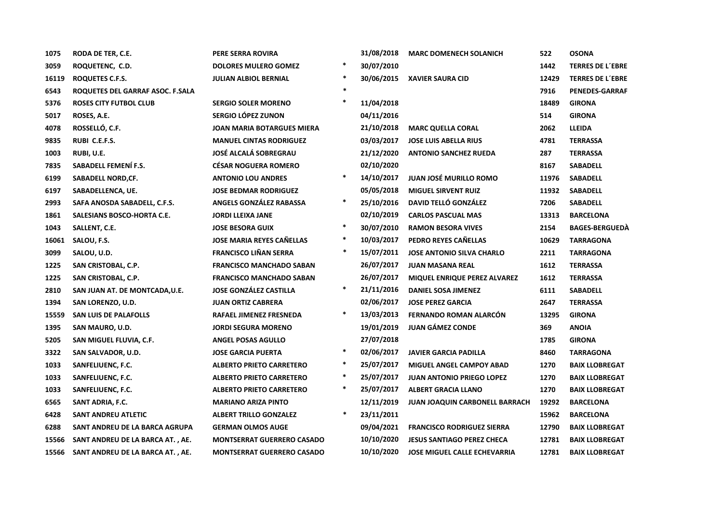| 1075  | RODA DE TER, C.E.                | PERE SERRA ROVIRA                 |        | 31/08/2018 | <b>MARC DOMENECH SOLANICH</b>         | 522   | <b>OSONA</b>            |
|-------|----------------------------------|-----------------------------------|--------|------------|---------------------------------------|-------|-------------------------|
| 3059  | ROQUETENC, C.D.                  | <b>DOLORES MULERO GOMEZ</b>       | $\ast$ | 30/07/2010 |                                       | 1442  | <b>TERRES DE L'EBRE</b> |
| 16119 | ROQUETES C.F.S.                  | <b>JULIAN ALBIOL BERNIAL</b>      | $\ast$ | 30/06/2015 | <b>XAVIER SAURA CID</b>               | 12429 | <b>TERRES DE L'EBRE</b> |
| 6543  | ROQUETES DEL GARRAF ASOC. F.SALA |                                   | $\ast$ |            |                                       | 7916  | <b>PENEDES-GARRAF</b>   |
| 5376  | <b>ROSES CITY FUTBOL CLUB</b>    | <b>SERGIO SOLER MORENO</b>        | $\ast$ | 11/04/2018 |                                       | 18489 | <b>GIRONA</b>           |
| 5017  | ROSES, A.E.                      | SERGIO LÓPEZ ZUNON                |        | 04/11/2016 |                                       | 514   | <b>GIRONA</b>           |
| 4078  | ROSSELLÓ, C.F.                   | <b>JOAN MARIA BOTARGUES MIERA</b> |        | 21/10/2018 | <b>MARC QUELLA CORAL</b>              | 2062  | <b>LLEIDA</b>           |
| 9835  | RUBI C.E.F.S.                    | <b>MANUEL CINTAS RODRIGUEZ</b>    |        | 03/03/2017 | <b>JOSE LUIS ABELLA RIUS</b>          | 4781  | <b>TERRASSA</b>         |
| 1003  | RUBI, U.E.                       | <b>JOSÉ ALCALÁ SOBREGRAU</b>      |        | 21/12/2020 | <b>ANTONIO SANCHEZ RUEDA</b>          | 287   | <b>TERRASSA</b>         |
| 7835  | SABADELL FEMENÍ F.S.             | <b>CÉSAR NOGUERA ROMERO</b>       |        | 02/10/2020 |                                       | 8167  | <b>SABADELL</b>         |
| 6199  | <b>SABADELL NORD, CF.</b>        | <b>ANTONIO LOU ANDRES</b>         | $\ast$ | 14/10/2017 | <b>JUAN JOSÉ MURILLO ROMO</b>         | 11976 | <b>SABADELL</b>         |
| 6197  | SABADELLENCA, UE.                | <b>JOSE BEDMAR RODRIGUEZ</b>      |        | 05/05/2018 | <b>MIGUEL SIRVENT RUIZ</b>            | 11932 | <b>SABADELL</b>         |
| 2993  | SAFA ANOSDA SABADELL, C.F.S.     | ANGELS GONZALEZ RABASSA           | $\ast$ | 25/10/2016 | DAVID TELLÓ GONZÁLEZ                  | 7206  | SABADELL                |
| 1861  | SALESIANS BOSCO-HORTA C.E.       | <b>JORDI LLEIXA JANE</b>          |        | 02/10/2019 | <b>CARLOS PASCUAL MAS</b>             | 13313 | <b>BARCELONA</b>        |
| 1043  | SALLENT, C.E.                    | <b>JOSE BESORA GUIX</b>           | $\ast$ | 30/07/2010 | <b>RAMON BESORA VIVES</b>             | 2154  | <b>BAGES-BERGUEDA</b>   |
| 16061 | SALOU, F.S.                      | <b>JOSE MARIA REYES CAÑELLAS</b>  | $\ast$ | 10/03/2017 | PEDRO REYES CANELLAS                  | 10629 | <b>TARRAGONA</b>        |
| 3099  | SALOU, U.D.                      | <b>FRANCISCO LIÑAN SERRA</b>      | $\ast$ | 15/07/2011 | <b>JOSE ANTONIO SILVA CHARLO</b>      | 2211  | <b>TARRAGONA</b>        |
| 1225  | SAN CRISTOBAL, C.P.              | <b>FRANCISCO MANCHADO SABAN</b>   |        | 26/07/2017 | <b>JUAN MASANA REAL</b>               | 1612  | <b>TERRASSA</b>         |
| 1225  | SAN CRISTOBAL, C.P.              | <b>FRANCISCO MANCHADO SABAN</b>   |        | 26/07/2017 | MIQUEL ENRIQUE PEREZ ALVAREZ          | 1612  | <b>TERRASSA</b>         |
| 2810  | SAN JUAN AT. DE MONTCADA, U.E.   | <b>JOSE GONZÁLEZ CASTILLA</b>     | $\ast$ | 21/11/2016 | DANIEL SOSA JIMENEZ                   | 6111  | SABADELL                |
| 1394  | SAN LORENZO, U.D.                | <b>JUAN ORTIZ CABRERA</b>         |        | 02/06/2017 | <b>JOSE PEREZ GARCIA</b>              | 2647  | <b>TERRASSA</b>         |
| 15559 | <b>SAN LUIS DE PALAFOLLS</b>     | RAFAEL JIMENEZ FRESNEDA           | $\ast$ | 13/03/2013 | <b>FERNANDO ROMAN ALARCÓN</b>         | 13295 | <b>GIRONA</b>           |
| 1395  | SAN MAURO, U.D.                  | <b>JORDI SEGURA MORENO</b>        |        | 19/01/2019 | <b>JUAN GÁMEZ CONDE</b>               | 369   | <b>ANOIA</b>            |
| 5205  | SAN MIGUEL FLUVIA, C.F.          | <b>ANGEL POSAS AGULLO</b>         |        | 27/07/2018 |                                       | 1785  | <b>GIRONA</b>           |
| 3322  | SAN SALVADOR, U.D.               | <b>JOSE GARCIA PUERTA</b>         | $\ast$ | 02/06/2017 | <b>JAVIER GARCIA PADILLA</b>          | 8460  | <b>TARRAGONA</b>        |
| 1033  | SANFELIUENC, F.C.                | <b>ALBERTO PRIETO CARRETERO</b>   | $\ast$ | 25/07/2017 | <b>MIGUEL ANGEL CAMPOY ABAD</b>       | 1270  | <b>BAIX LLOBREGAT</b>   |
| 1033  | SANFELIUENC, F.C.                | <b>ALBERTO PRIETO CARRETERO</b>   | $\ast$ | 25/07/2017 | <b>JUAN ANTONIO PRIEGO LOPEZ</b>      | 1270  | <b>BAIX LLOBREGAT</b>   |
| 1033  | SANFELIUENC, F.C.                | <b>ALBERTO PRIETO CARRETERO</b>   | $\ast$ | 25/07/2017 | <b>ALBERT GRACIA LLANO</b>            | 1270  | <b>BAIX LLOBREGAT</b>   |
| 6565  | SANT ADRIA, F.C.                 | <b>MARIANO ARIZA PINTO</b>        |        | 12/11/2019 | <b>JUAN JOAQUIN CARBONELL BARRACH</b> | 19292 | <b>BARCELONA</b>        |
| 6428  | SANT ANDREU ATLETIC              | <b>ALBERT TRILLO GONZALEZ</b>     | $\ast$ | 23/11/2011 |                                       | 15962 | <b>BARCELONA</b>        |
| 6288  | SANT ANDREU DE LA BARCA AGRUPA   | <b>GERMAN OLMOS AUGE</b>          |        | 09/04/2021 | <b>FRANCISCO RODRIGUEZ SIERRA</b>     | 12790 | <b>BAIX LLOBREGAT</b>   |
| 15566 | SANT ANDREU DE LA BARCA AT., AE. | <b>MONTSERRAT GUERRERO CASADO</b> |        | 10/10/2020 | <b>JESUS SANTIAGO PEREZ CHECA</b>     | 12781 | <b>BAIX LLOBREGAT</b>   |
| 15566 | SANT ANDREU DE LA BARCA AT., AE. | <b>MONTSERRAT GUERRERO CASADO</b> |        | 10/10/2020 | <b>JOSE MIGUEL CALLE ECHEVARRIA</b>   | 12781 | <b>BAIX LLOBREGAT</b>   |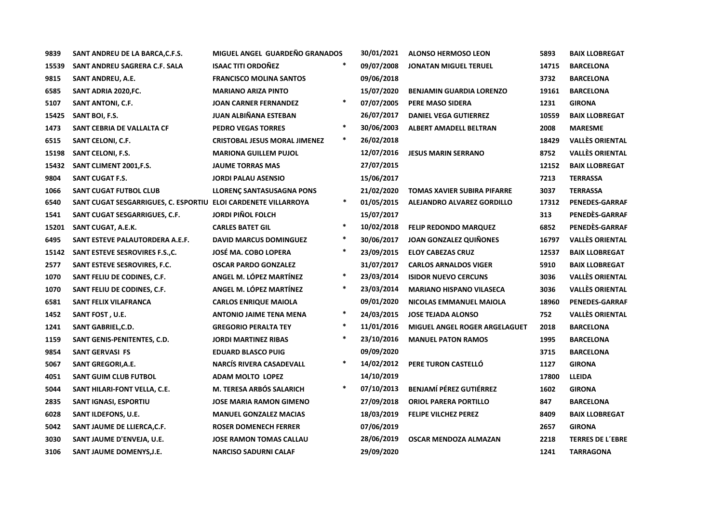| 9839  | SANT ANDREU DE LA BARCA, C.F.S.                                | MIGUEL ANGEL GUARDEÑO GRANADOS       |        | 30/01/2021 | <b>ALONSO HERMOSO LEON</b>         | 5893  | <b>BAIX LLOBREGAT</b>   |
|-------|----------------------------------------------------------------|--------------------------------------|--------|------------|------------------------------------|-------|-------------------------|
| 15539 | SANT ANDREU SAGRERA C.F. SALA                                  | <b>ISAAC TITI ORDOÑEZ</b>            | $\ast$ | 09/07/2008 | <b>JONATAN MIGUEL TERUEL</b>       | 14715 | <b>BARCELONA</b>        |
| 9815  | <b>SANT ANDREU, A.E.</b>                                       | <b>FRANCISCO MOLINA SANTOS</b>       |        | 09/06/2018 |                                    | 3732  | <b>BARCELONA</b>        |
| 6585  | SANT ADRIA 2020, FC.                                           | <b>MARIANO ARIZA PINTO</b>           |        | 15/07/2020 | <b>BENJAMIN GUARDIA LORENZO</b>    | 19161 | <b>BARCELONA</b>        |
| 5107  | SANT ANTONI, C.F.                                              | <b>JOAN CARNER FERNANDEZ</b>         | $\ast$ | 07/07/2005 | PERE MASO SIDERA                   | 1231  | <b>GIRONA</b>           |
| 15425 | SANT BOI, F.S.                                                 | JUAN ALBIÑANA ESTEBAN                |        | 26/07/2017 | <b>DANIEL VEGA GUTIERREZ</b>       | 10559 | <b>BAIX LLOBREGAT</b>   |
| 1473  | SANT CEBRIA DE VALLALTA CF                                     | <b>PEDRO VEGAS TORRES</b>            | $\ast$ | 30/06/2003 | <b>ALBERT AMADELL BELTRAN</b>      | 2008  | <b>MARESME</b>          |
| 6515  | SANT CELONI, C.F.                                              | <b>CRISTOBAL JESUS MORAL JIMENEZ</b> | $\ast$ | 26/02/2018 |                                    | 18429 | <b>VALLÈS ORIENTAL</b>  |
| 15198 | <b>SANT CELONI, F.S.</b>                                       | <b>MARIONA GUILLEM PUJOL</b>         |        | 12/07/2016 | <b>JESUS MARIN SERRANO</b>         | 8752  | <b>VALLÈS ORIENTAL</b>  |
| 15432 | SANT CLIMENT 2001, F.S.                                        | <b>JAUME TORRAS MAS</b>              |        | 27/07/2015 |                                    | 12152 | <b>BAIX LLOBREGAT</b>   |
| 9804  | SANT CUGAT F.S.                                                | <b>JORDI PALAU ASENSIO</b>           |        | 15/06/2017 |                                    | 7213  | <b>TERRASSA</b>         |
| 1066  | <b>SANT CUGAT FUTBOL CLUB</b>                                  | LLORENÇ SANTASUSAGNA PONS            |        | 21/02/2020 | <b>TOMAS XAVIER SUBIRA PIFARRE</b> | 3037  | <b>TERRASSA</b>         |
| 6540  | SANT CUGAT SESGARRIGUES, C. ESPORTIU ELOI CARDENETE VILLARROYA |                                      | ∗      | 01/05/2015 | ALEJANDRO ALVAREZ GORDILLO         | 17312 | <b>PENEDES-GARRAF</b>   |
| 1541  | SANT CUGAT SESGARRIGUES, C.F.                                  | <b>JORDI PIÑOL FOLCH</b>             |        | 15/07/2017 |                                    | 313   | PENEDÈS-GARRAF          |
| 15201 | SANT CUGAT, A.E.K.                                             | <b>CARLES BATET GIL</b>              | $\ast$ | 10/02/2018 | <b>FELIP REDONDO MARQUEZ</b>       | 6852  | PENEDÈS-GARRAF          |
| 6495  | SANT ESTEVE PALAUTORDERA A.E.F.                                | <b>DAVID MARCUS DOMINGUEZ</b>        | $\ast$ | 30/06/2017 | JOAN GONZALEZ QUIÑONES             | 16797 | <b>VALLÈS ORIENTAL</b>  |
| 15142 | SANT ESTEVE SESROVIRES F.S., C.                                | JOSÉ MA. COBO LOPERA                 | $\ast$ | 23/09/2015 | <b>ELOY CABEZAS CRUZ</b>           | 12537 | <b>BAIX LLOBREGAT</b>   |
| 2577  | SANT ESTEVE SESROVIRES, F.C.                                   | <b>OSCAR PARDO GONZALEZ</b>          |        | 31/07/2017 | <b>CARLOS ARNALDOS VIGER</b>       | 5910  | <b>BAIX LLOBREGAT</b>   |
| 1070  | SANT FELIU DE CODINES, C.F.                                    | ANGEL M. LÓPEZ MARTÍNEZ              | $\ast$ | 23/03/2014 | <b>ISIDOR NUEVO CERCUNS</b>        | 3036  | <b>VALLÈS ORIENTAL</b>  |
| 1070  | SANT FELIU DE CODINES, C.F.                                    | ANGEL M. LÓPEZ MARTÍNEZ              | *      | 23/03/2014 | <b>MARIANO HISPANO VILASECA</b>    | 3036  | <b>VALLÈS ORIENTAL</b>  |
| 6581  | SANT FELIX VILAFRANCA                                          | <b>CARLOS ENRIQUE MAIOLA</b>         |        | 09/01/2020 | NICOLAS EMMANUEL MAIOLA            | 18960 | PENEDES-GARRAF          |
| 1452  | SANT FOST, U.E.                                                | <b>ANTONIO JAIME TENA MENA</b>       | $\ast$ | 24/03/2015 | <b>JOSE TEJADA ALONSO</b>          | 752   | <b>VALLÈS ORIENTAL</b>  |
| 1241  | SANT GABRIEL, C.D.                                             | <b>GREGORIO PERALTA TEY</b>          | $\ast$ | 11/01/2016 | MIGUEL ANGEL ROGER ARGELAGUET      | 2018  | <b>BARCELONA</b>        |
| 1159  | SANT GENIS-PENITENTES, C.D.                                    | <b>JORDI MARTINEZ RIBAS</b>          | $\ast$ | 23/10/2016 | <b>MANUEL PATON RAMOS</b>          | 1995  | <b>BARCELONA</b>        |
| 9854  | <b>SANT GERVASI FS</b>                                         | <b>EDUARD BLASCO PUIG</b>            |        | 09/09/2020 |                                    | 3715  | <b>BARCELONA</b>        |
| 5067  | <b>SANT GREGORI, A.E.</b>                                      | <b>NARCÍS RIVERA CASADEVALL</b>      | $\ast$ | 14/02/2012 | PERE TURON CASTELLÓ                | 1127  | <b>GIRONA</b>           |
| 4051  | <b>SANT GUIM CLUB FUTBOL</b>                                   | <b>ADAM MOLTO LOPEZ</b>              |        | 14/10/2019 |                                    | 17800 | LLEIDA                  |
| 5044  | SANT HILARI-FONT VELLA, C.E.                                   | M. TERESA ARBÓS SALARICH             | $\ast$ | 07/10/2013 | <b>BENJAMÍ PÉREZ GUTIÉRREZ</b>     | 1602  | <b>GIRONA</b>           |
| 2835  | SANT IGNASI, ESPORTIU                                          | <b>JOSE MARIA RAMON GIMENO</b>       |        | 27/09/2018 | <b>ORIOL PARERA PORTILLO</b>       | 847   | <b>BARCELONA</b>        |
| 6028  | SANT ILDEFONS, U.E.                                            | <b>MANUEL GONZALEZ MACIAS</b>        |        | 18/03/2019 | <b>FELIPE VILCHEZ PEREZ</b>        | 8409  | <b>BAIX LLOBREGAT</b>   |
| 5042  | SANT JAUME DE LLIERCA, C.F.                                    | <b>ROSER DOMENECH FERRER</b>         |        | 07/06/2019 |                                    | 2657  | <b>GIRONA</b>           |
| 3030  | SANT JAUME D'ENVEJA, U.E.                                      | <b>JOSE RAMON TOMAS CALLAU</b>       |        | 28/06/2019 | <b>OSCAR MENDOZA ALMAZAN</b>       | 2218  | <b>TERRES DE L'EBRE</b> |
| 3106  | SANT JAUME DOMENYS.J.E.                                        | <b>NARCISO SADURNI CALAF</b>         |        | 29/09/2020 |                                    | 1241  | <b>TARRAGONA</b>        |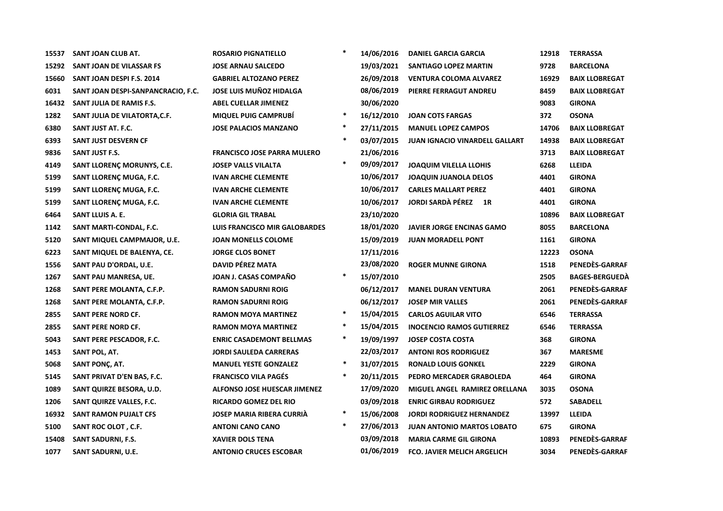| 15537 | SANT JOAN CLUB AT.                 | <b>ROSARIO PIGNATIELLO</b>          | $\star$ | 14/06/2016 | <b>DANIEL GARCIA GARCIA</b>           | 12918 | <b>TERRASSA</b>       |
|-------|------------------------------------|-------------------------------------|---------|------------|---------------------------------------|-------|-----------------------|
| 15292 | SANT JOAN DE VILASSAR FS           | <b>JOSE ARNAU SALCEDO</b>           |         | 19/03/2021 | SANTIAGO LOPEZ MARTIN                 | 9728  | <b>BARCELONA</b>      |
| 15660 | SANT JOAN DESPI F.S. 2014          | <b>GABRIEL ALTOZANO PEREZ</b>       |         | 26/09/2018 | <b>VENTURA COLOMA ALVAREZ</b>         | 16929 | <b>BAIX LLOBREGAT</b> |
| 6031  | SANT JOAN DESPI-SANPANCRACIO, F.C. | <b>JOSE LUIS MUÑOZ HIDALGA</b>      |         | 08/06/2019 | PIERRE FERRAGUT ANDREU                | 8459  | <b>BAIX LLOBREGAT</b> |
| 16432 | SANT JULIA DE RAMIS F.S.           | <b>ABEL CUELLAR JIMENEZ</b>         |         | 30/06/2020 |                                       | 9083  | <b>GIRONA</b>         |
| 1282  | SANT JULIA DE VILATORTA, C.F.      | <b>MIQUEL PUIG CAMPRUBI</b>         | $\ast$  | 16/12/2010 | <b>JOAN COTS FARGAS</b>               | 372   | <b>OSONA</b>          |
| 6380  | SANT JUST AT. F.C.                 | <b>JOSE PALACIOS MANZANO</b>        | $\ast$  | 27/11/2015 | <b>MANUEL LOPEZ CAMPOS</b>            | 14706 | <b>BAIX LLOBREGAT</b> |
| 6393  | SANT JUST DESVERN CF               |                                     | $\ast$  | 03/07/2015 | <b>JUAN IGNACIO VINARDELL GALLART</b> | 14938 | <b>BAIX LLOBREGAT</b> |
| 9836  | SANT JUST F.S.                     | <b>FRANCISCO JOSE PARRA MULERO</b>  |         | 21/06/2016 |                                       | 3713  | <b>BAIX LLOBREGAT</b> |
| 4149  | SANT LLORENÇ MORUNYS, C.E.         | <b>JOSEP VALLS VILALTA</b>          | $\ast$  | 09/09/2017 | <b>JOAQUIM VILELLA LLOHIS</b>         | 6268  | <b>LLEIDA</b>         |
| 5199  | SANT LLORENÇ MUGA, F.C.            | <b>IVAN ARCHE CLEMENTE</b>          |         | 10/06/2017 | <b>JOAQUIN JUANOLA DELOS</b>          | 4401  | <b>GIRONA</b>         |
| 5199  | SANT LLORENÇ MUGA, F.C.            | <b>IVAN ARCHE CLEMENTE</b>          |         | 10/06/2017 | <b>CARLES MALLART PEREZ</b>           | 4401  | <b>GIRONA</b>         |
| 5199  | SANT LLORENÇ MUGA, F.C.            | <b>IVAN ARCHE CLEMENTE</b>          |         | 10/06/2017 | JORDI SARDÀ PÉREZ 1R                  | 4401  | <b>GIRONA</b>         |
| 6464  | SANT LLUIS A. E.                   | <b>GLORIA GIL TRABAL</b>            |         | 23/10/2020 |                                       | 10896 | <b>BAIX LLOBREGAT</b> |
| 1142  | SANT MARTI-CONDAL, F.C.            | LUIS FRANCISCO MIR GALOBARDES       |         | 18/01/2020 | <b>JAVIER JORGE ENCINAS GAMO</b>      | 8055  | <b>BARCELONA</b>      |
| 5120  | SANT MIQUEL CAMPMAJOR, U.E.        | <b>JOAN MONELLS COLOME</b>          |         | 15/09/2019 | <b>JUAN MORADELL PONT</b>             | 1161  | <b>GIRONA</b>         |
| 6223  | SANT MIQUEL DE BALENYA, CE.        | <b>JORGE CLOS BONET</b>             |         | 17/11/2016 |                                       | 12223 | <b>OSONA</b>          |
| 1556  | SANT PAU D'ORDAL, U.E.             | <b>DAVID PÉREZ MATA</b>             |         | 23/08/2020 | <b>ROGER MUNNE GIRONA</b>             | 1518  | PENEDÈS-GARRAF        |
| 1267  | SANT PAU MANRESA, UE.              | JOAN J. CASAS COMPAÑO               | $\ast$  | 15/07/2010 |                                       | 2505  | <b>BAGES-BERGUEDA</b> |
| 1268  | SANT PERE MOLANTA, C.F.P.          | <b>RAMON SADURNI ROIG</b>           |         | 06/12/2017 | <b>MANEL DURAN VENTURA</b>            | 2061  | PENEDÈS-GARRAF        |
| 1268  | SANT PERE MOLANTA, C.F.P.          | <b>RAMON SADURNI ROIG</b>           |         | 06/12/2017 | <b>JOSEP MIR VALLES</b>               | 2061  | PENEDES-GARRAF        |
| 2855  | <b>SANT PERE NORD CF.</b>          | <b>RAMON MOYA MARTINEZ</b>          | $\ast$  | 15/04/2015 | <b>CARLOS AGUILAR VITO</b>            | 6546  | <b>TERRASSA</b>       |
| 2855  | SANT PERE NORD CF.                 | <b>RAMON MOYA MARTINEZ</b>          | $\ast$  | 15/04/2015 | <b>INOCENCIO RAMOS GUTIERREZ</b>      | 6546  | <b>TERRASSA</b>       |
| 5043  | SANT PERE PESCADOR, F.C.           | <b>ENRIC CASADEMONT BELLMAS</b>     | $\ast$  | 19/09/1997 | <b>JOSEP COSTA COSTA</b>              | 368   | <b>GIRONA</b>         |
| 1453  | SANT POL, AT.                      | <b>JORDI SAULEDA CARRERAS</b>       |         | 22/03/2017 | <b>ANTONI ROS RODRIGUEZ</b>           | 367   | <b>MARESME</b>        |
| 5068  | SANT PONÇ, AT.                     | <b>MANUEL YESTE GONZALEZ</b>        | $\ast$  | 31/07/2015 | <b>RONALD LOUIS GONKEL</b>            | 2229  | <b>GIRONA</b>         |
| 5145  | SANT PRIVAT D'EN BAS, F.C.         | <b>FRANCISCO VILA PAGÉS</b>         | $\ast$  | 20/11/2015 | PEDRO MERCADER GRABOLEDA              | 464   | <b>GIRONA</b>         |
| 1089  | SANT QUIRZE BESORA, U.D.           | <b>ALFONSO JOSE HUESCAR JIMENEZ</b> |         | 17/09/2020 | MIGUEL ANGEL RAMIREZ ORELLANA         | 3035  | <b>OSONA</b>          |
| 1206  | SANT QUIRZE VALLES, F.C.           | <b>RICARDO GOMEZ DEL RIO</b>        |         | 03/09/2018 | <b>ENRIC GIRBAU RODRIGUEZ</b>         | 572   | <b>SABADELL</b>       |
| 16932 | <b>SANT RAMON PUJALT CFS</b>       | <b>JOSEP MARIA RIBERA CURRIA</b>    | $\ast$  | 15/06/2008 | <b>JORDI RODRIGUEZ HERNANDEZ</b>      | 13997 | <b>LLEIDA</b>         |
| 5100  | SANT ROC OLOT, C.F.                | <b>ANTONI CANO CANO</b>             | $\ast$  | 27/06/2013 | <b>JUAN ANTONIO MARTOS LOBATO</b>     | 675   | <b>GIRONA</b>         |
| 15408 | <b>SANT SADURNI, F.S.</b>          | <b>XAVIER DOLS TENA</b>             |         | 03/09/2018 | <b>MARIA CARME GIL GIRONA</b>         | 10893 | PENEDÈS-GARRAF        |
| 1077  | SANT SADURNI, U.E.                 | <b>ANTONIO CRUCES ESCOBAR</b>       |         | 01/06/2019 | <b>FCO. JAVIER MELICH ARGELICH</b>    | 3034  | PENEDÈS-GARRAF        |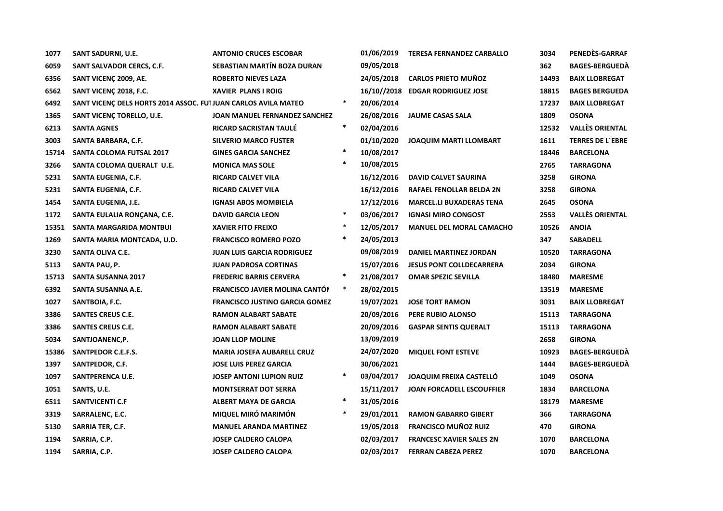| 1077  | SANT SADURNI, U.E.                                             | <b>ANTONIO CRUCES ESCOBAR</b>         |        | 01/06/2019 | <b>TERESA FERNANDEZ CARBALLO</b> | 3034  | PENEDÈS-GARRAF          |
|-------|----------------------------------------------------------------|---------------------------------------|--------|------------|----------------------------------|-------|-------------------------|
| 6059  | SANT SALVADOR CERCS, C.F.                                      | SEBASTIAN MARTÍN BOZA DURAN           |        | 09/05/2018 |                                  | 362   | <b>BAGES-BERGUEDÀ</b>   |
| 6356  | SANT VICENÇ 2009, AE.                                          | <b>ROBERTO NIEVES LAZA</b>            |        | 24/05/2018 | <b>CARLOS PRIETO MUÑOZ</b>       | 14493 | <b>BAIX LLOBREGAT</b>   |
| 6562  | SANT VICENÇ 2018, F.C.                                         | <b>XAVIER PLANS I ROIG</b>            |        |            | 16/10//2018 EDGAR RODRIGUEZ JOSE | 18815 | <b>BAGES BERGUEDA</b>   |
| 6492  | SANT VICENÇ DELS HORTS 2014 ASSOC. FUI JUAN CARLOS AVILA MATEO |                                       | $\ast$ | 20/06/2014 |                                  | 17237 | <b>BAIX LLOBREGAT</b>   |
| 1365  | SANT VICENÇ TORELLO, U.E.                                      | JOAN MANUEL FERNANDEZ SANCHEZ         |        | 26/08/2016 | <b>JAUME CASAS SALA</b>          | 1809  | <b>OSONA</b>            |
| 6213  | <b>SANTA AGNES</b>                                             | <b>RICARD SACRISTAN TAULÉ</b>         | $\ast$ | 02/04/2016 |                                  | 12532 | <b>VALLÈS ORIENTAL</b>  |
| 3003  | SANTA BARBARA, C.F.                                            | <b>SILVERIO MARCO FUSTER</b>          |        | 01/10/2020 | <b>JOAQUIM MARTI LLOMBART</b>    | 1611  | <b>TERRES DE L'EBRE</b> |
| 15714 | SANTA COLOMA FUTSAL 2017                                       | <b>GINES GARCIA SANCHEZ</b>           | $\ast$ | 10/08/2017 |                                  | 18446 | <b>BARCELONA</b>        |
| 3266  | SANTA COLOMA QUERALT U.E.                                      | <b>MONICA MAS SOLE</b>                | $\ast$ | 10/08/2015 |                                  | 2765  | <b>TARRAGONA</b>        |
| 5231  | SANTA EUGENIA, C.F.                                            | <b>RICARD CALVET VILA</b>             |        | 16/12/2016 | <b>DAVID CALVET SAURINA</b>      | 3258  | <b>GIRONA</b>           |
| 5231  | SANTA EUGENIA, C.F.                                            | <b>RICARD CALVET VILA</b>             |        | 16/12/2016 | RAFAEL FENOLLAR BELDA 2N         | 3258  | <b>GIRONA</b>           |
| 1454  | SANTA EUGENIA, J.E.                                            | <b>IGNASI ABOS MOMBIELA</b>           |        | 17/12/2016 | <b>MARCEL.LI BUXADERAS TENA</b>  | 2645  | <b>OSONA</b>            |
| 1172  | SANTA EULALIA RONÇANA, C.E.                                    | <b>DAVID GARCIA LEON</b>              | $\ast$ | 03/06/2017 | <b>IGNASI MIRO CONGOST</b>       | 2553  | <b>VALLÈS ORIENTAL</b>  |
| 15351 | SANTA MARGARIDA MONTBUI                                        | <b>XAVIER FITO FREIXO</b>             | $\ast$ | 12/05/2017 | <b>MANUEL DEL MORAL CAMACHO</b>  | 10526 | <b>ANOIA</b>            |
| 1269  | SANTA MARIA MONTCADA, U.D.                                     | <b>FRANCISCO ROMERO POZO</b>          | $\ast$ | 24/05/2013 |                                  | 347   | <b>SABADELL</b>         |
| 3230  | SANTA OLIVA C.E.                                               | <b>JUAN LUIS GARCIA RODRIGUEZ</b>     |        | 09/08/2019 | <b>DANIEL MARTINEZ JORDAN</b>    | 10520 | <b>TARRAGONA</b>        |
| 5113  | SANTA PAU, P.                                                  | <b>JUAN PADROSA CORTINAS</b>          |        | 15/07/2016 | <b>JESUS PONT COLLDECARRERA</b>  | 2034  | <b>GIRONA</b>           |
| 15713 | <b>SANTA SUSANNA 2017</b>                                      | <b>FREDERIC BARRIS CERVERA</b>        | $\ast$ | 21/08/2017 | <b>OMAR SPEZIC SEVILLA</b>       | 18480 | <b>MARESME</b>          |
| 6392  | SANTA SUSANNA A.E.                                             | FRANCISCO JAVIER MOLINA CANTÓN        | $\ast$ | 28/02/2015 |                                  | 13519 | <b>MARESME</b>          |
| 1027  | SANTBOIA, F.C.                                                 | <b>FRANCISCO JUSTINO GARCIA GOMEZ</b> |        | 19/07/2021 | <b>JOSE TORT RAMON</b>           | 3031  | <b>BAIX LLOBREGAT</b>   |
| 3386  | <b>SANTES CREUS C.E.</b>                                       | <b>RAMON ALABART SABATE</b>           |        | 20/09/2016 | PERE RUBIO ALONSO                | 15113 | <b>TARRAGONA</b>        |
| 3386  | <b>SANTES CREUS C.E.</b>                                       | <b>RAMON ALABART SABATE</b>           |        | 20/09/2016 | <b>GASPAR SENTIS QUERALT</b>     | 15113 | <b>TARRAGONA</b>        |
| 5034  | SANTJOANENC,P.                                                 | <b>JOAN LLOP MOLINE</b>               |        | 13/09/2019 |                                  | 2658  | <b>GIRONA</b>           |
| 15386 | SANTPEDOR C.E.F.S.                                             | <b>MARIA JOSEFA AUBARELL CRUZ</b>     |        | 24/07/2020 | <b>MIQUEL FONT ESTEVE</b>        | 10923 | <b>BAGES-BERGUEDA</b>   |
| 1397  | SANTPEDOR, C.F.                                                | <b>JOSE LUIS PEREZ GARCIA</b>         |        | 30/06/2021 |                                  | 1444  | <b>BAGES-BERGUEDA</b>   |
| 1097  | SANTPERENCA U.E.                                               | <b>JOSEP ANTONI LUPION RUIZ</b>       | $\ast$ | 03/04/2017 | JOAQUIM FREIXA CASTELLÓ          | 1049  | <b>OSONA</b>            |
| 1051  | SANTS, U.E.                                                    | <b>MONTSERRAT DOT SERRA</b>           |        | 15/11/2017 | <b>JOAN FORCADELL ESCOUFFIER</b> | 1834  | <b>BARCELONA</b>        |
| 6511  | <b>SANTVICENTI C.F</b>                                         | <b>ALBERT MAYA DE GARCIA</b>          | $\ast$ | 31/05/2016 |                                  | 18179 | <b>MARESME</b>          |
| 3319  | SARRALENC, E.C.                                                | MIQUEL MIRÓ MARIMÓN                   | $\ast$ | 29/01/2011 | <b>RAMON GABARRO GIBERT</b>      | 366   | <b>TARRAGONA</b>        |
| 5130  | SARRIA TER, C.F.                                               | <b>MANUEL ARANDA MARTINEZ</b>         |        | 19/05/2018 | <b>FRANCISCO MUÑOZ RUIZ</b>      | 470   | <b>GIRONA</b>           |
| 1194  | SARRIA, C.P.                                                   | <b>JOSEP CALDERO CALOPA</b>           |        | 02/03/2017 | <b>FRANCESC XAVIER SALES 2N</b>  | 1070  | <b>BARCELONA</b>        |
| 1194  | SARRIA, C.P.                                                   | <b>JOSEP CALDERO CALOPA</b>           |        | 02/03/2017 | <b>FERRAN CABEZA PEREZ</b>       | 1070  | <b>BARCELONA</b>        |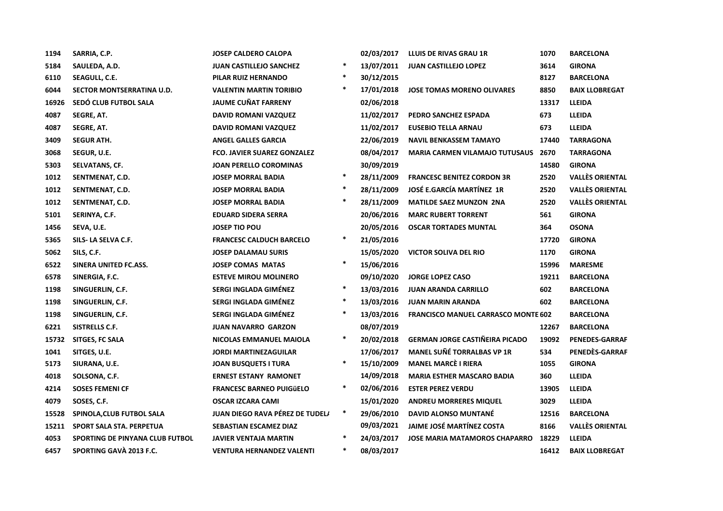| 1194  | SARRIA, C.P.                    | <b>JOSEP CALDERO CALOPA</b>        |        | 02/03/2017 | LLUIS DE RIVAS GRAU 1R                     | 1070  | <b>BARCELONA</b>       |
|-------|---------------------------------|------------------------------------|--------|------------|--------------------------------------------|-------|------------------------|
| 5184  | SAULEDA, A.D.                   | <b>JUAN CASTILLEJO SANCHEZ</b>     | $\ast$ | 13/07/2011 | <b>JUAN CASTILLEJO LOPEZ</b>               | 3614  | <b>GIRONA</b>          |
| 6110  | SEAGULL, C.E.                   | PILAR RUIZ HERNANDO                | $\ast$ | 30/12/2015 |                                            | 8127  | <b>BARCELONA</b>       |
| 6044  | SECTOR MONTSERRATINA U.D.       | <b>VALENTIN MARTIN TORIBIO</b>     | $\ast$ | 17/01/2018 | <b>JOSE TOMAS MORENO OLIVARES</b>          | 8850  | <b>BAIX LLOBREGAT</b>  |
| 16926 | SEDÓ CLUB FUTBOL SALA           | <b>JAUME CUÑAT FARRENY</b>         |        | 02/06/2018 |                                            | 13317 | <b>LLEIDA</b>          |
| 4087  | SEGRE, AT.                      | <b>DAVID ROMANI VAZQUEZ</b>        |        | 11/02/2017 | PEDRO SANCHEZ ESPADA                       | 673   | LLEIDA                 |
| 4087  | SEGRE, AT.                      | <b>DAVID ROMANI VAZQUEZ</b>        |        | 11/02/2017 | <b>EUSEBIO TELLA ARNAU</b>                 | 673   | <b>LLEIDA</b>          |
| 3409  | <b>SEGUR ATH.</b>               | <b>ANGEL GALLES GARCIA</b>         |        | 22/06/2019 | <b>NAVIL BENKASSEM TAMAYO</b>              | 17440 | <b>TARRAGONA</b>       |
| 3068  | SEGUR, U.E.                     | <b>FCO. JAVIER SUAREZ GONZALEZ</b> |        | 08/04/2017 | <b>MARIA CARMEN VILAMAJO TUTUSAUS 2670</b> |       | <b>TARRAGONA</b>       |
| 5303  | SELVATANS, CF.                  | <b>JOAN PERELLO COROMINAS</b>      |        | 30/09/2019 |                                            | 14580 | <b>GIRONA</b>          |
| 1012  | SENTMENAT, C.D.                 | <b>JOSEP MORRAL BADIA</b>          | $\ast$ | 28/11/2009 | <b>FRANCESC BENITEZ CORDON 3R</b>          | 2520  | <b>VALLÈS ORIENTAL</b> |
| 1012  | SENTMENAT, C.D.                 | <b>JOSEP MORRAL BADIA</b>          | $\ast$ | 28/11/2009 | JOSÉ E.GARCÍA MARTÍNEZ 1R                  | 2520  | <b>VALLÈS ORIENTAL</b> |
| 1012  | SENTMENAT, C.D.                 | <b>JOSEP MORRAL BADIA</b>          | $\ast$ | 28/11/2009 | <b>MATILDE SAEZ MUNZON 2NA</b>             | 2520  | <b>VALLÈS ORIENTAL</b> |
| 5101  | SERINYA, C.F.                   | <b>EDUARD SIDERA SERRA</b>         |        | 20/06/2016 | <b>MARC RUBERT TORRENT</b>                 | 561   | <b>GIRONA</b>          |
| 1456  | SEVA, U.E.                      | <b>JOSEP TIO POU</b>               |        | 20/05/2016 | <b>OSCAR TORTADES MUNTAL</b>               | 364   | <b>OSONA</b>           |
| 5365  | SILS- LA SELVA C.F.             | <b>FRANCESC CALDUCH BARCELO</b>    | $\ast$ | 21/05/2016 |                                            | 17720 | <b>GIRONA</b>          |
| 5062  | SILS, C.F.                      | <b>JOSEP DALAMAU SURIS</b>         |        | 15/05/2020 | <b>VICTOR SOLIVA DEL RIO</b>               | 1170  | <b>GIRONA</b>          |
| 6522  | SINERA UNITED FC.ASS.           | <b>JOSEP COMAS MATAS</b>           | $\ast$ | 15/06/2016 |                                            | 15996 | <b>MARESME</b>         |
| 6578  | SINERGIA, F.C.                  | <b>ESTEVE MIROU MOLINERO</b>       |        | 09/10/2020 | <b>JORGE LOPEZ CASO</b>                    | 19211 | <b>BARCELONA</b>       |
| 1198  | SINGUERLIN, C.F.                | SERGI INGLADA GIMÉNEZ              | $\ast$ | 13/03/2016 | <b>JUAN ARANDA CARRILLO</b>                | 602   | <b>BARCELONA</b>       |
| 1198  | SINGUERLIN, C.F.                | SERGI INGLADA GIMÉNEZ              | $\ast$ | 13/03/2016 | <b>JUAN MARIN ARANDA</b>                   | 602   | <b>BARCELONA</b>       |
| 1198  | SINGUERLIN, C.F.                | SERGI INGLADA GIMÉNEZ              | $\ast$ | 13/03/2016 | <b>FRANCISCO MANUEL CARRASCO MONTE 602</b> |       | <b>BARCELONA</b>       |
| 6221  | SISTRELLS C.F.                  | <b>JUAN NAVARRO GARZON</b>         |        | 08/07/2019 |                                            | 12267 | <b>BARCELONA</b>       |
| 15732 | <b>SITGES, FC SALA</b>          | NICOLAS EMMANUEL MAIOLA            | $\ast$ | 20/02/2018 | <b>GERMAN JORGE CASTIÑEIRA PICADO</b>      | 19092 | <b>PENEDES-GARRAF</b>  |
| 1041  | SITGES, U.E.                    | <b>JORDI MARTINEZAGUILAR</b>       |        | 17/06/2017 | <b>MANEL SUÑÉ TORRALBAS VP 1R</b>          | 534   | PENEDÈS-GARRAF         |
| 5173  | SIURANA, U.E.                   | <b>JOAN BUSQUETS I TURA</b>        | $\ast$ | 15/10/2009 | <b>MANEL MARCÈ I RIERA</b>                 | 1055  | <b>GIRONA</b>          |
| 4018  | SOLSONA, C.F.                   | <b>ERNEST ESTANY RAMONET</b>       |        | 14/09/2018 | <b>MARIA ESTHER MASCARO BADIA</b>          | 360   | <b>LLEIDA</b>          |
| 4214  | <b>SOSES FEMENI CF</b>          | <b>FRANCESC BARNEO PUIGÜELO</b>    | $\ast$ | 02/06/2016 | <b>ESTER PEREZ VERDU</b>                   | 13905 | <b>LLEIDA</b>          |
| 4079  | SOSES, C.F.                     | <b>OSCAR IZCARA CAMI</b>           |        | 15/01/2020 | <b>ANDREU MORRERES MIQUEL</b>              | 3029  | <b>LLEIDA</b>          |
| 15528 | SPINOLA, CLUB FUTBOL SALA       | JUAN DIEGO RAVA PÉREZ DE TUDELI    | $\ast$ | 29/06/2010 | DAVID ALONSO MUNTANÉ                       | 12516 | <b>BARCELONA</b>       |
| 15211 | <b>SPORT SALA STA. PERPETUA</b> | SEBASTIAN ESCAMEZ DIAZ             |        | 09/03/2021 | JAIME JOSÉ MARTÍNEZ COSTA                  | 8166  | <b>VALLÈS ORIENTAL</b> |
| 4053  | SPORTING DE PINYANA CLUB FUTBOL | <b>JAVIER VENTAJA MARTIN</b>       | $\ast$ | 24/03/2017 | <b>JOSE MARIA MATAMOROS CHAPARRO</b>       | 18229 | <b>LLEIDA</b>          |
| 6457  | SPORTING GAVÀ 2013 F.C.         | <b>VENTURA HERNANDEZ VALENTI</b>   | $\ast$ | 08/03/2017 |                                            | 16412 | <b>BAIX LLOBREGAT</b>  |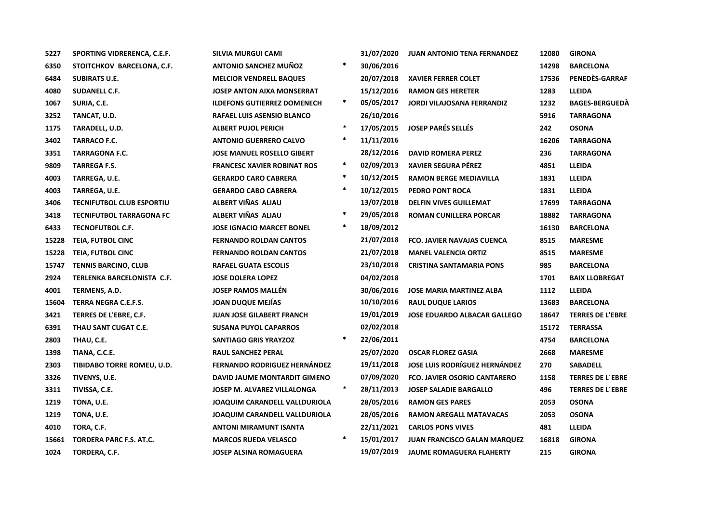| 5227  | SPORTING VIDRERENCA, C.E.F.      | SILVIA MURGUI CAMI                   |        | 31/07/2020 | <b>JUAN ANTONIO TENA FERNANDEZ</b>   | 12080 | <b>GIRONA</b>           |
|-------|----------------------------------|--------------------------------------|--------|------------|--------------------------------------|-------|-------------------------|
| 6350  | STOITCHKOV BARCELONA, C.F.       | <b>ANTONIO SANCHEZ MUÑOZ</b>         | $\ast$ | 30/06/2016 |                                      | 14298 | <b>BARCELONA</b>        |
| 6484  | <b>SUBIRATS U.E.</b>             | <b>MELCIOR VENDRELL BAQUES</b>       |        | 20/07/2018 | <b>XAVIER FERRER COLET</b>           | 17536 | PENEDÈS-GARRAF          |
| 4080  | SUDANELL C.F.                    | <b>JOSEP ANTON AIXA MONSERRAT</b>    |        | 15/12/2016 | <b>RAMON GES HERETER</b>             | 1283  | <b>LLEIDA</b>           |
| 1067  | SURIA, C.E.                      | <b>ILDEFONS GUTIERREZ DOMENECH</b>   | $\ast$ | 05/05/2017 | <b>JORDI VILAJOSANA FERRANDIZ</b>    | 1232  | <b>BAGES-BERGUEDA</b>   |
| 3252  | TANCAT, U.D.                     | RAFAEL LUIS ASENSIO BLANCO           |        | 26/10/2016 |                                      | 5916  | <b>TARRAGONA</b>        |
| 1175  | TARADELL, U.D.                   | <b>ALBERT PUJOL PERICH</b>           | $\ast$ | 17/05/2015 | <b>JOSEP PARÉS SELLÉS</b>            | 242   | <b>OSONA</b>            |
| 3402  | <b>TARRACO F.C.</b>              | <b>ANTONIO GUERRERO CALVO</b>        | $\ast$ | 11/11/2016 |                                      | 16206 | <b>TARRAGONA</b>        |
| 3351  | <b>TARRAGONA F.C.</b>            | <b>JOSE MANUEL ROSELLO GIBERT</b>    |        | 28/12/2016 | <b>DAVID ROMERA PEREZ</b>            | 236   | <b>TARRAGONA</b>        |
| 9809  | <b>TARREGA F.S.</b>              | <b>FRANCESC XAVIER ROBINAT ROS</b>   | $\ast$ | 02/09/2013 | <b>XAVIER SEGURA PÉREZ</b>           | 4851  | <b>LLEIDA</b>           |
| 4003  | TARREGA, U.E.                    | <b>GERARDO CARO CABRERA</b>          | $\ast$ | 10/12/2015 | <b>RAMON BERGE MEDIAVILLA</b>        | 1831  | <b>LLEIDA</b>           |
| 4003  | TARREGA, U.E.                    | <b>GERARDO CABO CABRERA</b>          | $\ast$ | 10/12/2015 | PEDRO PONT ROCA                      | 1831  | LLEIDA                  |
| 3406  | <b>TECNIFUTBOL CLUB ESPORTIU</b> | ALBERT VIÑAS ALIAU                   |        | 13/07/2018 | <b>DELFIN VIVES GUILLEMAT</b>        | 17699 | <b>TARRAGONA</b>        |
| 3418  | <b>TECNIFUTBOL TARRAGONA FC</b>  | ALBERT VIÑAS ALIAU                   | $\ast$ | 29/05/2018 | <b>ROMAN CUNILLERA PORCAR</b>        | 18882 | <b>TARRAGONA</b>        |
| 6433  | TECNOFUTBOL C.F.                 | <b>JOSE IGNACIO MARCET BONEL</b>     | $\ast$ | 18/09/2012 |                                      | 16130 | <b>BARCELONA</b>        |
| 15228 | TEIA, FUTBOL CINC                | <b>FERNANDO ROLDAN CANTOS</b>        |        | 21/07/2018 | FCO. JAVIER NAVAJAS CUENCA           | 8515  | <b>MARESME</b>          |
| 15228 | <b>TEIA, FUTBOL CINC</b>         | <b>FERNANDO ROLDAN CANTOS</b>        |        | 21/07/2018 | <b>MANEL VALENCIA ORTIZ</b>          | 8515  | <b>MARESME</b>          |
| 15747 | <b>TENNIS BARCINO, CLUB</b>      | <b>RAFAEL GUATA ESCOLIS</b>          |        | 23/10/2018 | <b>CRISTINA SANTAMARIA PONS</b>      | 985   | <b>BARCELONA</b>        |
| 2924  | TERLENKA BARCELONISTA C.F.       | <b>JOSE DOLERA LOPEZ</b>             |        | 04/02/2018 |                                      | 1701  | <b>BAIX LLOBREGAT</b>   |
| 4001  | TERMENS, A.D.                    | <b>JOSEP RAMOS MALLEN</b>            |        | 30/06/2016 | <b>JOSE MARIA MARTINEZ ALBA</b>      | 1112  | LLEIDA                  |
| 15604 | TERRA NEGRA C.E.F.S.             | <b>JOAN DUQUE MEJÍAS</b>             |        | 10/10/2016 | <b>RAUL DUQUE LARIOS</b>             | 13683 | <b>BARCELONA</b>        |
| 3421  | TERRES DE L'EBRE, C.F.           | <b>JUAN JOSE GILABERT FRANCH</b>     |        | 19/01/2019 | <b>JOSE EDUARDO ALBACAR GALLEGO</b>  | 18647 | <b>TERRES DE L'EBRE</b> |
| 6391  | THAU SANT CUGAT C.E.             | <b>SUSANA PUYOL CAPARROS</b>         |        | 02/02/2018 |                                      | 15172 | <b>TERRASSA</b>         |
| 2803  | THAU, C.E.                       | <b>SANTIAGO GRIS YRAYZOZ</b>         | $\ast$ | 22/06/2011 |                                      | 4754  | <b>BARCELONA</b>        |
| 1398  | TIANA, C.C.E.                    | <b>RAUL SANCHEZ PERAL</b>            |        | 25/07/2020 | <b>OSCAR FLOREZ GASIA</b>            | 2668  | <b>MARESME</b>          |
| 2303  | TIBIDABO TORRE ROMEU, U.D.       | <b>FERNANDO RODRIGUEZ HERNÁNDEZ</b>  |        | 19/11/2018 | <b>JOSE LUIS RODRÍGUEZ HERNÁNDEZ</b> | 270   | <b>SABADELL</b>         |
| 3326  | TIVENYS, U.E.                    | DAVID JAUME MONTARDIT GIMENO         |        | 07/09/2020 | <b>FCO. JAVIER OSORIO CANTARERO</b>  | 1158  | <b>TERRES DE L'EBRE</b> |
| 3311  | TIVISSA, C.E.                    | JOSEP M. ALVAREZ VILLALONGA          | $\ast$ | 28/11/2013 | <b>JOSEP SALADIE BARGALLO</b>        | 496   | <b>TERRES DE L'EBRE</b> |
| 1219  | TONA, U.E.                       | <b>JOAQUIM CARANDELL VALLDURIOLA</b> |        | 28/05/2016 | <b>RAMON GES PARES</b>               | 2053  | <b>OSONA</b>            |
| 1219  | TONA, U.E.                       | <b>JOAQUIM CARANDELL VALLDURIOLA</b> |        | 28/05/2016 | <b>RAMON AREGALL MATAVACAS</b>       | 2053  | <b>OSONA</b>            |
| 4010  | TORA, C.F.                       | <b>ANTONI MIRAMUNT ISANTA</b>        |        | 22/11/2021 | <b>CARLOS PONS VIVES</b>             | 481   | LLEIDA                  |
| 15661 | <b>TORDERA PARC F.S. AT.C.</b>   | <b>MARCOS RUEDA VELASCO</b>          | $\ast$ | 15/01/2017 | <b>JUAN FRANCISCO GALAN MARQUEZ</b>  | 16818 | <b>GIRONA</b>           |
| 1024  | TORDERA, C.F.                    | <b>JOSEP ALSINA ROMAGUERA</b>        |        | 19/07/2019 | <b>JAUME ROMAGUERA FLAHERTY</b>      | 215   | <b>GIRONA</b>           |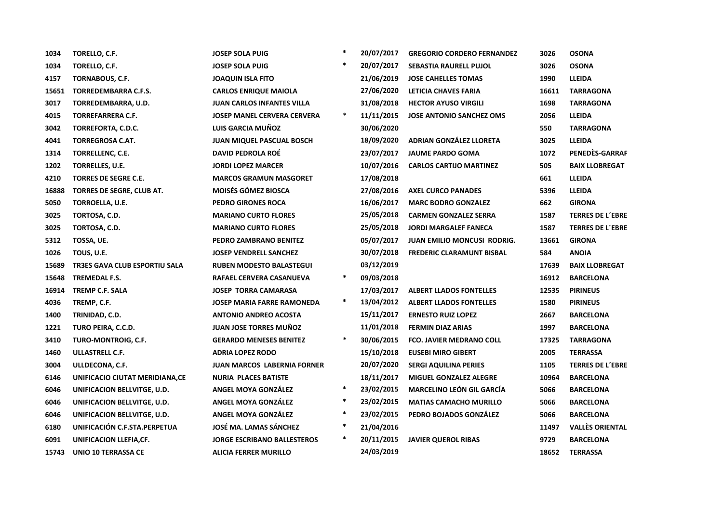| 1034  | TORELLO, C.F.                        | <b>JOSEP SOLA PUIG</b>             | $\ast$ | 20/07/2017 | <b>GREGORIO CORDERO FERNANDEZ</b>  | 3026  | <b>OSONA</b>            |
|-------|--------------------------------------|------------------------------------|--------|------------|------------------------------------|-------|-------------------------|
| 1034  | TORELLO, C.F.                        | <b>JOSEP SOLA PUIG</b>             | $\ast$ | 20/07/2017 | SEBASTIA RAURELL PUJOL             | 3026  | <b>OSONA</b>            |
| 4157  | TORNABOUS, C.F.                      | <b>JOAQUIN ISLA FITO</b>           |        | 21/06/2019 | <b>JOSE CAHELLES TOMAS</b>         | 1990  | LLEIDA                  |
| 15651 | TORREDEMBARRA C.F.S.                 | <b>CARLOS ENRIQUE MAIOLA</b>       |        | 27/06/2020 | LETICIA CHAVES FARIA               | 16611 | <b>TARRAGONA</b>        |
| 3017  | TORREDEMBARRA, U.D.                  | <b>JUAN CARLOS INFANTES VILLA</b>  |        | 31/08/2018 | <b>HECTOR AYUSO VIRGILI</b>        | 1698  | <b>TARRAGONA</b>        |
| 4015  | <b>TORREFARRERA C.F.</b>             | <b>JOSEP MANEL CERVERA CERVERA</b> | *      | 11/11/2015 | <b>JOSE ANTONIO SANCHEZ OMS</b>    | 2056  | <b>LLEIDA</b>           |
| 3042  | TORREFORTA, C.D.C.                   | LUIS GARCIA MUÑOZ                  |        | 30/06/2020 |                                    | 550   | <b>TARRAGONA</b>        |
| 4041  | <b>TORREGROSA C.AT.</b>              | <b>JUAN MIQUEL PASCUAL BOSCH</b>   |        | 18/09/2020 | ADRIAN GONZÁLEZ LLORETA            | 3025  | <b>LLEIDA</b>           |
| 1314  | TORRELLENC, C.E.                     | <b>DAVID PEDROLA ROÉ</b>           |        | 23/07/2017 | <b>JAUME PARDO GOMA</b>            | 1072  | PENEDÈS-GARRAF          |
| 1202  | TORRELLES, U.E.                      | <b>JORDI LOPEZ MARCER</b>          |        | 10/07/2016 | <b>CARLOS CARTIJO MARTINEZ</b>     | 505   | <b>BAIX LLOBREGAT</b>   |
| 4210  | TORRES DE SEGRE C.E.                 | <b>MARCOS GRAMUN MASGORET</b>      |        | 17/08/2018 |                                    | 661   | <b>LLEIDA</b>           |
| 16888 | TORRES DE SEGRE, CLUB AT.            | <b>MOISÉS GÓMEZ BIOSCA</b>         |        | 27/08/2016 | <b>AXEL CURCO PANADES</b>          | 5396  | <b>LLEIDA</b>           |
| 5050  | TORROELLA, U.E.                      | PEDRO GIRONES ROCA                 |        | 16/06/2017 | <b>MARC BODRO GONZALEZ</b>         | 662   | <b>GIRONA</b>           |
| 3025  | TORTOSA, C.D.                        | <b>MARIANO CURTO FLORES</b>        |        | 25/05/2018 | <b>CARMEN GONZALEZ SERRA</b>       | 1587  | <b>TERRES DE L'EBRE</b> |
| 3025  | TORTOSA, C.D.                        | <b>MARIANO CURTO FLORES</b>        |        | 25/05/2018 | <b>JORDI MARGALEF FANECA</b>       | 1587  | <b>TERRES DE L'EBRE</b> |
| 5312  | TOSSA, UE.                           | PEDRO ZAMBRANO BENITEZ             |        | 05/07/2017 | <b>JUAN EMILIO MONCUSI RODRIG.</b> | 13661 | <b>GIRONA</b>           |
| 1026  | TOUS, U.E.                           | <b>JOSEP VENDRELL SANCHEZ</b>      |        | 30/07/2018 | <b>FREDERIC CLARAMUNT BISBAL</b>   | 584   | <b>ANOIA</b>            |
| 15689 | <b>TR3ES GAVA CLUB ESPORTIU SALA</b> | <b>RUBEN MODESTO BALASTEGUI</b>    |        | 03/12/2019 |                                    | 17639 | <b>BAIX LLOBREGAT</b>   |
| 15648 | TREMEDAL F.S.                        | RAFAEL CERVERA CASANUEVA           | $\ast$ | 09/03/2018 |                                    | 16912 | <b>BARCELONA</b>        |
| 16914 | <b>TREMP C.F. SALA</b>               | <b>JOSEP TORRA CAMARASA</b>        |        | 17/03/2017 | <b>ALBERT LLADOS FONTELLES</b>     | 12535 | <b>PIRINEUS</b>         |
| 4036  | TREMP, C.F.                          | <b>JOSEP MARIA FARRE RAMONEDA</b>  | $\ast$ | 13/04/2012 | <b>ALBERT LLADOS FONTELLES</b>     | 1580  | <b>PIRINEUS</b>         |
| 1400  | TRINIDAD, C.D.                       | <b>ANTONIO ANDREO ACOSTA</b>       |        | 15/11/2017 | <b>ERNESTO RUIZ LOPEZ</b>          | 2667  | <b>BARCELONA</b>        |
| 1221  | TURO PEIRA, C.C.D.                   | <b>JUAN JOSE TORRES MUNOZ</b>      |        | 11/01/2018 | <b>FERMIN DIAZ ARIAS</b>           | 1997  | <b>BARCELONA</b>        |
| 3410  | TURO-MONTROIG, C.F.                  | <b>GERARDO MENESES BENITEZ</b>     | $\ast$ | 30/06/2015 | <b>FCO. JAVIER MEDRANO COLL</b>    | 17325 | <b>TARRAGONA</b>        |
| 1460  | ULLASTRELL C.F.                      | <b>ADRIA LOPEZ RODO</b>            |        | 15/10/2018 | <b>EUSEBI MIRO GIBERT</b>          | 2005  | <b>TERRASSA</b>         |
| 3004  | ULLDECONA, C.F.                      | <b>JUAN MARCOS LABERNIA FORNER</b> |        | 20/07/2020 | <b>SERGI AQUILINA PERIES</b>       | 1105  | <b>TERRES DE L'EBRE</b> |
| 6146  | UNIFICACIO CIUTAT MERIDIANA, CE      | <b>NURIA PLACES BATISTE</b>        |        | 18/11/2017 | <b>MIGUEL GONZALEZ ALEGRE</b>      | 10964 | <b>BARCELONA</b>        |
| 6046  | UNIFICACION BELLVITGE, U.D.          | <b>ANGEL MOYA GONZÁLEZ</b>         | $\ast$ | 23/02/2015 | <b>MARCELINO LEÓN GIL GARCÍA</b>   | 5066  | <b>BARCELONA</b>        |
| 6046  | UNIFICACION BELLVITGE, U.D.          | ANGEL MOYA GONZÁLEZ                | $\ast$ | 23/02/2015 | <b>MATIAS CAMACHO MURILLO</b>      | 5066  | <b>BARCELONA</b>        |
| 6046  | UNIFICACION BELLVITGE, U.D.          | ANGEL MOYA GONZÁLEZ                | $\ast$ | 23/02/2015 | PEDRO BOJADOS GONZÁLEZ             | 5066  | <b>BARCELONA</b>        |
| 6180  | UNIFICACIÓN C.F.STA.PERPETUA         | JOSĖ MA. LAMAS SANCHEZ             | *      | 21/04/2016 |                                    | 11497 | <b>VALLÈS ORIENTAL</b>  |
| 6091  | UNIFICACION LLEFIA,CF.               | <b>JORGE ESCRIBANO BALLESTEROS</b> | ∗      | 20/11/2015 | <b>JAVIER QUEROL RIBAS</b>         | 9729  | <b>BARCELONA</b>        |
| 15743 | <b>UNIO 10 TERRASSA CE</b>           | <b>ALICIA FERRER MURILLO</b>       |        | 24/03/2019 |                                    | 18652 | <b>TERRASSA</b>         |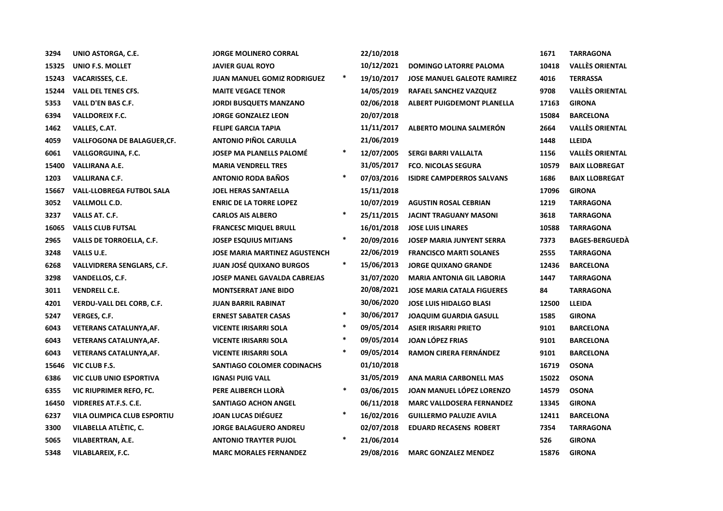| 3294  | UNIO ASTORGA, C.E.               | <b>JORGE MOLINERO CORRAL</b>         |        | 22/10/2018 |                                    | 1671  | <b>TARRAGONA</b>       |
|-------|----------------------------------|--------------------------------------|--------|------------|------------------------------------|-------|------------------------|
| 15325 | <b>UNIO F.S. MOLLET</b>          | <b>JAVIER GUAL ROYO</b>              |        | 10/12/2021 | <b>DOMINGO LATORRE PALOMA</b>      | 10418 | <b>VALLÈS ORIENTAL</b> |
| 15243 | <b>VACARISSES, C.E.</b>          | <b>JUAN MANUEL GOMIZ RODRIGUEZ</b>   | $\ast$ | 19/10/2017 | <b>JOSE MANUEL GALEOTE RAMIREZ</b> | 4016  | <b>TERRASSA</b>        |
| 15244 | <b>VALL DEL TENES CFS.</b>       | <b>MAITE VEGACE TENOR</b>            |        | 14/05/2019 | RAFAEL SANCHEZ VAZQUEZ             | 9708  | <b>VALLÈS ORIENTAL</b> |
| 5353  | VALL D'EN BAS C.F.               | <b>JORDI BUSQUETS MANZANO</b>        |        | 02/06/2018 | <b>ALBERT PUIGDEMONT PLANELLA</b>  | 17163 | <b>GIRONA</b>          |
| 6394  | <b>VALLDOREIX F.C.</b>           | <b>JORGE GONZALEZ LEON</b>           |        | 20/07/2018 |                                    | 15084 | <b>BARCELONA</b>       |
| 1462  | VALLES, C.AT.                    | <b>FELIPE GARCIA TAPIA</b>           |        | 11/11/2017 | ALBERTO MOLINA SALMERÓN            | 2664  | <b>VALLÈS ORIENTAL</b> |
| 4059  | VALLFOGONA DE BALAGUER, CF.      | <b>ANTONIO PIÑOL CARULLA</b>         |        | 21/06/2019 |                                    | 1448  | <b>LLEIDA</b>          |
| 6061  | VALLGORGUINA, F.C.               | <b>JOSEP MA PLANELLS PALOMÉ</b>      | $\ast$ | 12/07/2005 | SERGI BARRI VALLALTA               | 1156  | <b>VALLÈS ORIENTAL</b> |
| 15400 | VALLIRANA A.E.                   | <b>MARIA VENDRELL TRES</b>           |        | 31/05/2017 | <b>FCO. NICOLAS SEGURA</b>         | 10579 | <b>BAIX LLOBREGAT</b>  |
| 1203  | <b>VALLIRANA C.F.</b>            | <b>ANTONIO RODA BAÑOS</b>            | *      | 07/03/2016 | <b>ISIDRE CAMPDERROS SALVANS</b>   | 1686  | <b>BAIX LLOBREGAT</b>  |
| 15667 | <b>VALL-LLOBREGA FUTBOL SALA</b> | JOEL HERAS SANTAELLA                 |        | 15/11/2018 |                                    | 17096 | <b>GIRONA</b>          |
| 3052  | VALLMOLL C.D.                    | <b>ENRIC DE LA TORRE LOPEZ</b>       |        | 10/07/2019 | <b>AGUSTIN ROSAL CEBRIAN</b>       | 1219  | <b>TARRAGONA</b>       |
| 3237  | VALLS AT. C.F.                   | <b>CARLOS AIS ALBERO</b>             | $\ast$ | 25/11/2015 | <b>JACINT TRAGUANY MASONI</b>      | 3618  | <b>TARRAGONA</b>       |
| 16065 | <b>VALLS CLUB FUTSAL</b>         | <b>FRANCESC MIQUEL BRULL</b>         |        | 16/01/2018 | <b>JOSE LUIS LINARES</b>           | 10588 | <b>TARRAGONA</b>       |
| 2965  | VALLS DE TORROELLA, C.F.         | <b>JOSEP ESQUIUS MITJANS</b>         | $\ast$ | 20/09/2016 | <b>JOSEP MARIA JUNYENT SERRA</b>   | 7373  | <b>BAGES-BERGUEDA</b>  |
| 3248  | VALLS U.E.                       | <b>JOSE MARIA MARTINEZ AGUSTENCH</b> |        | 22/06/2019 | <b>FRANCISCO MARTI SOLANES</b>     | 2555  | <b>TARRAGONA</b>       |
| 6268  | VALLVIDRERA SENGLARS, C.F.       | <b>JUAN JOSÉ QUIXANO BURGOS</b>      | $\ast$ | 15/06/2013 | <b>JORGE QUIXANO GRANDE</b>        | 12436 | <b>BARCELONA</b>       |
| 3298  | VANDELLOS, C.F.                  | <b>JOSEP MANEL GAVALDA CABREJAS</b>  |        | 31/07/2020 | <b>MARIA ANTONIA GIL LABORIA</b>   | 1447  | <b>TARRAGONA</b>       |
| 3011  | <b>VENDRELL C.E.</b>             | <b>MONTSERRAT JANE BIDO</b>          |        | 20/08/2021 | <b>JOSE MARIA CATALA FIGUERES</b>  | 84    | <b>TARRAGONA</b>       |
| 4201  | <b>VERDU-VALL DEL CORB, C.F.</b> | <b>JUAN BARRIL RABINAT</b>           |        | 30/06/2020 | <b>JOSE LUIS HIDALGO BLASI</b>     | 12500 | LLEIDA                 |
| 5247  | <b>VERGES, C.F.</b>              | <b>ERNEST SABATER CASAS</b>          | *      | 30/06/2017 | <b>JOAQUIM GUARDIA GASULL</b>      | 1585  | <b>GIRONA</b>          |
| 6043  | <b>VETERANS CATALUNYA, AF.</b>   | <b>VICENTE IRISARRI SOLA</b>         | $\ast$ | 09/05/2014 | <b>ASIER IRISARRI PRIETO</b>       | 9101  | <b>BARCELONA</b>       |
| 6043  | <b>VETERANS CATALUNYA, AF.</b>   | <b>VICENTE IRISARRI SOLA</b>         | $\ast$ | 09/05/2014 | <b>JOAN LÓPEZ FRIAS</b>            | 9101  | <b>BARCELONA</b>       |
| 6043  | <b>VETERANS CATALUNYA, AF.</b>   | <b>VICENTE IRISARRI SOLA</b>         | $\ast$ | 09/05/2014 | <b>RAMON CIRERA FERNÁNDEZ</b>      | 9101  | <b>BARCELONA</b>       |
| 15646 | VIC CLUB F.S.                    | <b>SANTIAGO COLOMER CODINACHS</b>    |        | 01/10/2018 |                                    | 16719 | <b>OSONA</b>           |
| 6386  | <b>VIC CLUB UNIO ESPORTIVA</b>   | <b>IGNASI PUIG VALL</b>              |        | 31/05/2019 | ANA MARIA CARBONELL MAS            | 15022 | <b>OSONA</b>           |
| 6355  | VIC RIUPRIMER REFO, FC.          | PERE ALIBERCH LLORÀ                  | $\ast$ | 03/06/2015 | JOAN MANUEL LÓPEZ LORENZO          | 14579 | <b>OSONA</b>           |
| 16450 | VIDRERES AT.F.S. C.E.            | <b>SANTIAGO ACHON ANGEL</b>          |        | 06/11/2018 | <b>MARC VALLDOSERA FERNANDEZ</b>   | 13345 | <b>GIRONA</b>          |
| 6237  | VILA OLIMPICA CLUB ESPORTIU      | <b>JOAN LUCAS DIÉGUEZ</b>            | $\ast$ | 16/02/2016 | <b>GUILLERMO PALUZIE AVILA</b>     | 12411 | <b>BARCELONA</b>       |
| 3300  | VILABELLA ATLÉTIC, C.            | <b>JORGE BALAGUERO ANDREU</b>        |        | 02/07/2018 | <b>EDUARD RECASENS ROBERT</b>      | 7354  | <b>TARRAGONA</b>       |
| 5065  | VILABERTRAN, A.E.                | <b>ANTONIO TRAYTER PUJOL</b>         | ∗      | 21/06/2014 |                                    | 526   | <b>GIRONA</b>          |
| 5348  | VILABLAREIX, F.C.                | <b>MARC MORALES FERNANDEZ</b>        |        | 29/08/2016 | <b>MARC GONZALEZ MENDEZ</b>        | 15876 | <b>GIRONA</b>          |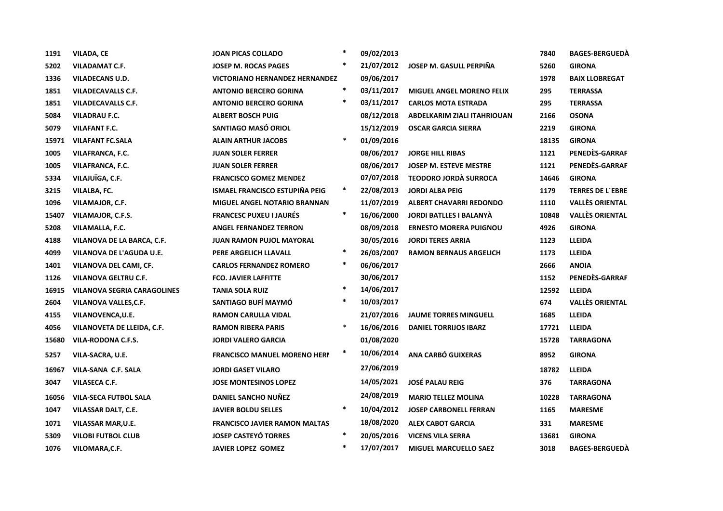| 1191  | <b>VILADA, CE</b>                  | <b>JOAN PICAS COLLADO</b>             | $\ast$ | 09/02/2013 |                                  | 7840  | <b>BAGES-BERGUEDA</b>   |
|-------|------------------------------------|---------------------------------------|--------|------------|----------------------------------|-------|-------------------------|
| 5202  | <b>VILADAMAT C.F.</b>              | JOSEP M. ROCAS PAGES                  | $\ast$ | 21/07/2012 | JOSEP M. GASULL PERPIÑA          | 5260  | <b>GIRONA</b>           |
| 1336  | <b>VILADECANS U.D.</b>             | <b>VICTORIANO HERNANDEZ HERNANDEZ</b> |        | 09/06/2017 |                                  | 1978  | <b>BAIX LLOBREGAT</b>   |
| 1851  | <b>VILADECAVALLS C.F.</b>          | <b>ANTONIO BERCERO GORINA</b>         | $\ast$ | 03/11/2017 | <b>MIGUEL ANGEL MORENO FELIX</b> | 295   | <b>TERRASSA</b>         |
| 1851  | <b>VILADECAVALLS C.F.</b>          | <b>ANTONIO BERCERO GORINA</b>         | $\ast$ | 03/11/2017 | <b>CARLOS MOTA ESTRADA</b>       | 295   | <b>TERRASSA</b>         |
| 5084  | <b>VILADRAU F.C.</b>               | <b>ALBERT BOSCH PUIG</b>              |        | 08/12/2018 | ABDELKARIM ZIALI ITAHRIOUAN      | 2166  | <b>OSONA</b>            |
| 5079  | <b>VILAFANT F.C.</b>               | SANTIAGO MASÓ ORIOL                   |        | 15/12/2019 | <b>OSCAR GARCIA SIERRA</b>       | 2219  | <b>GIRONA</b>           |
| 15971 | <b>VILAFANT FC.SALA</b>            | <b>ALAIN ARTHUR JACOBS</b>            | $\ast$ | 01/09/2016 |                                  | 18135 | <b>GIRONA</b>           |
| 1005  | VILAFRANCA, F.C.                   | <b>JUAN SOLER FERRER</b>              |        | 08/06/2017 | <b>JORGE HILL RIBAS</b>          | 1121  | PENEDÈS-GARRAF          |
| 1005  | VILAFRANCA, F.C.                   | <b>JUAN SOLER FERRER</b>              |        | 08/06/2017 | <b>JOSEP M. ESTEVE MESTRE</b>    | 1121  | PENEDÈS-GARRAF          |
| 5334  | VILAJUÏGA, C.F.                    | <b>FRANCISCO GOMEZ MENDEZ</b>         |        | 07/07/2018 | <b>TEODORO JORDÀ SURROCA</b>     | 14646 | <b>GIRONA</b>           |
| 3215  | <b>VILALBA, FC.</b>                | <b>ISMAEL FRANCISCO ESTUPIÑA PEIG</b> | $\ast$ | 22/08/2013 | <b>JORDI ALBA PEIG</b>           | 1179  | <b>TERRES DE L'EBRE</b> |
| 1096  | VILAMAJOR, C.F.                    | <b>MIGUEL ANGEL NOTARIO BRANNAN</b>   |        | 11/07/2019 | <b>ALBERT CHAVARRI REDONDO</b>   | 1110  | <b>VALLÈS ORIENTAL</b>  |
| 15407 | VILAMAJOR, C.F.S.                  | <b>FRANCESC PUXEU I JAURÉS</b>        | $\ast$ | 16/06/2000 | <b>JORDI BATLLES I BALANYÀ</b>   | 10848 | <b>VALLÈS ORIENTAL</b>  |
| 5208  | VILAMALLA, F.C.                    | <b>ANGEL FERNANDEZ TERRON</b>         |        | 08/09/2018 | <b>ERNESTO MORERA PUIGNOU</b>    | 4926  | <b>GIRONA</b>           |
| 4188  | VILANOVA DE LA BARCA, C.F.         | <b>JUAN RAMON PUJOL MAYORAL</b>       |        | 30/05/2016 | <b>JORDI TERES ARRIA</b>         | 1123  | <b>LLEIDA</b>           |
| 4099  | VILANOVA DE L'AGUDA U.E.           | PERE ARGELICH LLAVALL                 | $\ast$ | 26/03/2007 | <b>RAMON BERNAUS ARGELICH</b>    | 1173  | <b>LLEIDA</b>           |
| 1401  | VILANOVA DEL CAMI, CF.             | <b>CARLOS FERNANDEZ ROMERO</b>        | $\ast$ | 06/06/2017 |                                  | 2666  | <b>ANOIA</b>            |
| 1126  | <b>VILANOVA GELTRU C.F.</b>        | <b>FCO. JAVIER LAFFITTE</b>           |        | 30/06/2017 |                                  | 1152  | PENEDÈS-GARRAF          |
| 16915 | <b>VILANOVA SEGRIA CARAGOLINES</b> | <b>TANIA SOLA RUIZ</b>                | $\ast$ | 14/06/2017 |                                  | 12592 | <b>LLEIDA</b>           |
| 2604  | VILANOVA VALLES, C.F.              | SANTIAGO BUFÍ MAYMÓ                   | $\ast$ | 10/03/2017 |                                  | 674   | <b>VALLÈS ORIENTAL</b>  |
| 4155  | VILANOVENCA, U.E.                  | <b>RAMON CARULLA VIDAL</b>            |        | 21/07/2016 | <b>JAUME TORRES MINGUELL</b>     | 1685  | <b>LLEIDA</b>           |
| 4056  | VILANOVETA DE LLEIDA, C.F.         | <b>RAMON RIBERA PARIS</b>             | $\ast$ | 16/06/2016 | <b>DANIEL TORRIJOS IBARZ</b>     | 17721 | <b>LLEIDA</b>           |
| 15680 | VILA-RODONA C.F.S.                 | <b>JORDI VALERO GARCIA</b>            |        | 01/08/2020 |                                  | 15728 | <b>TARRAGONA</b>        |
| 5257  | VILA-SACRA, U.E.                   | <b>FRANCISCO MANUEL MORENO HERN</b>   | $\ast$ | 10/06/2014 | ANA CARBÓ GUIXERAS               | 8952  | <b>GIRONA</b>           |
| 16967 | VILA-SANA C.F. SALA                | <b>JORDI GASET VILARO</b>             |        | 27/06/2019 |                                  | 18782 | <b>LLEIDA</b>           |
| 3047  | <b>VILASECA C.F.</b>               | <b>JOSE MONTESINOS LOPEZ</b>          |        | 14/05/2021 | <b>JOSÉ PALAU REIG</b>           | 376   | <b>TARRAGONA</b>        |
| 16056 | <b>VILA-SECA FUTBOL SALA</b>       | DANIEL SANCHO NUÑEZ                   |        | 24/08/2019 | <b>MARIO TELLEZ MOLINA</b>       | 10228 | <b>TARRAGONA</b>        |
| 1047  | VILASSAR DALT, C.E.                | <b>JAVIER BOLDU SELLES</b>            | $\ast$ | 10/04/2012 | <b>JOSEP CARBONELL FERRAN</b>    | 1165  | <b>MARESME</b>          |
| 1071  | <b>VILASSAR MAR, U.E.</b>          | <b>FRANCISCO JAVIER RAMON MALTAS</b>  |        | 18/08/2020 | <b>ALEX CABOT GARCIA</b>         | 331   | <b>MARESME</b>          |
| 5309  | <b>VILOBI FUTBOL CLUB</b>          | <b>JOSEP CASTEYÓ TORRES</b>           | $\ast$ | 20/05/2016 | <b>VICENS VILA SERRA</b>         | 13681 | <b>GIRONA</b>           |
| 1076  | VILOMARA, C.F.                     | <b>JAVIER LOPEZ GOMEZ</b>             | $\ast$ | 17/07/2017 | <b>MIGUEL MARCUELLO SAEZ</b>     | 3018  | <b>BAGES-BERGUEDA</b>   |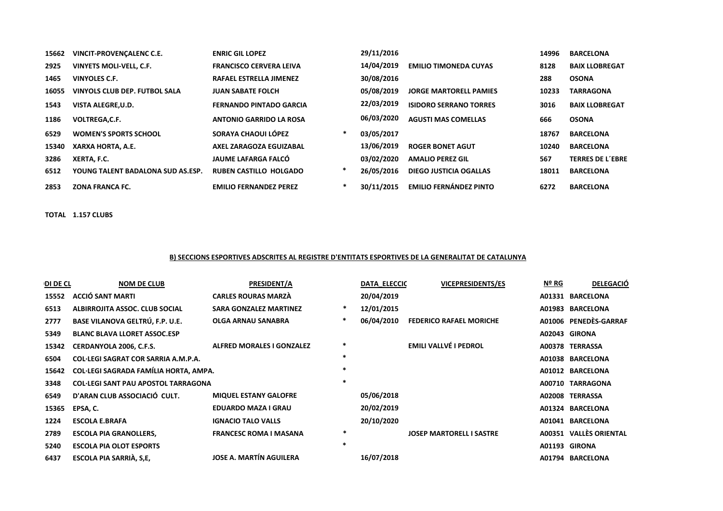| 15662 | VINCIT-PROVENCALENC C.E.          | <b>ENRIC GIL LOPEZ</b>         |        | 29/11/2016 |                               | 14996 | <b>BARCELONA</b>        |
|-------|-----------------------------------|--------------------------------|--------|------------|-------------------------------|-------|-------------------------|
| 2925  | VINYETS MOLI-VELL, C.F.           | <b>FRANCISCO CERVERA LEIVA</b> |        | 14/04/2019 | <b>EMILIO TIMONEDA CUYAS</b>  | 8128  | <b>BAIX LLOBREGAT</b>   |
| 1465  | VINYOLES C.F.                     | <b>RAFAEL ESTRELLA JIMENEZ</b> |        | 30/08/2016 |                               | 288   | <b>OSONA</b>            |
| 16055 | VINYOLS CLUB DEP. FUTBOL SALA     | <b>JUAN SABATE FOLCH</b>       |        | 05/08/2019 | <b>JORGE MARTORELL PAMIES</b> | 10233 | TARRAGONA               |
| 1543  | VISTA ALEGRE, U.D.                | <b>FERNANDO PINTADO GARCIA</b> |        | 22/03/2019 | <b>ISIDORO SERRANO TORRES</b> | 3016  | <b>BAIX LLOBREGAT</b>   |
| 1186  | <b>VOLTREGA,C.F.</b>              | <b>ANTONIO GARRIDO LA ROSA</b> |        | 06/03/2020 | <b>AGUSTI MAS COMELLAS</b>    | 666   | <b>OSONA</b>            |
| 6529  | <b>WOMEN'S SPORTS SCHOOL</b>      | SORAYA CHAOUI LÓPEZ            | $\ast$ | 03/05/2017 |                               | 18767 | <b>BARCELONA</b>        |
| 15340 | XARXA HORTA, A.E.                 | AXEL ZARAGOZA EGUIZABAL        |        | 13/06/2019 | <b>ROGER BONET AGUT</b>       | 10240 | <b>BARCELONA</b>        |
| 3286  | XERTA, F.C.                       | JAUME LAFARGA FALCÓ            |        | 03/02/2020 | <b>AMALIO PEREZ GIL</b>       | 567   | <b>TERRES DE L'EBRE</b> |
| 6512  | YOUNG TALENT BADALONA SUD AS.ESP. | <b>RUBEN CASTILLO HOLGADO</b>  | ∗      | 26/05/2016 | <b>DIEGO JUSTICIA OGALLAS</b> | 18011 | <b>BARCELONA</b>        |
| 2853  | <b>ZONA FRANCA FC.</b>            | <b>EMILIO FERNANDEZ PEREZ</b>  | $\ast$ | 30/11/2015 | <b>EMILIO FERNÁNDEZ PINTO</b> | 6272  | <b>BARCELONA</b>        |

TOTAL 1.157 CLUBS

#### B) SECCIONS ESPORTIVES ADSCRITES AL REGISTRE D'ENTITATS ESPORTIVES DE LA GENERALITAT DE CATALUNYA

| DI DE CL | <b>NOM DE CLUB</b>                         | <b>PRESIDENT/A</b>               |              | <b>DATA ELECCIC</b> | <b>VICEPRESIDENTS/ES</b>        | Nº RG | <b>DELEGACIÓ</b>       |
|----------|--------------------------------------------|----------------------------------|--------------|---------------------|---------------------------------|-------|------------------------|
| 15552    | <b>ACCIÓ SANT MARTI</b>                    | <b>CARLES ROURAS MARZÀ</b>       |              | 20/04/2019          |                                 |       | A01331 BARCELONA       |
| 6513     | ALBIRROJITA ASSOC. CLUB SOCIAL             | <b>SARA GONZALEZ MARTINEZ</b>    |              | 12/01/2015          |                                 |       | A01983 BARCELONA       |
| 2777     | BASE VILANOVA GELTRÚ, F.P. U.E.            | OLGA ARNAU SANABRA               | *            | 06/04/2010          | <b>FEDERICO RAFAEL MORICHE</b>  |       | A01006 PENEDES-GARRAF  |
| 5349     | <b>BLANC BLAVA LLORET ASSOC.ESP</b>        |                                  |              |                     |                                 |       | A02043 GIRONA          |
| 15342    | CERDANYOLA 2006, C.F.S.                    | <b>ALFRED MORALES I GONZALEZ</b> | ∗            |                     | <b>EMILI VALLVÉ I PEDROL</b>    |       | A00378 TERRASSA        |
| 6504     | COL·LEGI SAGRAT COR SARRIA A.M.P.A.        |                                  | 水            |                     |                                 |       | A01038 BARCELONA       |
| 15642    | COL·LEGI SAGRADA FAMÍLIA HORTA, AMPA.      |                                  | $\mathbf{r}$ |                     |                                 |       | A01012 BARCELONA       |
| 3348     | <b>COL·LEGI SANT PAU APOSTOL TARRAGONA</b> |                                  | $\ast$       |                     |                                 |       | A00710 TARRAGONA       |
| 6549     | D'ARAN CLUB ASSOCIACIÓ CULT.               | <b>MIQUEL ESTANY GALOFRE</b>     |              | 05/06/2018          |                                 |       | A02008 TERRASSA        |
| 15365    | EPSA, C.                                   | <b>EDUARDO MAZA I GRAU</b>       |              | 20/02/2019          |                                 |       | A01324 BARCELONA       |
| 1224     | <b>ESCOLA E.BRAFA</b>                      | <b>IGNACIO TALO VALLS</b>        |              | 20/10/2020          |                                 |       | A01041 BARCELONA       |
| 2789     | <b>ESCOLA PIA GRANOLLERS,</b>              | <b>FRANCESC ROMA I MASANA</b>    | $\ast$       |                     | <b>JOSEP MARTORELL I SASTRE</b> |       | A00351 VALLÈS ORIENTAL |
| 5240     | <b>ESCOLA PIA OLOT ESPORTS</b>             |                                  | $\ast$       |                     |                                 |       | A01193 GIRONA          |
| 6437     | ESCOLA PIA SARRIÀ, S,E,                    | <b>JOSE A. MARTÍN AGUILERA</b>   |              | 16/07/2018          |                                 |       | A01794 BARCELONA       |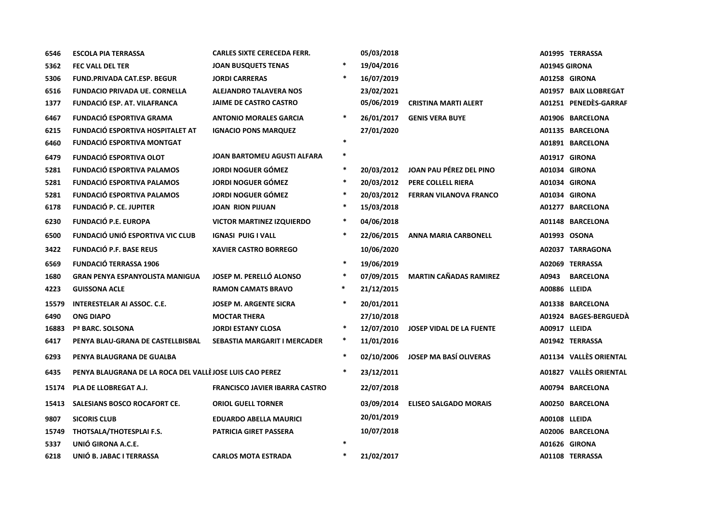| 6546  | <b>ESCOLA PIA TERRASSA</b>                               | <b>CARLES SIXTE CERECEDA FERR.</b>    |        | 05/03/2018 |                                 |                      | A01995 TERRASSA        |
|-------|----------------------------------------------------------|---------------------------------------|--------|------------|---------------------------------|----------------------|------------------------|
| 5362  | <b>FEC VALL DEL TER</b>                                  | <b>JOAN BUSQUETS TENAS</b>            |        | 19/04/2016 |                                 | <b>A01945 GIRONA</b> |                        |
| 5306  | <b>FUND.PRIVADA CAT.ESP. BEGUR</b>                       | <b>JORDI CARRERAS</b>                 | $\ast$ | 16/07/2019 |                                 |                      | A01258 GIRONA          |
| 6516  | <b>FUNDACIO PRIVADA UE. CORNELLA</b>                     | <b>ALEJANDRO TALAVERA NOS</b>         |        | 23/02/2021 |                                 |                      | A01957 BAIX LLOBREGAT  |
| 1377  | <b>FUNDACIÓ ESP. AT. VILAFRANCA</b>                      | <b>JAIME DE CASTRO CASTRO</b>         |        | 05/06/2019 | <b>CRISTINA MARTI ALERT</b>     |                      | A01251 PENEDÈS-GARRAF  |
| 6467  | <b>FUNDACIÓ ESPORTIVA GRAMA</b>                          | <b>ANTONIO MORALES GARCIA</b>         | $\ast$ | 26/01/2017 | <b>GENIS VERA BUYE</b>          |                      | A01906 BARCELONA       |
| 6215  | <b>FUNDACIÓ ESPORTIVA HOSPITALET AT</b>                  | <b>IGNACIO PONS MARQUEZ</b>           |        | 27/01/2020 |                                 |                      | A01135 BARCELONA       |
| 6460  | <b>FUNDACIÓ ESPORTIVA MONTGAT</b>                        |                                       | $\ast$ |            |                                 |                      | A01891 BARCELONA       |
| 6479  | <b>FUNDACIÓ ESPORTIVA OLOT</b>                           | <b>JOAN BARTOMEU AGUSTI ALFARA</b>    | $\ast$ |            |                                 |                      | A01917 GIRONA          |
| 5281  | <b>FUNDACIÓ ESPORTIVA PALAMOS</b>                        | <b>JORDI NOGUER GÓMEZ</b>             | $\ast$ | 20/03/2012 | JOAN PAU PÉREZ DEL PINO         |                      | A01034 GIRONA          |
| 5281  | <b>FUNDACIÓ ESPORTIVA PALAMOS</b>                        | <b>JORDI NOGUER GÓMEZ</b>             | $\ast$ | 20/03/2012 | PERE COLLELL RIERA              |                      | A01034 GIRONA          |
| 5281  | <b>FUNDACIÓ ESPORTIVA PALAMOS</b>                        | <b>JORDI NOGUER GÓMEZ</b>             | $\ast$ | 20/03/2012 | <b>FERRAN VILANOVA FRANCO</b>   |                      | A01034 GIRONA          |
| 6178  | <b>FUNDACIÓ P. CE. JUPITER</b>                           | <b>JOAN RION PIJUAN</b>               | $\ast$ | 15/03/2018 |                                 |                      | A01277 BARCELONA       |
| 6230  | <b>FUNDACIÓ P.E. EUROPA</b>                              | <b>VICTOR MARTINEZ IZQUIERDO</b>      | $\ast$ | 04/06/2018 |                                 |                      | A01148 BARCELONA       |
| 6500  | FUNDACIÓ UNIÓ ESPORTIVA VIC CLUB                         | <b>IGNASI PUIG I VALL</b>             | $\ast$ | 22/06/2015 | <b>ANNA MARIA CARBONELL</b>     |                      | A01993 OSONA           |
| 3422  | <b>FUNDACIÓ P.F. BASE REUS</b>                           | <b>XAVIER CASTRO BORREGO</b>          |        | 10/06/2020 |                                 |                      | A02037 TARRAGONA       |
| 6569  | <b>FUNDACIÓ TERRASSA 1906</b>                            |                                       | $\ast$ | 19/06/2019 |                                 |                      | A02069 TERRASSA        |
| 1680  | <b>GRAN PENYA ESPANYOLISTA MANIGUA</b>                   | <b>JOSEP M. PERELLÓ ALONSO</b>        | $\ast$ | 07/09/2015 | <b>MARTIN CAÑADAS RAMIREZ</b>   | A0943                | <b>BARCELONA</b>       |
| 4223  | <b>GUISSONA ACLE</b>                                     | <b>RAMON CAMATS BRAVO</b>             | $\ast$ | 21/12/2015 |                                 | A00886 LLEIDA        |                        |
| 15579 | <b>INTERESTELAR AI ASSOC. C.E.</b>                       | <b>JOSEP M. ARGENTE SICRA</b>         | $\ast$ | 20/01/2011 |                                 |                      | A01338 BARCELONA       |
| 6490  | <b>ONG DIAPO</b>                                         | <b>MOCTAR THERA</b>                   |        | 27/10/2018 |                                 |                      | A01924 BAGES-BERGUEDÀ  |
| 16883 | Pª BARC. SOLSONA                                         | <b>JORDI ESTANY CLOSA</b>             | $\ast$ | 12/07/2010 | <b>JOSEP VIDAL DE LA FUENTE</b> | A00917 LLEIDA        |                        |
| 6417  | PENYA BLAU-GRANA DE CASTELLBISBAL                        | <b>SEBASTIA MARGARIT I MERCADER</b>   | $\ast$ | 11/01/2016 |                                 |                      | A01942 TERRASSA        |
| 6293  | PENYA BLAUGRANA DE GUALBA                                |                                       | $\ast$ | 02/10/2006 | <b>JOSEP MA BASÍ OLIVERAS</b>   |                      | A01134 VALLÈS ORIENTAL |
| 6435  | PENYA BLAUGRANA DE LA ROCA DEL VALLÈ JOSE LUIS CAO PEREZ |                                       | $\ast$ | 23/12/2011 |                                 |                      | A01827 VALLÈS ORIENTAL |
| 15174 | PLA DE LLOBREGAT A.J.                                    | <b>FRANCISCO JAVIER IBARRA CASTRO</b> |        | 22/07/2018 |                                 |                      | A00794 BARCELONA       |
| 15413 | SALESIANS BOSCO ROCAFORT CE.                             | <b>ORIOL GUELL TORNER</b>             |        | 03/09/2014 | <b>ELISEO SALGADO MORAIS</b>    |                      | A00250 BARCELONA       |
| 9807  | <b>SICORIS CLUB</b>                                      | <b>EDUARDO ABELLA MAURICI</b>         |        | 20/01/2019 |                                 | A00108 LLEIDA        |                        |
| 15749 | THOTSALA/THOTESPLAI F.S.                                 | <b>PATRICIA GIRET PASSERA</b>         |        | 10/07/2018 |                                 |                      | A02006 BARCELONA       |
| 5337  | UNIÓ GIRONA A.C.E.                                       |                                       | $\ast$ |            |                                 |                      | A01626 GIRONA          |
| 6218  | UNIÓ B. JABAC I TERRASSA                                 | <b>CARLOS MOTA ESTRADA</b>            | $\ast$ | 21/02/2017 |                                 |                      | A01108 TERRASSA        |